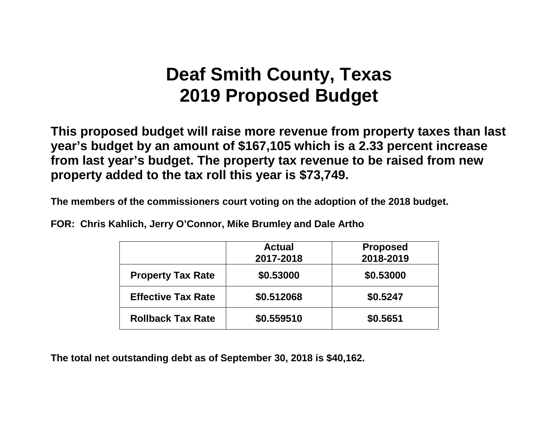# **Deaf Smith County, Texas 2019 Proposed Budget**

**This proposed budget will raise more revenue from property taxes than last year's budget by an amount of \$167,105 which is a 2.33 percent increase from last year's budget. The property tax revenue to be raised from new property added to the tax roll this year is \$73,749.**

**The members of the commissioners court voting on the adoption of the 2018 budget.**

**FOR: Chris Kahlich, Jerry O'Connor, Mike Brumley and Dale Artho**

|                           | <b>Actual</b><br>2017-2018 | <b>Proposed</b><br>2018-2019 |
|---------------------------|----------------------------|------------------------------|
| <b>Property Tax Rate</b>  | \$0.53000                  | \$0.53000                    |
| <b>Effective Tax Rate</b> | \$0.512068                 | \$0.5247                     |
| <b>Rollback Tax Rate</b>  | \$0.559510                 | \$0.5651                     |

**The total net outstanding debt as of September 30, 2018 is \$40,162.**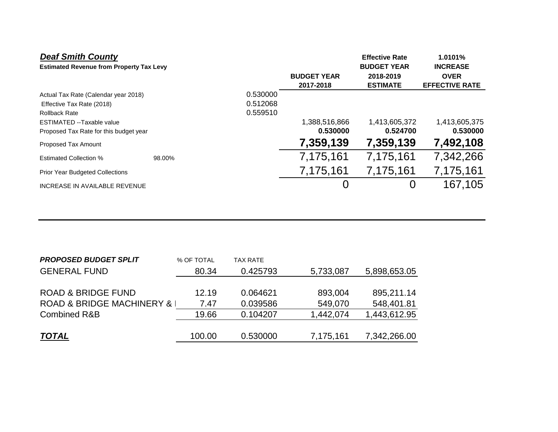| <b>Deaf Smith County</b>                        |        |          |                                 | <b>Effective Rate</b>                              | 1.0101%                                                 |
|-------------------------------------------------|--------|----------|---------------------------------|----------------------------------------------------|---------------------------------------------------------|
| <b>Estimated Revenue from Property Tax Levy</b> |        |          | <b>BUDGET YEAR</b><br>2017-2018 | <b>BUDGET YEAR</b><br>2018-2019<br><b>ESTIMATE</b> | <b>INCREASE</b><br><b>OVER</b><br><b>EFFECTIVE RATE</b> |
| Actual Tax Rate (Calendar year 2018)            |        | 0.530000 |                                 |                                                    |                                                         |
| Effective Tax Rate (2018)                       |        | 0.512068 |                                 |                                                    |                                                         |
| <b>Rollback Rate</b>                            |        | 0.559510 |                                 |                                                    |                                                         |
| ESTIMATED --Taxable value                       |        |          | 1,388,516,866                   | 1,413,605,372                                      | 1,413,605,375                                           |
| Proposed Tax Rate for this budget year          |        |          | 0.530000                        | 0.524700                                           | 0.530000                                                |
| Proposed Tax Amount                             |        |          | 7,359,139                       | 7,359,139                                          | 7,492,108                                               |
| <b>Estimated Collection %</b>                   | 98.00% |          | 7,175,161                       | 7,175,161                                          | 7,342,266                                               |
| <b>Prior Year Budgeted Collections</b>          |        |          | 7,175,161                       | 7,175,161                                          | 7,175,161                                               |
| INCREASE IN AVAILABLE REVENUE                   |        |          | 0                               | 0                                                  | 167,105                                                 |
|                                                 |        |          |                                 |                                                    |                                                         |

| % OF TOTAL | TAX RATE                    |           |              |
|------------|-----------------------------|-----------|--------------|
| 80.34      | 0.425793                    | 5,733,087 | 5,898,653.05 |
|            |                             |           |              |
| 12.19      | 0.064621                    | 893,004   | 895,211.14   |
| 7.47       | 0.039586                    | 549,070   | 548,401.81   |
| 19.66      | 0.104207                    | 1,442,074 | 1,443,612.95 |
|            |                             |           |              |
| 100.00     | 0.530000                    | 7,175,161 | 7,342,266.00 |
|            | ROAD & BRIDGE MACHINERY & I |           |              |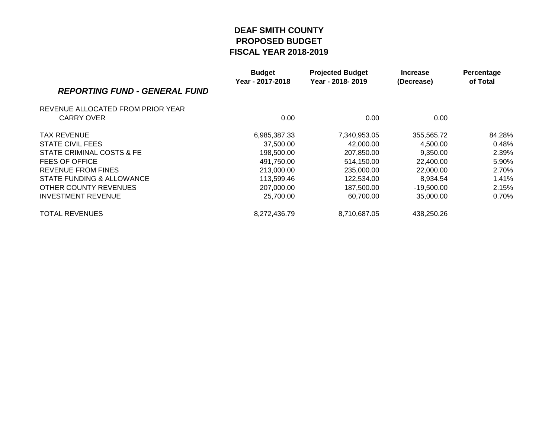|                                      | <b>Budget</b><br>Year - 2017-2018 | <b>Projected Budget</b><br>Year - 2018-2019 | <b>Increase</b><br>(Decrease) | Percentage<br>of Total |
|--------------------------------------|-----------------------------------|---------------------------------------------|-------------------------------|------------------------|
| <b>REPORTING FUND - GENERAL FUND</b> |                                   |                                             |                               |                        |
| REVENUE ALLOCATED FROM PRIOR YEAR    |                                   |                                             |                               |                        |
| CARRY OVER                           | 0.00                              | 0.00                                        | 0.00                          |                        |
| <b>TAX REVENUE</b>                   | 6,985,387.33                      | 7,340,953.05                                | 355,565.72                    | 84.28%                 |
| STATE CIVIL FEES                     | 37,500.00                         | 42,000.00                                   | 4,500.00                      | 0.48%                  |
| STATE CRIMINAL COSTS & FE            | 198,500.00                        | 207,850.00                                  | 9,350.00                      | 2.39%                  |
| FEES OF OFFICE                       | 491,750.00                        | 514,150.00                                  | 22,400.00                     | 5.90%                  |
| REVENUE FROM FINES                   | 213,000.00                        | 235,000,00                                  | 22,000.00                     | 2.70%                  |
| STATE FUNDING & ALLOWANCE            | 113,599.46                        | 122,534.00                                  | 8,934.54                      | 1.41%                  |
| OTHER COUNTY REVENUES                | 207,000.00                        | 187,500.00                                  | $-19,500.00$                  | 2.15%                  |
| <b>INVESTMENT REVENUE</b>            | 25,700.00                         | 60,700.00                                   | 35,000.00                     | 0.70%                  |
| <b>TOTAL REVENUES</b>                | 8,272,436.79                      | 8,710,687.05                                | 438,250.26                    |                        |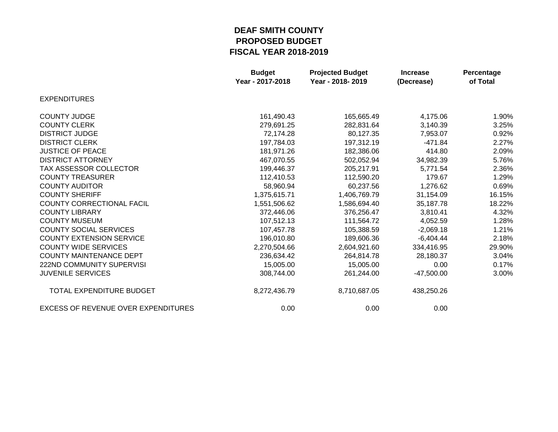|                                            | <b>Budget</b><br>Year - 2017-2018 | <b>Projected Budget</b><br>Year - 2018-2019 | <b>Increase</b><br>(Decrease) | Percentage<br>of Total |
|--------------------------------------------|-----------------------------------|---------------------------------------------|-------------------------------|------------------------|
| <b>EXPENDITURES</b>                        |                                   |                                             |                               |                        |
| <b>COUNTY JUDGE</b>                        | 161,490.43                        | 165,665.49                                  | 4,175.06                      | 1.90%                  |
| <b>COUNTY CLERK</b>                        | 279,691.25                        | 282,831.64                                  | 3,140.39                      | 3.25%                  |
| <b>DISTRICT JUDGE</b>                      | 72,174.28                         | 80,127.35                                   | 7,953.07                      | 0.92%                  |
| <b>DISTRICT CLERK</b>                      | 197,784.03                        | 197,312.19                                  | $-471.84$                     | 2.27%                  |
| <b>JUSTICE OF PEACE</b>                    | 181,971.26                        | 182,386.06                                  | 414.80                        | 2.09%                  |
| <b>DISTRICT ATTORNEY</b>                   | 467,070.55                        | 502,052.94                                  | 34,982.39                     | 5.76%                  |
| <b>TAX ASSESSOR COLLECTOR</b>              | 199,446.37                        | 205,217.91                                  | 5,771.54                      | 2.36%                  |
| <b>COUNTY TREASURER</b>                    | 112,410.53                        | 112,590.20                                  | 179.67                        | 1.29%                  |
| <b>COUNTY AUDITOR</b>                      | 58,960.94                         | 60,237.56                                   | 1,276.62                      | 0.69%                  |
| <b>COUNTY SHERIFF</b>                      | 1,375,615.71                      | 1,406,769.79                                | 31,154.09                     | 16.15%                 |
| <b>COUNTY CORRECTIONAL FACIL</b>           | 1,551,506.62                      | 1,586,694.40                                | 35,187.78                     | 18.22%                 |
| <b>COUNTY LIBRARY</b>                      | 372,446.06                        | 376,256.47                                  | 3,810.41                      | 4.32%                  |
| <b>COUNTY MUSEUM</b>                       | 107,512.13                        | 111,564.72                                  | 4,052.59                      | 1.28%                  |
| <b>COUNTY SOCIAL SERVICES</b>              | 107,457.78                        | 105,388.59                                  | $-2,069.18$                   | 1.21%                  |
| <b>COUNTY EXTENSION SERVICE</b>            | 196,010.80                        | 189,606.36                                  | $-6,404.44$                   | 2.18%                  |
| <b>COUNTY WIDE SERVICES</b>                | 2,270,504.66                      | 2,604,921.60                                | 334,416.95                    | 29.90%                 |
| <b>COUNTY MAINTENANCE DEPT</b>             | 236,634.42                        | 264,814.78                                  | 28,180.37                     | 3.04%                  |
| <b>222ND COMMUNITY SUPERVISI</b>           | 15,005.00                         | 15,005.00                                   | 0.00                          | 0.17%                  |
| <b>JUVENILE SERVICES</b>                   | 308,744.00                        | 261,244.00                                  | $-47,500.00$                  | 3.00%                  |
| TOTAL EXPENDITURE BUDGET                   | 8,272,436.79                      | 8,710,687.05                                | 438,250.26                    |                        |
| <b>EXCESS OF REVENUE OVER EXPENDITURES</b> | 0.00                              | 0.00                                        | 0.00                          |                        |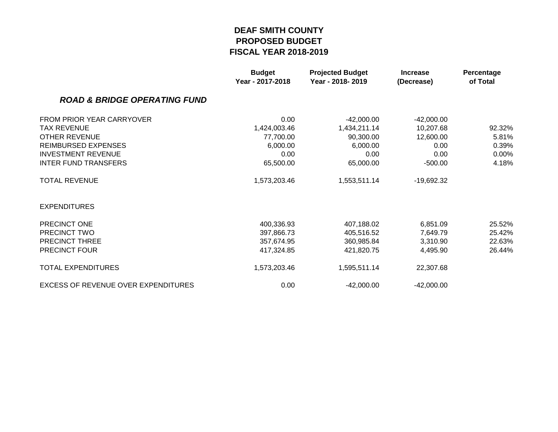|                                            | <b>Budget</b><br>Year - 2017-2018 | <b>Projected Budget</b><br>Year - 2018-2019 | <b>Increase</b><br>(Decrease) | Percentage<br>of Total |
|--------------------------------------------|-----------------------------------|---------------------------------------------|-------------------------------|------------------------|
| <b>ROAD &amp; BRIDGE OPERATING FUND</b>    |                                   |                                             |                               |                        |
| FROM PRIOR YEAR CARRYOVER                  | 0.00                              | $-42,000.00$                                | $-42,000.00$                  |                        |
| <b>TAX REVENUE</b>                         | 1,424,003.46                      | 1,434,211.14                                | 10,207.68                     | 92.32%                 |
| <b>OTHER REVENUE</b>                       | 77,700.00                         | 90,300.00                                   | 12,600.00                     | 5.81%                  |
| <b>REIMBURSED EXPENSES</b>                 | 6,000.00                          | 6,000.00                                    | 0.00                          | 0.39%                  |
| <b>INVESTMENT REVENUE</b>                  | 0.00                              | 0.00                                        | 0.00                          | 0.00%                  |
| <b>INTER FUND TRANSFERS</b>                | 65,500.00                         | 65,000.00                                   | $-500.00$                     | 4.18%                  |
| <b>TOTAL REVENUE</b>                       | 1,573,203.46                      | 1,553,511.14                                | -19,692.32                    |                        |
| <b>EXPENDITURES</b>                        |                                   |                                             |                               |                        |
| PRECINCT ONE                               | 400,336.93                        | 407,188.02                                  | 6,851.09                      | 25.52%                 |
| PRECINCT TWO                               | 397,866.73                        | 405,516.52                                  | 7,649.79                      | 25.42%                 |
| PRECINCT THREE                             | 357,674.95                        | 360,985.84                                  | 3,310.90                      | 22.63%                 |
| PRECINCT FOUR                              | 417,324.85                        | 421,820.75                                  | 4,495.90                      | 26.44%                 |
| <b>TOTAL EXPENDITURES</b>                  | 1,573,203.46                      | 1,595,511.14                                | 22,307.68                     |                        |
| <b>EXCESS OF REVENUE OVER EXPENDITURES</b> | 0.00                              | $-42,000.00$                                | $-42,000.00$                  |                        |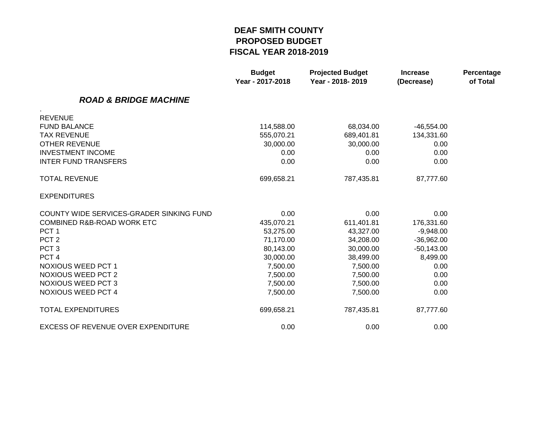|                                           | <b>Budget</b><br>Year - 2017-2018 | <b>Projected Budget</b><br>Year - 2018-2019 | <b>Increase</b><br>(Decrease) | Percentage<br>of Total |
|-------------------------------------------|-----------------------------------|---------------------------------------------|-------------------------------|------------------------|
| <b>ROAD &amp; BRIDGE MACHINE</b>          |                                   |                                             |                               |                        |
| <b>REVENUE</b>                            |                                   |                                             |                               |                        |
| <b>FUND BALANCE</b>                       | 114,588.00                        | 68,034.00                                   | $-46,554.00$                  |                        |
| <b>TAX REVENUE</b>                        | 555,070.21                        | 689,401.81                                  | 134,331.60                    |                        |
| <b>OTHER REVENUE</b>                      | 30,000.00                         | 30,000.00                                   | 0.00                          |                        |
| <b>INVESTMENT INCOME</b>                  | 0.00                              | 0.00                                        | 0.00                          |                        |
| <b>INTER FUND TRANSFERS</b>               | 0.00                              | 0.00                                        | 0.00                          |                        |
| <b>TOTAL REVENUE</b>                      | 699,658.21                        | 787,435.81                                  | 87,777.60                     |                        |
| <b>EXPENDITURES</b>                       |                                   |                                             |                               |                        |
| COUNTY WIDE SERVICES-GRADER SINKING FUND  | 0.00                              | 0.00                                        | 0.00                          |                        |
| COMBINED R&B-ROAD WORK ETC                | 435,070.21                        | 611,401.81                                  | 176,331.60                    |                        |
| PCT <sub>1</sub>                          | 53,275.00                         | 43,327.00                                   | $-9,948.00$                   |                        |
| PCT <sub>2</sub>                          | 71,170.00                         | 34,208.00                                   | $-36,962.00$                  |                        |
| PCT <sub>3</sub>                          | 80,143.00                         | 30,000.00                                   | $-50,143.00$                  |                        |
| PCT <sub>4</sub>                          | 30,000.00                         | 38,499.00                                   | 8,499.00                      |                        |
| <b>NOXIOUS WEED PCT 1</b>                 | 7,500.00                          | 7,500.00                                    | 0.00                          |                        |
| <b>NOXIOUS WEED PCT 2</b>                 | 7,500.00                          | 7,500.00                                    | 0.00                          |                        |
| <b>NOXIOUS WEED PCT 3</b>                 | 7,500.00                          | 7,500.00                                    | 0.00                          |                        |
| <b>NOXIOUS WEED PCT 4</b>                 | 7,500.00                          | 7,500.00                                    | 0.00                          |                        |
| <b>TOTAL EXPENDITURES</b>                 | 699,658.21                        | 787,435.81                                  | 87,777.60                     |                        |
| <b>EXCESS OF REVENUE OVER EXPENDITURE</b> | 0.00                              | 0.00                                        | 0.00                          |                        |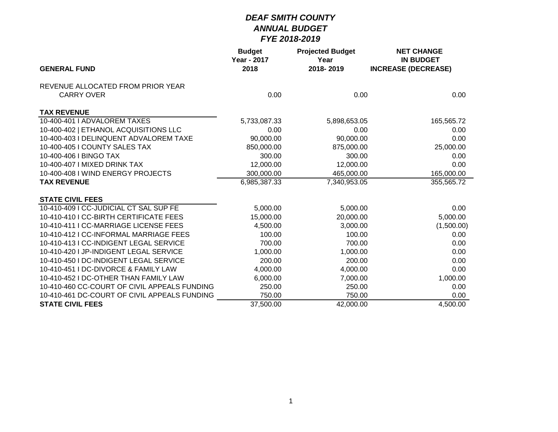|                                              | <b>Budget</b><br><b>Year - 2017</b> | <b>Projected Budget</b><br>Year | <b>NET CHANGE</b><br><b>IN BUDGET</b> |
|----------------------------------------------|-------------------------------------|---------------------------------|---------------------------------------|
| <b>GENERAL FUND</b>                          | 2018                                | 2018-2019                       | <b>INCREASE (DECREASE)</b>            |
| REVENUE ALLOCATED FROM PRIOR YEAR            |                                     |                                 |                                       |
| <b>CARRY OVER</b>                            | 0.00                                | 0.00                            | 0.00                                  |
| <b>TAX REVENUE</b>                           |                                     |                                 |                                       |
| 10-400-401   ADVALOREM TAXES                 | 5,733,087.33                        | 5,898,653.05                    | 165,565.72                            |
| 10-400-402   ETHANOL ACQUISITIONS LLC        | 0.00                                | 0.00                            | 0.00                                  |
| 10-400-403 I DELINQUENT ADVALOREM TAXE       | 90,000.00                           | 90,000.00                       | 0.00                                  |
| 10-400-405 I COUNTY SALES TAX                | 850,000.00                          | 875,000.00                      | 25,000.00                             |
| 10-400-406   BINGO TAX                       | 300.00                              | 300.00                          | 0.00                                  |
| 10-400-407   MIXED DRINK TAX                 | 12,000.00                           | 12,000.00                       | 0.00                                  |
| 10-400-408 I WIND ENERGY PROJECTS            | 300,000.00                          | 465,000.00                      | 165,000.00                            |
| <b>TAX REVENUE</b>                           | 6,985,387.33                        | 7,340,953.05                    | 355,565.72                            |
| <b>STATE CIVIL FEES</b>                      |                                     |                                 |                                       |
| 10-410-409 I CC-JUDICIAL CT SAL SUP FE       | 5,000.00                            | 5,000.00                        | 0.00                                  |
| 10-410-410   CC-BIRTH CERTIFICATE FEES       | 15,000.00                           | 20,000.00                       | 5,000.00                              |
| 10-410-411   CC-MARRIAGE LICENSE FEES        | 4,500.00                            | 3,000.00                        | (1,500.00)                            |
| 10-410-412   CC-INFORMAL MARRIAGE FEES       | 100.00                              | 100.00                          | 0.00                                  |
| 10-410-413   CC-INDIGENT LEGAL SERVICE       | 700.00                              | 700.00                          | 0.00                                  |
| 10-410-420 LJP-INDIGENT LEGAL SERVICE        | 1,000.00                            | 1,000.00                        | 0.00                                  |
| 10-410-450 I DC-INDIGENT LEGAL SERVICE       | 200.00                              | 200.00                          | 0.00                                  |
| 10-410-451 I DC-DIVORCE & FAMILY LAW         | 4,000.00                            | 4,000.00                        | 0.00                                  |
| 10-410-452 I DC-OTHER THAN FAMILY LAW        | 6,000.00                            | 7,000.00                        | 1,000.00                              |
| 10-410-460 CC-COURT OF CIVIL APPEALS FUNDING | 250.00                              | 250.00                          | 0.00                                  |
| 10-410-461 DC-COURT OF CIVIL APPEALS FUNDING | 750.00                              | 750.00                          | 0.00                                  |
| <b>STATE CIVIL FEES</b>                      | 37,500.00                           | 42,000.00                       | $\overline{4,}500.00$                 |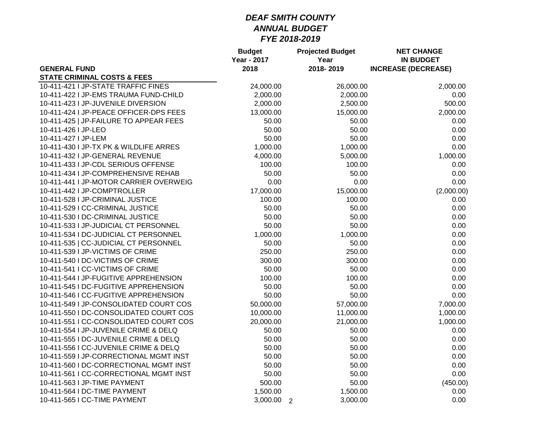|                                        | <b>Budget</b><br><b>Year - 2017</b> | <b>Projected Budget</b><br>Year | <b>NET CHANGE</b><br><b>IN BUDGET</b> |
|----------------------------------------|-------------------------------------|---------------------------------|---------------------------------------|
| <b>GENERAL FUND</b>                    | 2018                                | 2018-2019                       | <b>INCREASE (DECREASE)</b>            |
| <b>STATE CRIMINAL COSTS &amp; FEES</b> |                                     |                                 |                                       |
| 10-411-421 I JP-STATE TRAFFIC FINES    | 24,000.00                           | 26,000.00                       | 2,000.00                              |
| 10-411-422 I JP-EMS TRAUMA FUND-CHILD  | 2,000.00                            | 2,000.00                        | 0.00                                  |
| 10-411-423 I JP-JUVENILE DIVERSION     | 2,000.00                            | 2,500.00                        | 500.00                                |
| 10-411-424 I JP-PEACE OFFICER-DPS FEES | 13,000.00                           | 15,000.00                       | 2,000.00                              |
| 10-411-425   JP-FAILURE TO APPEAR FEES | 50.00                               | 50.00                           | 0.00                                  |
| 10-411-426   JP-LEO                    | 50.00                               | 50.00                           | 0.00                                  |
| 10-411-427   JP-LEM                    | 50.00                               | 50.00                           | 0.00                                  |
| 10-411-430 I JP-TX PK & WILDLIFE ARRES | 1,000.00                            | 1,000.00                        | 0.00                                  |
| 10-411-432 I JP-GENERAL REVENUE        | 4,000.00                            | 5,000.00                        | 1,000.00                              |
| 10-411-433 I JP-CDL SERIOUS OFFENSE    | 100.00                              | 100.00                          | 0.00                                  |
| 10-411-434 I JP-COMPREHENSIVE REHAB    | 50.00                               | 50.00                           | 0.00                                  |
| 10-411-441 I JP-MOTOR CARRIER OVERWEIG | 0.00                                | 0.00                            | 0.00                                  |
| 10-411-442 I JP-COMPTROLLER            | 17,000.00                           | 15,000.00                       | (2,000.00)                            |
| 10-411-528 I JP-CRIMINAL JUSTICE       | 100.00                              | 100.00                          | 0.00                                  |
| 10-411-529 I CC-CRIMINAL JUSTICE       | 50.00                               | 50.00                           | 0.00                                  |
| 10-411-530 I DC-CRIMINAL JUSTICE       | 50.00                               | 50.00                           | 0.00                                  |
| 10-411-533 I JP-JUDICIAL CT PERSONNEL  | 50.00                               | 50.00                           | 0.00                                  |
| 10-411-534 I DC-JUDICIAL CT PERSONNEL  | 1,000.00                            | 1,000.00                        | 0.00                                  |
| 10-411-535   CC-JUDICIAL CT PERSONNEL  | 50.00                               | 50.00                           | 0.00                                  |
| 10-411-539 I JP-VICTIMS OF CRIME       | 250.00                              | 250.00                          | 0.00                                  |
| 10-411-540 I DC-VICTIMS OF CRIME       | 300.00                              | 300.00                          | 0.00                                  |
| 10-411-541 I CC-VICTIMS OF CRIME       | 50.00                               | 50.00                           | 0.00                                  |
| 10-411-544 I JP-FUGITIVE APPREHENSION  | 100.00                              | 100.00                          | 0.00                                  |
| 10-411-545 I DC-FUGITIVE APPREHENSION  | 50.00                               | 50.00                           | 0.00                                  |
| 10-411-546 I CC-FUGITIVE APPREHENSION  | 50.00                               | 50.00                           | 0.00                                  |
| 10-411-549 I JP-CONSOLIDATED COURT COS | 50,000.00                           | 57,000.00                       | 7,000.00                              |
| 10-411-550 I DC-CONSOLIDATED COURT COS | 10,000.00                           | 11,000.00                       | 1,000.00                              |
| 10-411-551 I CC-CONSOLIDATED COURT COS | 20,000.00                           | 21,000.00                       | 1,000.00                              |
| 10-411-554 I JP-JUVENILE CRIME & DELQ  | 50.00                               | 50.00                           | 0.00                                  |
| 10-411-555 I DC-JUVENILE CRIME & DELQ  | 50.00                               | 50.00                           | 0.00                                  |
| 10-411-556 I CC-JUVENILE CRIME & DELQ  | 50.00                               | 50.00                           | 0.00                                  |
| 10-411-559 I JP-CORRECTIONAL MGMT INST | 50.00                               | 50.00                           | 0.00                                  |
| 10-411-560 I DC-CORRECTIONAL MGMT INST | 50.00                               | 50.00                           | 0.00                                  |
| 10-411-561 I CC-CORRECTIONAL MGMT INST | 50.00                               | 50.00                           | 0.00                                  |
| 10-411-563 I JP-TIME PAYMENT           | 500.00                              | 50.00                           | (450.00)                              |
| 10-411-564 I DC-TIME PAYMENT           | 1,500.00                            | 1,500.00                        | 0.00                                  |
| 10-411-565 I CC-TIME PAYMENT           | 3,000.00                            | 3,000.00<br>$\overline{2}$      | 0.00                                  |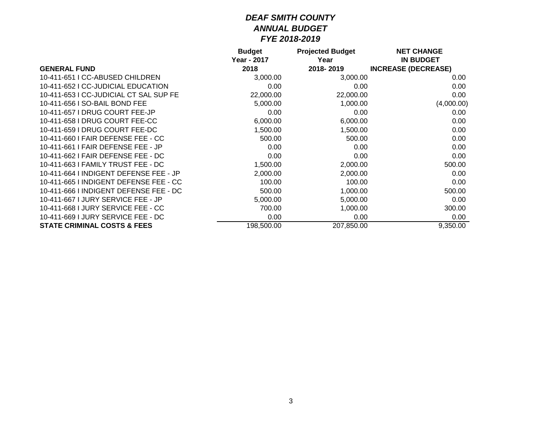|                                        | <b>Budget</b> | <b>Projected Budget</b> | <b>NET CHANGE</b>          |
|----------------------------------------|---------------|-------------------------|----------------------------|
|                                        | Year - 2017   | Year                    | <b>IN BUDGET</b>           |
| <b>GENERAL FUND</b>                    | 2018          | 2018-2019               | <b>INCREASE (DECREASE)</b> |
| 10-411-651 I CC-ABUSED CHILDREN        | 3,000.00      | 3,000.00                | 0.00                       |
| 10-411-652   CC-JUDICIAL EDUCATION     | 0.00          | 0.00                    | 0.00                       |
| 10-411-653 I CC-JUDICIAL CT SAL SUP FE | 22,000.00     | 22,000.00               | 0.00                       |
| 10-411-656 I SO-BAIL BOND FEE          | 5,000.00      | 1,000.00                | (4,000.00)                 |
| 10-411-657 I DRUG COURT FEE-JP         | 0.00          | 0.00                    | 0.00                       |
| 10-411-658 I DRUG COURT FEE-CC         | 6,000.00      | 6,000.00                | 0.00                       |
| 10-411-659 I DRUG COURT FEE-DC         | 1,500.00      | 1,500.00                | 0.00                       |
| 10-411-660 I FAIR DEFENSE FEE - CC     | 500.00        | 500.00                  | 0.00                       |
| 10-411-661   FAIR DEFENSE FEE - JP     | 0.00          | 0.00                    | 0.00                       |
| 10-411-662   FAIR DEFENSE FEE - DC     | 0.00          | 0.00                    | 0.00                       |
| 10-411-663   FAMILY TRUST FEE - DC     | 1,500.00      | 2,000.00                | 500.00                     |
| 10-411-664 I INDIGENT DEFENSE FEE - JP | 2,000.00      | 2,000.00                | 0.00                       |
| 10-411-665 I INDIGENT DEFENSE FEE - CC | 100.00        | 100.00                  | 0.00                       |
| 10-411-666 I INDIGENT DEFENSE FEE - DC | 500.00        | 1,000.00                | 500.00                     |
| 10-411-667 LJURY SERVICE FEE - JP      | 5,000.00      | 5,000.00                | 0.00                       |
| 10-411-668 I JURY SERVICE FEE - CC     | 700.00        | 1,000.00                | 300.00                     |
| 10-411-669 I JURY SERVICE FEE - DC     | 0.00          | 0.00                    | 0.00                       |
| <b>STATE CRIMINAL COSTS &amp; FEES</b> | 198,500.00    | 207,850.00              | 9,350.00                   |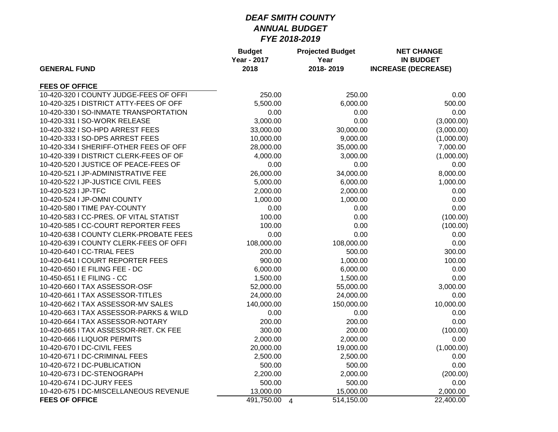| <b>GENERAL FUND</b>                    | <b>Budget</b><br><b>Year - 2017</b><br>2018 | <b>Projected Budget</b><br>Year<br>2018-2019 | <b>NET CHANGE</b><br><b>IN BUDGET</b><br><b>INCREASE (DECREASE)</b> |
|----------------------------------------|---------------------------------------------|----------------------------------------------|---------------------------------------------------------------------|
|                                        |                                             |                                              |                                                                     |
| <b>FEES OF OFFICE</b>                  |                                             |                                              |                                                                     |
| 10-420-320 I COUNTY JUDGE-FEES OF OFFI | 250.00                                      | 250.00                                       | 0.00                                                                |
| 10-420-325 I DISTRICT ATTY-FEES OF OFF | 5,500.00                                    | 6,000.00                                     | 500.00                                                              |
| 10-420-330 I SO-INMATE TRANSPORTATION  | 0.00                                        | 0.00                                         | 0.00                                                                |
| 10-420-331 I SO-WORK RELEASE           | 3,000.00                                    | 0.00                                         | (3,000.00)                                                          |
| 10-420-332 I SO-HPD ARREST FEES        | 33,000.00                                   | 30,000.00                                    | (3,000.00)                                                          |
| 10-420-333 I SO-DPS ARREST FEES        | 10,000.00                                   | 9,000.00                                     | (1,000.00)                                                          |
| 10-420-334 I SHERIFF-OTHER FEES OF OFF | 28,000.00                                   | 35,000.00                                    | 7,000.00                                                            |
| 10-420-339 I DISTRICT CLERK-FEES OF OF | 4,000.00                                    | 3,000.00                                     | (1,000.00)                                                          |
| 10-420-520 I JUSTICE OF PEACE-FEES OF  | 0.00                                        | 0.00                                         | 0.00                                                                |
| 10-420-521 I JP-ADMINISTRATIVE FEE     | 26,000.00                                   | 34,000.00                                    | 8,000.00                                                            |
| 10-420-522 I JP-JUSTICE CIVIL FEES     | 5,000.00                                    | 6,000.00                                     | 1,000.00                                                            |
| 10-420-523 I JP-TFC                    | 2,000.00                                    | 2,000.00                                     | 0.00                                                                |
| 10-420-524 I JP-OMNI COUNTY            | 1,000.00                                    | 1,000.00                                     | 0.00                                                                |
| 10-420-580 I TIME PAY-COUNTY           | 0.00                                        | 0.00                                         | 0.00                                                                |
| 10-420-583 I CC-PRES. OF VITAL STATIST | 100.00                                      | 0.00                                         | (100.00)                                                            |
| 10-420-585 I CC-COURT REPORTER FEES    | 100.00                                      | 0.00                                         | (100.00)                                                            |
| 10-420-638 I COUNTY CLERK-PROBATE FEES | 0.00                                        | 0.00                                         | 0.00                                                                |
| 10-420-639 I COUNTY CLERK-FEES OF OFFI | 108,000.00                                  | 108,000.00                                   | 0.00                                                                |
| 10-420-640   CC-TRIAL FEES             | 200.00                                      | 500.00                                       | 300.00                                                              |
| 10-420-641 I COURT REPORTER FEES       | 900.00                                      | 1,000.00                                     | 100.00                                                              |
| 10-420-650 I E FILING FEE - DC         | 6,000.00                                    | 6,000.00                                     | 0.00                                                                |
| 10-450-651 I E FILING - CC             | 1,500.00                                    | 1,500.00                                     | 0.00                                                                |
| 10-420-660 I TAX ASSESSOR-OSF          | 52,000.00                                   | 55,000.00                                    | 3,000.00                                                            |
| 10-420-661 I TAX ASSESSOR-TITLES       | 24,000.00                                   | 24,000.00                                    | 0.00                                                                |
| 10-420-662 I TAX ASSESSOR-MV SALES     | 140,000.00                                  | 150,000.00                                   | 10,000.00                                                           |
| 10-420-663 I TAX ASSESSOR-PARKS & WILD | 0.00                                        | 0.00                                         | 0.00                                                                |
| 10-420-664 I TAX ASSESSOR-NOTARY       | 200.00                                      | 200.00                                       | 0.00                                                                |
| 10-420-665 I TAX ASSESSOR-RET. CK FEE  | 300.00                                      | 200.00                                       | (100.00)                                                            |
| 10-420-666 I LIQUOR PERMITS            | 2,000.00                                    | 2,000.00                                     | 0.00                                                                |
| 10-420-670   DC-CIVIL FEES             | 20,000.00                                   | 19,000.00                                    | (1,000.00)                                                          |
| 10-420-671 I DC-CRIMINAL FEES          | 2,500.00                                    | 2,500.00                                     | 0.00                                                                |
| 10-420-672   DC-PUBLICATION            | 500.00                                      | 500.00                                       | 0.00                                                                |
| 10-420-673 I DC-STENOGRAPH             | 2,200.00                                    | 2,000.00                                     | (200.00)                                                            |
| 10-420-674 I DC-JURY FEES              | 500.00                                      | 500.00                                       | 0.00                                                                |
| 10-420-675 I DC-MISCELLANEOUS REVENUE  | 13,000.00                                   | 15,000.00                                    | 2,000.00                                                            |
| <b>FEES OF OFFICE</b>                  | 491,750.00<br>$\overline{4}$                | 514,150.00                                   | 22,400.00                                                           |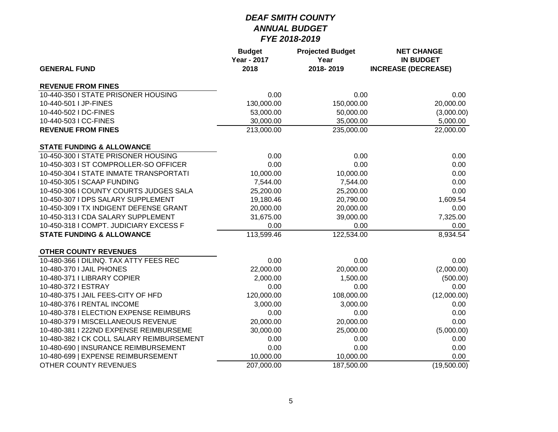| <b>GENERAL FUND</b>                       | <b>Budget</b><br><b>Year - 2017</b><br>2018 | <b>Projected Budget</b><br>Year<br>2018-2019 | <b>NET CHANGE</b><br><b>IN BUDGET</b><br><b>INCREASE (DECREASE)</b> |
|-------------------------------------------|---------------------------------------------|----------------------------------------------|---------------------------------------------------------------------|
|                                           |                                             |                                              |                                                                     |
| <b>REVENUE FROM FINES</b>                 |                                             |                                              |                                                                     |
| 10-440-350 I STATE PRISONER HOUSING       | 0.00                                        | 0.00                                         | 0.00                                                                |
| 10-440-501 I JP-FINES                     | 130,000.00                                  | 150,000.00                                   | 20,000.00                                                           |
| 10-440-502 I DC-FINES                     | 53,000.00                                   | 50,000.00                                    | (3,000.00)                                                          |
| 10-440-503 I CC-FINES                     | 30,000.00                                   | 35,000.00                                    | 5,000.00                                                            |
| <b>REVENUE FROM FINES</b>                 | 213,000.00                                  | 235,000.00                                   | 22,000.00                                                           |
| <b>STATE FUNDING &amp; ALLOWANCE</b>      |                                             |                                              |                                                                     |
| 10-450-300 I STATE PRISONER HOUSING       | 0.00                                        | 0.00                                         | 0.00                                                                |
| 10-450-303 I ST COMPROLLER-SO OFFICER     | 0.00                                        | 0.00                                         | 0.00                                                                |
| 10-450-304   STATE INMATE TRANSPORTATI    | 10,000.00                                   | 10,000.00                                    | 0.00                                                                |
| 10-450-305 I SCAAP FUNDING                | 7,544.00                                    | 7,544.00                                     | 0.00                                                                |
| 10-450-306 I COUNTY COURTS JUDGES SALA    | 25,200.00                                   | 25,200.00                                    | 0.00                                                                |
| 10-450-307 I DPS SALARY SUPPLEMENT        | 19,180.46                                   | 20,790.00                                    | 1,609.54                                                            |
| 10-450-309 I TX INDIGENT DEFENSE GRANT    | 20,000.00                                   | 20,000.00                                    | 0.00                                                                |
| 10-450-313 I CDA SALARY SUPPLEMENT        | 31,675.00                                   | 39,000.00                                    | 7,325.00                                                            |
| 10-450-318 I COMPT. JUDICIARY EXCESS F    | 0.00                                        | 0.00                                         | 0.00                                                                |
| <b>STATE FUNDING &amp; ALLOWANCE</b>      | 113,599.46                                  | 122,534.00                                   | 8,934.54                                                            |
| <b>OTHER COUNTY REVENUES</b>              |                                             |                                              |                                                                     |
| 10-480-366 I DILINQ. TAX ATTY FEES REC    | 0.00                                        | 0.00                                         | 0.00                                                                |
| 10-480-370 I JAIL PHONES                  | 22,000.00                                   | 20,000.00                                    | (2,000.00)                                                          |
| 10-480-371 I LIBRARY COPIER               | 2,000.00                                    | 1,500.00                                     | (500.00)                                                            |
| 10-480-372 I ESTRAY                       | 0.00                                        | 0.00                                         | 0.00                                                                |
| 10-480-375 I JAIL FEES-CITY OF HFD        | 120,000.00                                  | 108,000.00                                   | (12,000.00)                                                         |
| 10-480-376   RENTAL INCOME                | 3,000.00                                    | 3,000.00                                     | 0.00                                                                |
| 10-480-378 I ELECTION EXPENSE REIMBURS    | 0.00                                        | 0.00                                         | 0.00                                                                |
| 10-480-379 I MISCELLANEOUS REVENUE        | 20,000.00                                   | 20,000.00                                    | 0.00                                                                |
| 10-480-381   222ND EXPENSE REIMBURSEME    | 30,000.00                                   | 25,000.00                                    | (5,000.00)                                                          |
| 10-480-382 I CK COLL SALARY REIMBURSEMENT | 0.00                                        | 0.00                                         | 0.00                                                                |
| 10-480-690   INSURANCE REIMBURSEMENT      | 0.00                                        | 0.00                                         | 0.00                                                                |
| 10-480-699   EXPENSE REIMBURSEMENT        | 10,000.00                                   | 10,000.00                                    | 0.00                                                                |
| OTHER COUNTY REVENUES                     | 207,000.00                                  | 187,500.00                                   | (19,500.00)                                                         |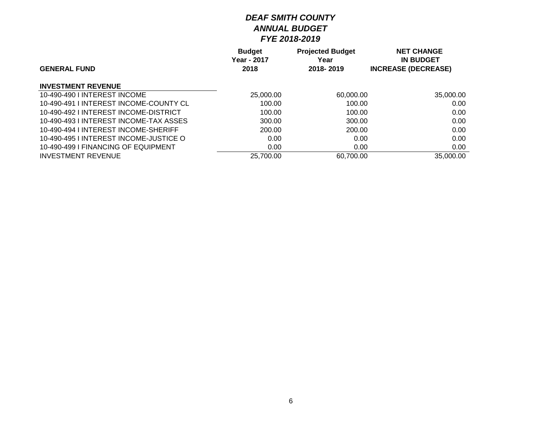|                                       | <b>Budget</b> | <b>Projected Budget</b> | <b>NET CHANGE</b>          |
|---------------------------------------|---------------|-------------------------|----------------------------|
|                                       | Year - 2017   | Year                    | <b>IN BUDGET</b>           |
| <b>GENERAL FUND</b>                   | 2018          | 2018-2019               | <b>INCREASE (DECREASE)</b> |
| <b>INVESTMENT REVENUE</b>             |               |                         |                            |
| 10-490-490 LINTEREST INCOME           | 25,000.00     | 60,000.00               | 35,000.00                  |
| 10-490-491 LINTEREST INCOME-COUNTY CL | 100.00        | 100.00                  | 0.00                       |
| 10-490-492   INTEREST INCOME-DISTRICT | 100.00        | 100.00                  | 0.00                       |
| 10-490-493 LINTEREST INCOME-TAX ASSES | 300.00        | 300.00                  | 0.00                       |
| 10-490-494 LINTEREST INCOME-SHERIFF   | 200.00        | 200.00                  | 0.00                       |
| 10-490-495 LINTEREST INCOME-JUSTICE O | 0.00          | 0.00                    | 0.00                       |
| 10-490-499 LEINANCING OF EQUIPMENT    | 0.00          | 0.00                    | 0.00                       |
| <b>INVESTMENT REVENUE</b>             | 25,700.00     | 60,700.00               | 35,000.00                  |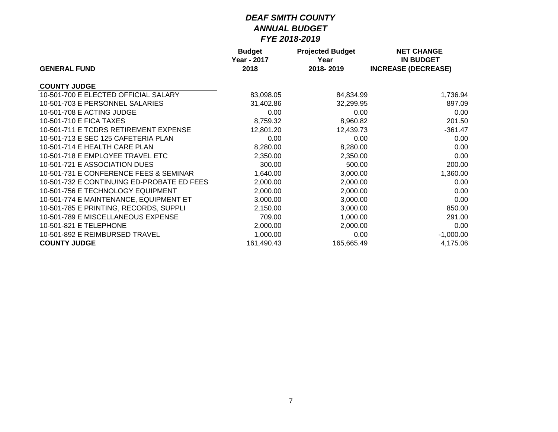|                                            | <b>Budget</b>       | <b>Projected Budget</b> | <b>NET CHANGE</b>                              |
|--------------------------------------------|---------------------|-------------------------|------------------------------------------------|
| <b>GENERAL FUND</b>                        | Year - 2017<br>2018 | Year<br>2018-2019       | <b>IN BUDGET</b><br><b>INCREASE (DECREASE)</b> |
| <b>COUNTY JUDGE</b>                        |                     |                         |                                                |
| 10-501-700 E ELECTED OFFICIAL SALARY       | 83,098.05           | 84,834.99               | 1,736.94                                       |
| 10-501-703 E PERSONNEL SALARIES            | 31,402.86           | 32,299.95               | 897.09                                         |
| 10-501-708 E ACTING JUDGE                  | 0.00                | 0.00                    | 0.00                                           |
| 10-501-710 E FICA TAXES                    | 8,759.32            | 8,960.82                | 201.50                                         |
| 10-501-711 E TCDRS RETIREMENT EXPENSE      | 12,801.20           | 12,439.73               | $-361.47$                                      |
| 10-501-713 E SEC 125 CAFETERIA PLAN        | 0.00                | 0.00                    | 0.00                                           |
| 10-501-714 E HEALTH CARE PLAN              | 8,280.00            | 8,280.00                | 0.00                                           |
| 10-501-718 E EMPLOYEE TRAVEL ETC           | 2,350.00            | 2,350.00                | 0.00                                           |
| 10-501-721 E ASSOCIATION DUES              | 300.00              | 500.00                  | 200.00                                         |
| 10-501-731 E CONFERENCE FEES & SEMINAR     | 1,640.00            | 3,000.00                | 1,360.00                                       |
| 10-501-732 E CONTINUING ED-PROBATE ED FEES | 2,000.00            | 2,000.00                | 0.00                                           |
| 10-501-756 E TECHNOLOGY EQUIPMENT          | 2,000.00            | 2,000.00                | 0.00                                           |
| 10-501-774 E MAINTENANCE, EQUIPMENT ET     | 3,000.00            | 3,000.00                | 0.00                                           |
| 10-501-785 E PRINTING, RECORDS, SUPPLI     | 2,150.00            | 3,000.00                | 850.00                                         |
| 10-501-789 E MISCELLANEOUS EXPENSE         | 709.00              | 1,000.00                | 291.00                                         |
| 10-501-821 E TELEPHONE                     | 2,000.00            | 2,000.00                | 0.00                                           |
| 10-501-892 E REIMBURSED TRAVEL             | 1,000.00            | 0.00                    | $-1,000.00$                                    |
| <b>COUNTY JUDGE</b>                        | 161,490.43          | 165,665.49              | 4,175.06                                       |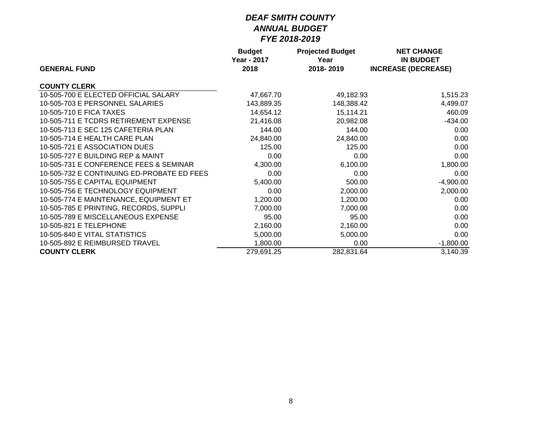|                                            | <b>Budget</b>       | <b>Projected Budget</b> | <b>NET CHANGE</b>                              |
|--------------------------------------------|---------------------|-------------------------|------------------------------------------------|
| <b>GENERAL FUND</b>                        | Year - 2017<br>2018 | Year<br>2018-2019       | <b>IN BUDGET</b><br><b>INCREASE (DECREASE)</b> |
|                                            |                     |                         |                                                |
| <b>COUNTY CLERK</b>                        |                     |                         |                                                |
| 10-505-700 E ELECTED OFFICIAL SALARY       | 47,667.70           | 49,182.93               | 1,515.23                                       |
| 10-505-703 E PERSONNEL SALARIES            | 143,889.35          | 148,388.42              | 4,499.07                                       |
| 10-505-710 E FICA TAXES                    | 14,654.12           | 15,114.21               | 460.09                                         |
| 10-505-711 E TCDRS RETIREMENT EXPENSE      | 21,416.08           | 20,982.08               | $-434.00$                                      |
| 10-505-713 E SEC 125 CAFETERIA PLAN        | 144.00              | 144.00                  | 0.00                                           |
| 10-505-714 E HEALTH CARE PLAN              | 24,840.00           | 24,840.00               | 0.00                                           |
| 10-505-721 E ASSOCIATION DUES              | 125.00              | 125.00                  | 0.00                                           |
| 10-505-727 E BUILDING REP & MAINT          | 0.00                | 0.00                    | 0.00                                           |
| 10-505-731 E CONFERENCE FEES & SEMINAR     | 4,300.00            | 6,100.00                | 1,800.00                                       |
| 10-505-732 E CONTINUING ED-PROBATE ED FEES | 0.00                | 0.00                    | 0.00                                           |
| 10-505-755 E CAPITAL EQUIPMENT             | 5,400.00            | 500.00                  | $-4,900.00$                                    |
| 10-505-756 E TECHNOLOGY EQUIPMENT          | 0.00                | 2,000.00                | 2,000.00                                       |
| 10-505-774 E MAINTENANCE, EQUIPMENT ET     | 1,200.00            | 1,200.00                | 0.00                                           |
| 10-505-785 E PRINTING, RECORDS, SUPPLI     | 7,000.00            | 7,000.00                | 0.00                                           |
| 10-505-789 E MISCELLANEOUS EXPENSE         | 95.00               | 95.00                   | 0.00                                           |
| 10-505-821 E TELEPHONE                     | 2,160.00            | 2,160.00                | 0.00                                           |
| 10-505-840 E VITAL STATISTICS              | 5,000.00            | 5,000.00                | 0.00                                           |
| 10-505-892 E REIMBURSED TRAVEL             | 1,800.00            | 0.00                    | $-1,800.00$                                    |
| <b>COUNTY CLERK</b>                        | 279,691.25          | 282,831.64              | 3,140.39                                       |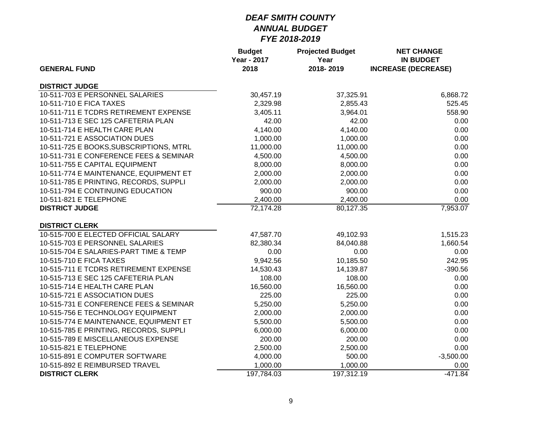| <b>GENERAL FUND</b>                     | <b>Budget</b><br><b>Year - 2017</b><br>2018 | <b>Projected Budget</b><br>Year<br>2018-2019 | <b>NET CHANGE</b><br><b>IN BUDGET</b><br><b>INCREASE (DECREASE)</b> |
|-----------------------------------------|---------------------------------------------|----------------------------------------------|---------------------------------------------------------------------|
| <b>DISTRICT JUDGE</b>                   |                                             |                                              |                                                                     |
| 10-511-703 E PERSONNEL SALARIES         | 30,457.19                                   | 37,325.91                                    | 6,868.72                                                            |
| 10-511-710 E FICA TAXES                 | 2,329.98                                    | 2,855.43                                     | 525.45                                                              |
| 10-511-711 E TCDRS RETIREMENT EXPENSE   | 3,405.11                                    | 3,964.01                                     | 558.90                                                              |
| 10-511-713 E SEC 125 CAFETERIA PLAN     | 42.00                                       | 42.00                                        | 0.00                                                                |
| 10-511-714 E HEALTH CARE PLAN           | 4,140.00                                    | 4,140.00                                     | 0.00                                                                |
| 10-511-721 E ASSOCIATION DUES           | 1,000.00                                    | 1,000.00                                     | 0.00                                                                |
| 10-511-725 E BOOKS, SUBSCRIPTIONS, MTRL | 11,000.00                                   | 11,000.00                                    | 0.00                                                                |
| 10-511-731 E CONFERENCE FEES & SEMINAR  | 4,500.00                                    | 4,500.00                                     | 0.00                                                                |
| 10-511-755 E CAPITAL EQUIPMENT          | 8,000.00                                    | 8,000.00                                     | 0.00                                                                |
| 10-511-774 E MAINTENANCE, EQUIPMENT ET  | 2,000.00                                    | 2,000.00                                     | 0.00                                                                |
| 10-511-785 E PRINTING, RECORDS, SUPPLI  | 2,000.00                                    | 2,000.00                                     | 0.00                                                                |
| 10-511-794 E CONTINUING EDUCATION       | 900.00                                      | 900.00                                       | 0.00                                                                |
| 10-511-821 E TELEPHONE                  | 2,400.00                                    | 2,400.00                                     | 0.00                                                                |
| <b>DISTRICT JUDGE</b>                   | 72,174.28                                   | 80,127.35                                    | 7,953.07                                                            |
| <b>DISTRICT CLERK</b>                   |                                             |                                              |                                                                     |
| 10-515-700 E ELECTED OFFICIAL SALARY    | 47,587.70                                   | 49,102.93                                    | 1,515.23                                                            |
| 10-515-703 E PERSONNEL SALARIES         | 82,380.34                                   | 84,040.88                                    | 1,660.54                                                            |
| 10-515-704 E SALARIES-PART TIME & TEMP  | 0.00                                        | 0.00                                         | 0.00                                                                |
| 10-515-710 E FICA TAXES                 | 9,942.56                                    | 10,185.50                                    | 242.95                                                              |
| 10-515-711 E TCDRS RETIREMENT EXPENSE   | 14,530.43                                   | 14,139.87                                    | $-390.56$                                                           |
| 10-515-713 E SEC 125 CAFETERIA PLAN     | 108.00                                      | 108.00                                       | 0.00                                                                |
| 10-515-714 E HEALTH CARE PLAN           | 16,560.00                                   | 16,560.00                                    | 0.00                                                                |
| 10-515-721 E ASSOCIATION DUES           | 225.00                                      | 225.00                                       | 0.00                                                                |
| 10-515-731 E CONFERENCE FEES & SEMINAR  | 5,250.00                                    | 5,250.00                                     | 0.00                                                                |
| 10-515-756 E TECHNOLOGY EQUIPMENT       | 2,000.00                                    | 2,000.00                                     | 0.00                                                                |
| 10-515-774 E MAINTENANCE, EQUIPMENT ET  | 5,500.00                                    | 5,500.00                                     | 0.00                                                                |
| 10-515-785 E PRINTING, RECORDS, SUPPLI  | 6,000.00                                    | 6,000.00                                     | 0.00                                                                |
| 10-515-789 E MISCELLANEOUS EXPENSE      | 200.00                                      | 200.00                                       | 0.00                                                                |
| 10-515-821 E TELEPHONE                  | 2,500.00                                    | 2,500.00                                     | 0.00                                                                |
| 10-515-891 E COMPUTER SOFTWARE          | 4,000.00                                    | 500.00                                       | $-3,500.00$                                                         |
| 10-515-892 E REIMBURSED TRAVEL          | 1,000.00                                    | 1,000.00                                     | 0.00                                                                |
| <b>DISTRICT CLERK</b>                   | 197,784.03                                  | 197,312.19                                   | $-471.84$                                                           |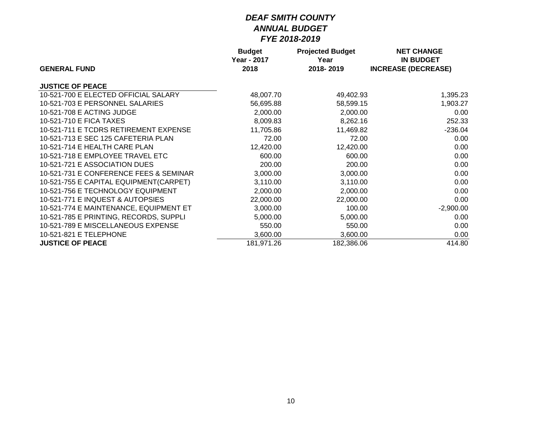|                                        | <b>Budget</b>       | <b>Projected Budget</b> | <b>NET CHANGE</b>                              |
|----------------------------------------|---------------------|-------------------------|------------------------------------------------|
| <b>GENERAL FUND</b>                    | Year - 2017<br>2018 | Year<br>2018-2019       | <b>IN BUDGET</b><br><b>INCREASE (DECREASE)</b> |
| <b>JUSTICE OF PEACE</b>                |                     |                         |                                                |
| 10-521-700 E ELECTED OFFICIAL SALARY   | 48,007.70           | 49,402.93               | 1,395.23                                       |
| 10-521-703 E PERSONNEL SALARIES        | 56,695.88           | 58,599.15               | 1,903.27                                       |
| 10-521-708 E ACTING JUDGE              | 2,000.00            | 2,000.00                | 0.00                                           |
| 10-521-710 E FICA TAXES                | 8,009.83            | 8,262.16                | 252.33                                         |
| 10-521-711 E TCDRS RETIREMENT EXPENSE  | 11,705.86           | 11,469.82               | $-236.04$                                      |
| 10-521-713 E SEC 125 CAFETERIA PLAN    | 72.00               | 72.00                   | 0.00                                           |
| 10-521-714 E HEALTH CARE PLAN          | 12,420.00           | 12,420.00               | 0.00                                           |
| 10-521-718 E EMPLOYEE TRAVEL ETC       | 600.00              | 600.00                  | 0.00                                           |
| 10-521-721 E ASSOCIATION DUES          | 200.00              | 200.00                  | 0.00                                           |
| 10-521-731 E CONFERENCE FEES & SEMINAR | 3,000.00            | 3,000.00                | 0.00                                           |
| 10-521-755 E CAPITAL EQUIPMENT(CARPET) | 3,110.00            | 3,110.00                | 0.00                                           |
| 10-521-756 E TECHNOLOGY EQUIPMENT      | 2,000.00            | 2,000.00                | 0.00                                           |
| 10-521-771 E INQUEST & AUTOPSIES       | 22,000.00           | 22,000.00               | 0.00                                           |
| 10-521-774 E MAINTENANCE, EQUIPMENT ET | 3,000.00            | 100.00                  | $-2,900.00$                                    |
| 10-521-785 E PRINTING, RECORDS, SUPPLI | 5,000.00            | 5,000.00                | 0.00                                           |
| 10-521-789 E MISCELLANEOUS EXPENSE     | 550.00              | 550.00                  | 0.00                                           |
| 10-521-821 E TELEPHONE                 | 3,600.00            | 3,600.00                | 0.00                                           |
| <b>JUSTICE OF PEACE</b>                | 181,971.26          | 182,386.06              | 414.80                                         |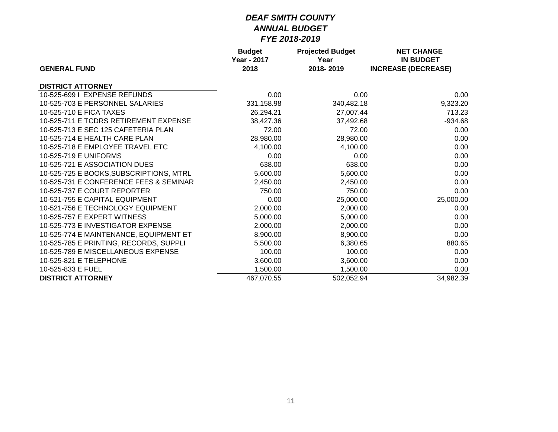|                                         | <b>Budget</b>      | <b>Projected Budget</b> | <b>NET CHANGE</b>          |
|-----------------------------------------|--------------------|-------------------------|----------------------------|
|                                         | <b>Year - 2017</b> | Year                    | <b>IN BUDGET</b>           |
| <b>GENERAL FUND</b>                     | 2018               | 2018-2019               | <b>INCREASE (DECREASE)</b> |
| <b>DISTRICT ATTORNEY</b>                |                    |                         |                            |
| 10-525-699   EXPENSE REFUNDS            | 0.00               | 0.00                    | 0.00                       |
| 10-525-703 E PERSONNEL SALARIES         | 331,158.98         | 340,482.18              | 9,323.20                   |
| 10-525-710 E FICA TAXES                 | 26,294.21          | 27,007.44               | 713.23                     |
| 10-525-711 E TCDRS RETIREMENT EXPENSE   | 38,427.36          | 37,492.68               | $-934.68$                  |
| 10-525-713 E SEC 125 CAFETERIA PLAN     | 72.00              | 72.00                   | 0.00                       |
| 10-525-714 E HEALTH CARE PLAN           | 28,980.00          | 28,980.00               | 0.00                       |
| 10-525-718 E EMPLOYEE TRAVEL ETC        | 4,100.00           | 4,100.00                | 0.00                       |
| 10-525-719 E UNIFORMS                   | 0.00               | 0.00                    | 0.00                       |
| 10-525-721 E ASSOCIATION DUES           | 638.00             | 638.00                  | 0.00                       |
| 10-525-725 E BOOKS, SUBSCRIPTIONS, MTRL | 5,600.00           | 5,600.00                | 0.00                       |
| 10-525-731 E CONFERENCE FEES & SEMINAR  | 2,450.00           | 2,450.00                | 0.00                       |
| 10-525-737 E COURT REPORTER             | 750.00             | 750.00                  | 0.00                       |
| 10-521-755 E CAPITAL EQUIPMENT          | 0.00               | 25,000.00               | 25,000.00                  |
| 10-521-756 E TECHNOLOGY EQUIPMENT       | 2,000.00           | 2,000.00                | 0.00                       |
| 10-525-757 E EXPERT WITNESS             | 5,000.00           | 5,000.00                | 0.00                       |
| 10-525-773 E INVESTIGATOR EXPENSE       | 2,000.00           | 2,000.00                | 0.00                       |
| 10-525-774 E MAINTENANCE, EQUIPMENT ET  | 8,900.00           | 8,900.00                | 0.00                       |
| 10-525-785 E PRINTING, RECORDS, SUPPLI  | 5,500.00           | 6,380.65                | 880.65                     |
| 10-525-789 E MISCELLANEOUS EXPENSE      | 100.00             | 100.00                  | 0.00                       |
| 10-525-821 E TELEPHONE                  | 3,600.00           | 3,600.00                | 0.00                       |
| 10-525-833 E FUEL                       | 1,500.00           | 1,500.00                | 0.00                       |
| <b>DISTRICT ATTORNEY</b>                | 467,070.55         | 502,052.94              | 34,982.39                  |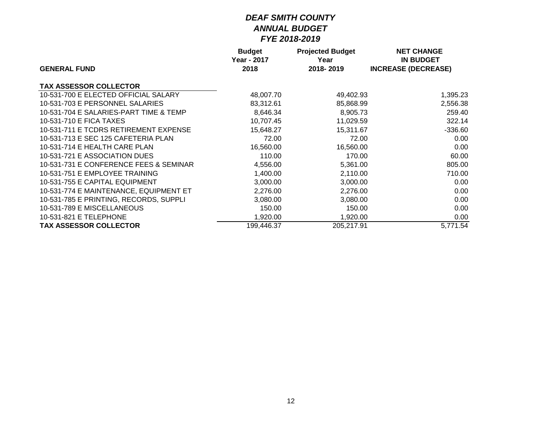|                                        | <b>Budget</b>       | <b>Projected Budget</b> | <b>NET CHANGE</b>                              |  |
|----------------------------------------|---------------------|-------------------------|------------------------------------------------|--|
| <b>GENERAL FUND</b>                    | Year - 2017<br>2018 | Year<br>2018-2019       | <b>IN BUDGET</b><br><b>INCREASE (DECREASE)</b> |  |
| <b>TAX ASSESSOR COLLECTOR</b>          |                     |                         |                                                |  |
| 10-531-700 E ELECTED OFFICIAL SALARY   | 48,007.70           | 49,402.93               | 1,395.23                                       |  |
| 10-531-703 E PERSONNEL SALARIES        | 83,312.61           | 85,868.99               | 2,556.38                                       |  |
| 10-531-704 E SALARIES-PART TIME & TEMP | 8,646.34            | 8,905.73                | 259.40                                         |  |
| 10-531-710 E FICA TAXES                | 10,707.45           | 11,029.59               | 322.14                                         |  |
| 10-531-711 E TCDRS RETIREMENT EXPENSE  | 15,648.27           | 15,311.67               | $-336.60$                                      |  |
| 10-531-713 E SEC 125 CAFETERIA PLAN    | 72.00               | 72.00                   | 0.00                                           |  |
| 10-531-714 E HEALTH CARE PLAN          | 16,560.00           | 16,560.00               | 0.00                                           |  |
| 10-531-721 E ASSOCIATION DUES          | 110.00              | 170.00                  | 60.00                                          |  |
| 10-531-731 E CONFERENCE FEES & SEMINAR | 4,556.00            | 5,361.00                | 805.00                                         |  |
| 10-531-751 E EMPLOYEE TRAINING         | 1,400.00            | 2,110.00                | 710.00                                         |  |
| 10-531-755 E CAPITAL EQUIPMENT         | 3,000.00            | 3,000.00                | 0.00                                           |  |
| 10-531-774 E MAINTENANCE, EQUIPMENT ET | 2,276.00            | 2,276.00                | 0.00                                           |  |
| 10-531-785 E PRINTING, RECORDS, SUPPLI | 3,080.00            | 3,080.00                | 0.00                                           |  |
| 10-531-789 E MISCELLANEOUS             | 150.00              | 150.00                  | 0.00                                           |  |
| 10-531-821 E TELEPHONE                 | 1,920.00            | 1,920.00                | 0.00                                           |  |
| <b>TAX ASSESSOR COLLECTOR</b>          | 199.446.37          | 205,217.91              | 5.771.54                                       |  |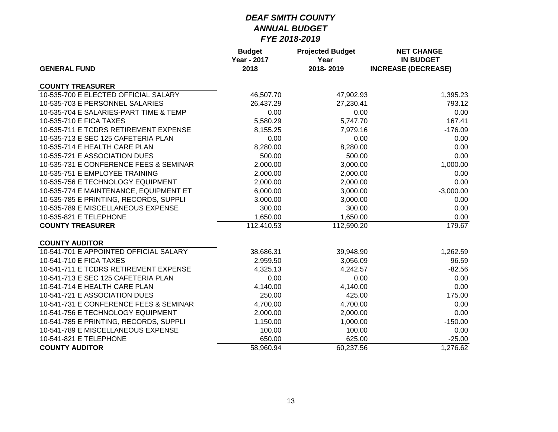| <b>GENERAL FUND</b>                    | <b>Budget</b><br><b>Year - 2017</b><br>2018 | <b>Projected Budget</b><br>Year<br>2018-2019 | <b>NET CHANGE</b><br><b>IN BUDGET</b><br><b>INCREASE (DECREASE)</b> |
|----------------------------------------|---------------------------------------------|----------------------------------------------|---------------------------------------------------------------------|
|                                        |                                             |                                              |                                                                     |
| <b>COUNTY TREASURER</b>                |                                             |                                              |                                                                     |
| 10-535-700 E ELECTED OFFICIAL SALARY   | 46,507.70                                   | 47,902.93                                    | 1,395.23                                                            |
| 10-535-703 E PERSONNEL SALARIES        | 26,437.29                                   | 27,230.41                                    | 793.12                                                              |
| 10-535-704 E SALARIES-PART TIME & TEMP | 0.00                                        | 0.00                                         | 0.00                                                                |
| 10-535-710 E FICA TAXES                | 5,580.29                                    | 5,747.70                                     | 167.41                                                              |
| 10-535-711 E TCDRS RETIREMENT EXPENSE  | 8,155.25                                    | 7,979.16                                     | $-176.09$                                                           |
| 10-535-713 E SEC 125 CAFETERIA PLAN    | 0.00                                        | 0.00                                         | 0.00                                                                |
| 10-535-714 E HEALTH CARE PLAN          | 8,280.00                                    | 8,280.00                                     | 0.00                                                                |
| 10-535-721 E ASSOCIATION DUES          | 500.00                                      | 500.00                                       | 0.00                                                                |
| 10-535-731 E CONFERENCE FEES & SEMINAR | 2,000.00                                    | 3,000.00                                     | 1,000.00                                                            |
| 10-535-751 E EMPLOYEE TRAINING         | 2,000.00                                    | 2,000.00                                     | 0.00                                                                |
| 10-535-756 E TECHNOLOGY EQUIPMENT      | 2,000.00                                    | 2,000.00                                     | 0.00                                                                |
| 10-535-774 E MAINTENANCE, EQUIPMENT ET | 6,000.00                                    | 3,000.00                                     | $-3,000.00$                                                         |
| 10-535-785 E PRINTING, RECORDS, SUPPLI | 3,000.00                                    | 3,000.00                                     | 0.00                                                                |
| 10-535-789 E MISCELLANEOUS EXPENSE     | 300.00                                      | 300.00                                       | 0.00                                                                |
| 10-535-821 E TELEPHONE                 | 1,650.00                                    | 1,650.00                                     | 0.00                                                                |
| <b>COUNTY TREASURER</b>                | 112,410.53                                  | 112,590.20                                   | 179.67                                                              |
| <b>COUNTY AUDITOR</b>                  |                                             |                                              |                                                                     |
| 10-541-701 E APPOINTED OFFICIAL SALARY | 38,686.31                                   | 39,948.90                                    | 1,262.59                                                            |
| 10-541-710 E FICA TAXES                | 2,959.50                                    | 3,056.09                                     | 96.59                                                               |
| 10-541-711 E TCDRS RETIREMENT EXPENSE  | 4,325.13                                    | 4,242.57                                     | $-82.56$                                                            |
| 10-541-713 E SEC 125 CAFETERIA PLAN    | 0.00                                        | 0.00                                         | 0.00                                                                |
| 10-541-714 E HEALTH CARE PLAN          | 4,140.00                                    | 4,140.00                                     | 0.00                                                                |
| 10-541-721 E ASSOCIATION DUES          | 250.00                                      | 425.00                                       | 175.00                                                              |
| 10-541-731 E CONFERENCE FEES & SEMINAR | 4,700.00                                    | 4,700.00                                     | 0.00                                                                |
| 10-541-756 E TECHNOLOGY EQUIPMENT      | 2,000.00                                    | 2,000.00                                     | 0.00                                                                |
| 10-541-785 E PRINTING, RECORDS, SUPPLI | 1,150.00                                    | 1,000.00                                     | $-150.00$                                                           |
| 10-541-789 E MISCELLANEOUS EXPENSE     | 100.00                                      | 100.00                                       | 0.00                                                                |
| 10-541-821 E TELEPHONE                 | 650.00                                      | 625.00                                       | $-25.00$                                                            |
| <b>COUNTY AUDITOR</b>                  | 58,960.94                                   | 60,237.56                                    | 1,276.62                                                            |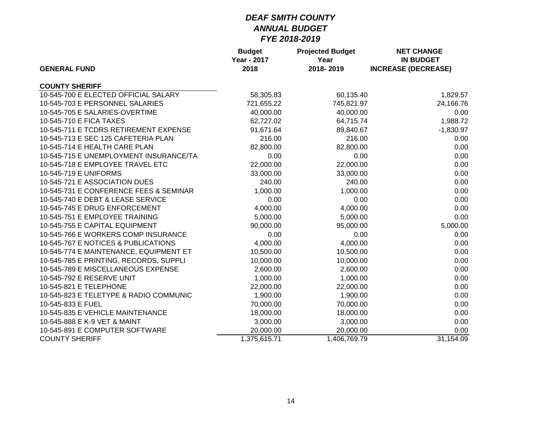|                                        | <b>Budget</b><br><b>Year - 2017</b> | <b>Projected Budget</b><br>Year | <b>NET CHANGE</b><br><b>IN BUDGET</b> |  |
|----------------------------------------|-------------------------------------|---------------------------------|---------------------------------------|--|
| <b>GENERAL FUND</b>                    | 2018                                | 2018-2019                       | <b>INCREASE (DECREASE)</b>            |  |
| <b>COUNTY SHERIFF</b>                  |                                     |                                 |                                       |  |
| 10-545-700 E ELECTED OFFICIAL SALARY   | 58,305.83                           | 60,135.40                       | 1,829.57                              |  |
| 10-545-703 E PERSONNEL SALARIES        | 721,655.22                          | 745,821.97                      | 24,166.76                             |  |
| 10-545-705 E SALARIES-OVERTIME         | 40,000.00                           | 40,000.00                       | 0.00                                  |  |
| 10-545-710 E FICA TAXES                | 62,727.02                           | 64,715.74                       | 1,988.72                              |  |
| 10-545-711 E TCDRS RETIREMENT EXPENSE  | 91,671.64                           | 89,840.67                       | $-1,830.97$                           |  |
| 10-545-713 E SEC 125 CAFETERIA PLAN    | 216.00                              | 216.00                          | 0.00                                  |  |
| 10-545-714 E HEALTH CARE PLAN          | 82,800.00                           | 82,800.00                       | 0.00                                  |  |
| 10-545-715 E UNEMPLOYMENT INSURANCE/TA | 0.00                                | 0.00                            | 0.00                                  |  |
| 10-545-718 E EMPLOYEE TRAVEL ETC       | 22,000.00                           | 22,000.00                       | 0.00                                  |  |
| 10-545-719 E UNIFORMS                  | 33,000.00                           | 33,000.00                       | 0.00                                  |  |
| 10-545-721 E ASSOCIATION DUES          | 240.00                              | 240.00                          | 0.00                                  |  |
| 10-545-731 E CONFERENCE FEES & SEMINAR | 1,000.00                            | 1,000.00                        | 0.00                                  |  |
| 10-545-740 E DEBT & LEASE SERVICE      | 0.00                                | 0.00                            | 0.00                                  |  |
| 10-545-745 E DRUG ENFORCEMENT          | 4,000.00                            | 4,000.00                        | 0.00                                  |  |
| 10-545-751 E EMPLOYEE TRAINING         | 5,000.00                            | 5,000.00                        | 0.00                                  |  |
| 10-545-755 E CAPITAL EQUIPMENT         | 90,000.00                           | 95,000.00                       | 5,000.00                              |  |
| 10-545-766 E WORKERS COMP INSURANCE    | 0.00                                | 0.00                            | 0.00                                  |  |
| 10-545-767 E NOTICES & PUBLICATIONS    | 4,000.00                            | 4,000.00                        | 0.00                                  |  |
| 10-545-774 E MAINTENANCE, EQUIPMENT ET | 10,500.00                           | 10,500.00                       | 0.00                                  |  |
| 10-545-785 E PRINTING, RECORDS, SUPPLI | 10,000.00                           | 10,000.00                       | 0.00                                  |  |
| 10-545-789 E MISCELLANEOUS EXPENSE     | 2,600.00                            | 2,600.00                        | 0.00                                  |  |
| 10-545-792 E RESERVE UNIT              | 1,000.00                            | 1,000.00                        | 0.00                                  |  |
| 10-545-821 E TELEPHONE                 | 22,000.00                           | 22,000.00                       | 0.00                                  |  |
| 10-545-823 E TELETYPE & RADIO COMMUNIC | 1,900.00                            | 1,900.00                        | 0.00                                  |  |
| 10-545-833 E FUEL                      | 70,000.00                           | 70,000.00                       | 0.00                                  |  |
| 10-545-835 E VEHICLE MAINTENANCE       | 18,000.00                           | 18,000.00                       | 0.00                                  |  |
| 10-545-888 E K-9 VET & MAINT           | 3,000.00                            | 3,000.00                        | 0.00                                  |  |
| 10-545-891 E COMPUTER SOFTWARE         | 20,000.00                           | 20,000.00                       | 0.00                                  |  |
| <b>COUNTY SHERIFF</b>                  | 1,375,615.71                        | 1,406,769.79                    | 31,154.09                             |  |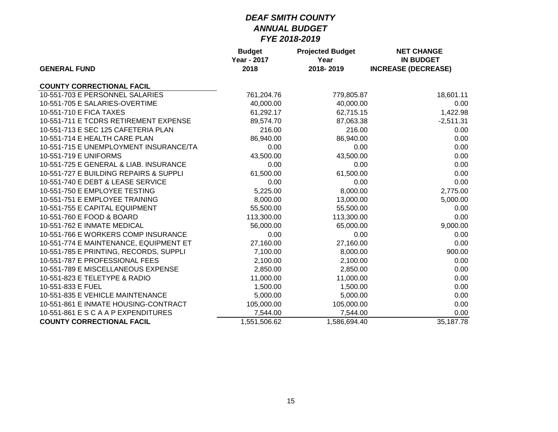| <b>GENERAL FUND</b>                    | <b>Budget</b><br><b>Year - 2017</b> | <b>Projected Budget</b><br>Year | <b>NET CHANGE</b><br><b>IN BUDGET</b> |
|----------------------------------------|-------------------------------------|---------------------------------|---------------------------------------|
|                                        | 2018                                | 2018-2019                       | <b>INCREASE (DECREASE)</b>            |
| <b>COUNTY CORRECTIONAL FACIL</b>       |                                     |                                 |                                       |
| 10-551-703 E PERSONNEL SALARIES        | 761,204.76                          | 779,805.87                      | 18,601.11                             |
| 10-551-705 E SALARIES-OVERTIME         | 40,000.00                           | 40,000.00                       | 0.00                                  |
| 10-551-710 E FICA TAXES                | 61,292.17                           | 62,715.15                       | 1,422.98                              |
| 10-551-711 E TCDRS RETIREMENT EXPENSE  | 89,574.70                           | 87,063.38                       | $-2,511.31$                           |
| 10-551-713 E SEC 125 CAFETERIA PLAN    | 216.00                              | 216.00                          | 0.00                                  |
| 10-551-714 E HEALTH CARE PLAN          | 86,940.00                           | 86,940.00                       | 0.00                                  |
| 10-551-715 E UNEMPLOYMENT INSURANCE/TA | 0.00                                | 0.00                            | 0.00                                  |
| 10-551-719 E UNIFORMS                  | 43,500.00                           | 43,500.00                       | 0.00                                  |
| 10-551-725 E GENERAL & LIAB. INSURANCE | 0.00                                | 0.00                            | 0.00                                  |
| 10-551-727 E BUILDING REPAIRS & SUPPLI | 61,500.00                           | 61,500.00                       | 0.00                                  |
| 10-551-740 E DEBT & LEASE SERVICE      | 0.00                                | 0.00                            | 0.00                                  |
| 10-551-750 E EMPLOYEE TESTING          | 5,225.00                            | 8,000.00                        | 2,775.00                              |
| 10-551-751 E EMPLOYEE TRAINING         | 8,000.00                            | 13,000.00                       | 5,000.00                              |
| 10-551-755 E CAPITAL EQUIPMENT         | 55,500.00                           | 55,500.00                       | 0.00                                  |
| 10-551-760 E FOOD & BOARD              | 113,300.00                          | 113,300.00                      | 0.00                                  |
| 10-551-762 E INMATE MEDICAL            | 56,000.00                           | 65,000.00                       | 9,000.00                              |
| 10-551-766 E WORKERS COMP INSURANCE    | 0.00                                | 0.00                            | 0.00                                  |
| 10-551-774 E MAINTENANCE, EQUIPMENT ET | 27,160.00                           | 27,160.00                       | 0.00                                  |
| 10-551-785 E PRINTING, RECORDS, SUPPLI | 7,100.00                            | 8,000.00                        | 900.00                                |
| 10-551-787 E PROFESSIONAL FEES         | 2,100.00                            | 2,100.00                        | 0.00                                  |
| 10-551-789 E MISCELLANEOUS EXPENSE     | 2,850.00                            | 2,850.00                        | 0.00                                  |
| 10-551-823 E TELETYPE & RADIO          | 11,000.00                           | 11,000.00                       | 0.00                                  |
| 10-551-833 E FUEL                      | 1,500.00                            | 1,500.00                        | 0.00                                  |
| 10-551-835 E VEHICLE MAINTENANCE       | 5,000.00                            | 5,000.00                        | 0.00                                  |
| 10-551-861 E INMATE HOUSING-CONTRACT   | 105,000.00                          | 105,000.00                      | 0.00                                  |
| 10-551-861 E S C A A P EXPENDITURES    | 7,544.00                            | 7,544.00                        | 0.00                                  |
| <b>COUNTY CORRECTIONAL FACIL</b>       | 1,551,506.62                        | 1,586,694.40                    | 35,187.78                             |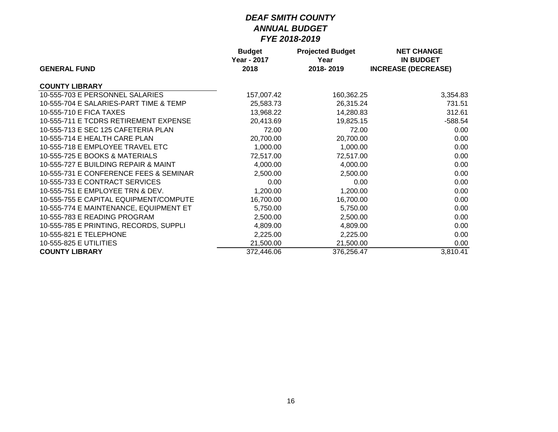|                                        | <b>Budget</b>       | <b>Projected Budget</b> | <b>NET CHANGE</b>                              |
|----------------------------------------|---------------------|-------------------------|------------------------------------------------|
| <b>GENERAL FUND</b>                    | Year - 2017<br>2018 | Year<br>2018-2019       | <b>IN BUDGET</b><br><b>INCREASE (DECREASE)</b> |
| <b>COUNTY LIBRARY</b>                  |                     |                         |                                                |
| 10-555-703 E PERSONNEL SALARIES        | 157,007.42          | 160,362.25              | 3,354.83                                       |
| 10-555-704 E SALARIES-PART TIME & TEMP | 25,583.73           | 26,315.24               | 731.51                                         |
| 10-555-710 E FICA TAXES                | 13,968.22           | 14,280.83               | 312.61                                         |
| 10-555-711 E TCDRS RETIREMENT EXPENSE  | 20,413.69           | 19,825.15               | $-588.54$                                      |
| 10-555-713 E SEC 125 CAFETERIA PLAN    | 72.00               | 72.00                   | 0.00                                           |
| 10-555-714 E HEALTH CARE PLAN          | 20,700.00           | 20,700.00               | 0.00                                           |
| 10-555-718 E EMPLOYEE TRAVEL ETC       | 1,000.00            | 1,000.00                | 0.00                                           |
| 10-555-725 E BOOKS & MATERIALS         | 72,517.00           | 72,517.00               | 0.00                                           |
| 10-555-727 E BUILDING REPAIR & MAINT   | 4,000.00            | 4,000.00                | 0.00                                           |
| 10-555-731 E CONFERENCE FEES & SEMINAR | 2,500.00            | 2,500.00                | 0.00                                           |
| 10-555-733 E CONTRACT SERVICES         | 0.00                | 0.00                    | 0.00                                           |
| 10-555-751 E EMPLOYEE TRN & DEV.       | 1,200.00            | 1,200.00                | 0.00                                           |
| 10-555-755 E CAPITAL EQUIPMENT/COMPUTE | 16,700.00           | 16,700.00               | 0.00                                           |
| 10-555-774 E MAINTENANCE, EQUIPMENT ET | 5,750.00            | 5,750.00                | 0.00                                           |
| 10-555-783 E READING PROGRAM           | 2,500.00            | 2,500.00                | 0.00                                           |
| 10-555-785 E PRINTING, RECORDS, SUPPLI | 4,809.00            | 4,809.00                | 0.00                                           |
| 10-555-821 E TELEPHONE                 | 2,225.00            | 2,225.00                | 0.00                                           |
| 10-555-825 E UTILITIES                 | 21,500.00           | 21,500.00               | 0.00                                           |
| <b>COUNTY LIBRARY</b>                  | 372,446.06          | 376,256.47              | 3,810.41                                       |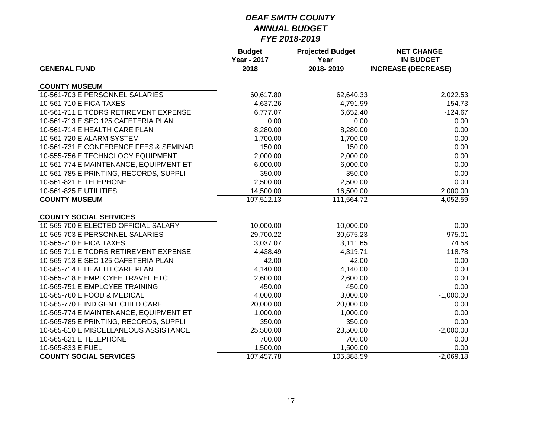| <b>GENERAL FUND</b>                    | <b>Budget</b><br><b>Year - 2017</b><br>2018 | <b>Projected Budget</b><br>Year<br>2018-2019 | <b>NET CHANGE</b><br><b>IN BUDGET</b><br><b>INCREASE (DECREASE)</b> |
|----------------------------------------|---------------------------------------------|----------------------------------------------|---------------------------------------------------------------------|
|                                        |                                             |                                              |                                                                     |
| <b>COUNTY MUSEUM</b>                   |                                             |                                              |                                                                     |
| 10-561-703 E PERSONNEL SALARIES        | 60,617.80                                   | 62,640.33                                    | 2,022.53                                                            |
| 10-561-710 E FICA TAXES                | 4,637.26                                    | 4,791.99                                     | 154.73                                                              |
| 10-561-711 E TCDRS RETIREMENT EXPENSE  | 6,777.07                                    | 6,652.40                                     | $-124.67$                                                           |
| 10-561-713 E SEC 125 CAFETERIA PLAN    | 0.00                                        | 0.00                                         | 0.00                                                                |
| 10-561-714 E HEALTH CARE PLAN          | 8,280.00                                    | 8,280.00                                     | 0.00                                                                |
| 10-561-720 E ALARM SYSTEM              | 1,700.00                                    | 1,700.00                                     | 0.00                                                                |
| 10-561-731 E CONFERENCE FEES & SEMINAR | 150.00                                      | 150.00                                       | 0.00                                                                |
| 10-555-756 E TECHNOLOGY EQUIPMENT      | 2,000.00                                    | 2,000.00                                     | 0.00                                                                |
| 10-561-774 E MAINTENANCE, EQUIPMENT ET | 6,000.00                                    | 6,000.00                                     | 0.00                                                                |
| 10-561-785 E PRINTING, RECORDS, SUPPLI | 350.00                                      | 350.00                                       | 0.00                                                                |
| 10-561-821 E TELEPHONE                 | 2,500.00                                    | 2,500.00                                     | 0.00                                                                |
| 10-561-825 E UTILITIES                 | 14,500.00                                   | 16,500.00                                    | 2,000.00                                                            |
| <b>COUNTY MUSEUM</b>                   | 107,512.13                                  | 111,564.72                                   | 4,052.59                                                            |
| <b>COUNTY SOCIAL SERVICES</b>          |                                             |                                              |                                                                     |
| 10-565-700 E ELECTED OFFICIAL SALARY   | 10,000.00                                   | 10,000.00                                    | 0.00                                                                |
| 10-565-703 E PERSONNEL SALARIES        | 29,700.22                                   | 30,675.23                                    | 975.01                                                              |
| 10-565-710 E FICA TAXES                | 3,037.07                                    | 3,111.65                                     | 74.58                                                               |
| 10-565-711 E TCDRS RETIREMENT EXPENSE  | 4,438.49                                    | 4,319.71                                     | $-118.78$                                                           |
| 10-565-713 E SEC 125 CAFETERIA PLAN    | 42.00                                       | 42.00                                        | 0.00                                                                |
| 10-565-714 E HEALTH CARE PLAN          | 4,140.00                                    | 4,140.00                                     | 0.00                                                                |
| 10-565-718 E EMPLOYEE TRAVEL ETC       | 2,600.00                                    | 2,600.00                                     | 0.00                                                                |
| 10-565-751 E EMPLOYEE TRAINING         | 450.00                                      | 450.00                                       | 0.00                                                                |
| 10-565-760 E FOOD & MEDICAL            | 4,000.00                                    | 3,000.00                                     | $-1,000.00$                                                         |
| 10-565-770 E INDIGENT CHILD CARE       | 20,000.00                                   | 20,000.00                                    | 0.00                                                                |
| 10-565-774 E MAINTENANCE, EQUIPMENT ET | 1,000.00                                    | 1,000.00                                     | 0.00                                                                |
| 10-565-785 E PRINTING, RECORDS, SUPPLI | 350.00                                      | 350.00                                       | 0.00                                                                |
| 10-565-810 E MISCELLANEOUS ASSISTANCE  | 25,500.00                                   | 23,500.00                                    | $-2,000.00$                                                         |
| 10-565-821 E TELEPHONE                 | 700.00                                      | 700.00                                       | 0.00                                                                |
| 10-565-833 E FUEL                      | 1,500.00                                    | 1,500.00                                     | 0.00                                                                |
| <b>COUNTY SOCIAL SERVICES</b>          | 107,457.78                                  | 105,388.59                                   | $-2,069.18$                                                         |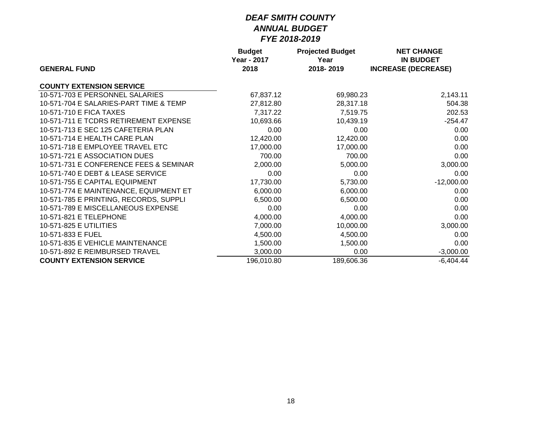|                                        | <b>Budget</b>      | <b>Projected Budget</b> | <b>NET CHANGE</b>          |
|----------------------------------------|--------------------|-------------------------|----------------------------|
|                                        | <b>Year - 2017</b> | Year                    | <b>IN BUDGET</b>           |
| <b>GENERAL FUND</b>                    | 2018               | 2018-2019               | <b>INCREASE (DECREASE)</b> |
| <b>COUNTY EXTENSION SERVICE</b>        |                    |                         |                            |
| 10-571-703 E PERSONNEL SALARIES        | 67,837.12          | 69,980.23               | 2,143.11                   |
| 10-571-704 E SALARIES-PART TIME & TEMP | 27,812.80          | 28,317.18               | 504.38                     |
| 10-571-710 E FICA TAXES                | 7,317.22           | 7,519.75                | 202.53                     |
| 10-571-711 E TCDRS RETIREMENT EXPENSE  | 10,693.66          | 10,439.19               | $-254.47$                  |
| 10-571-713 E SEC 125 CAFETERIA PLAN    | 0.00               | 0.00                    | 0.00                       |
| 10-571-714 E HEALTH CARE PLAN          | 12,420.00          | 12,420.00               | 0.00                       |
| 10-571-718 E EMPLOYEE TRAVEL ETC       | 17,000.00          | 17,000.00               | 0.00                       |
| 10-571-721 E ASSOCIATION DUES          | 700.00             | 700.00                  | 0.00                       |
| 10-571-731 E CONFERENCE FEES & SEMINAR | 2,000.00           | 5,000.00                | 3,000.00                   |
| 10-571-740 E DEBT & LEASE SERVICE      | 0.00               | 0.00                    | 0.00                       |
| 10-571-755 E CAPITAL EQUIPMENT         | 17,730.00          | 5,730.00                | $-12,000.00$               |
| 10-571-774 E MAINTENANCE, EQUIPMENT ET | 6,000.00           | 6,000.00                | 0.00                       |
| 10-571-785 E PRINTING, RECORDS, SUPPLI | 6,500.00           | 6,500.00                | 0.00                       |
| 10-571-789 E MISCELLANEOUS EXPENSE     | 0.00               | 0.00                    | 0.00                       |
| 10-571-821 E TELEPHONE                 | 4,000.00           | 4,000.00                | 0.00                       |
| 10-571-825 E UTILITIES                 | 7,000.00           | 10,000.00               | 3,000.00                   |
| 10-571-833 E FUEL                      | 4,500.00           | 4,500.00                | 0.00                       |
| 10-571-835 E VEHICLE MAINTENANCE       | 1,500.00           | 1,500.00                | 0.00                       |
| 10-571-892 E REIMBURSED TRAVEL         | 3,000.00           | 0.00                    | $-3,000.00$                |
| <b>COUNTY EXTENSION SERVICE</b>        | 196,010.80         | 189,606.36              | $-6,404.44$                |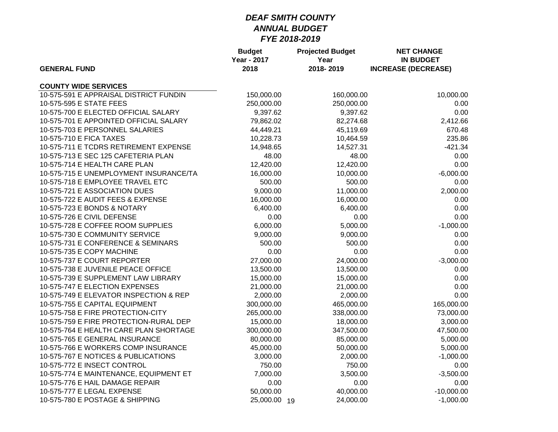| <b>GENERAL FUND</b>                    | <b>Budget</b><br><b>Year - 2017</b><br>2018 | <b>Projected Budget</b><br>Year<br>2018-2019 | <b>NET CHANGE</b><br><b>IN BUDGET</b><br><b>INCREASE (DECREASE)</b> |
|----------------------------------------|---------------------------------------------|----------------------------------------------|---------------------------------------------------------------------|
| <b>COUNTY WIDE SERVICES</b>            |                                             |                                              |                                                                     |
| 10-575-591 E APPRAISAL DISTRICT FUNDIN | 150,000.00                                  | 160,000.00                                   | 10,000.00                                                           |
| 10-575-595 E STATE FEES                | 250,000.00                                  | 250,000.00                                   | 0.00                                                                |
| 10-575-700 E ELECTED OFFICIAL SALARY   | 9,397.62                                    | 9,397.62                                     | 0.00                                                                |
| 10-575-701 E APPOINTED OFFICIAL SALARY | 79,862.02                                   | 82,274.68                                    | 2,412.66                                                            |
| 10-575-703 E PERSONNEL SALARIES        | 44,449.21                                   | 45,119.69                                    | 670.48                                                              |
| 10-575-710 E FICA TAXES                | 10,228.73                                   | 10,464.59                                    | 235.86                                                              |
| 10-575-711 E TCDRS RETIREMENT EXPENSE  | 14,948.65                                   | 14,527.31                                    | $-421.34$                                                           |
| 10-575-713 E SEC 125 CAFETERIA PLAN    | 48.00                                       | 48.00                                        | 0.00                                                                |
| 10-575-714 E HEALTH CARE PLAN          | 12,420.00                                   | 12,420.00                                    | 0.00                                                                |
| 10-575-715 E UNEMPLOYMENT INSURANCE/TA | 16,000.00                                   | 10,000.00                                    | $-6,000.00$                                                         |
| 10-575-718 E EMPLOYEE TRAVEL ETC       | 500.00                                      | 500.00                                       | 0.00                                                                |
| 10-575-721 E ASSOCIATION DUES          | 9,000.00                                    | 11,000.00                                    | 2,000.00                                                            |
| 10-575-722 E AUDIT FEES & EXPENSE      | 16,000.00                                   | 16,000.00                                    | 0.00                                                                |
| 10-575-723 E BONDS & NOTARY            | 6,400.00                                    | 6,400.00                                     | 0.00                                                                |
| 10-575-726 E CIVIL DEFENSE             | 0.00                                        | 0.00                                         | 0.00                                                                |
| 10-575-728 E COFFEE ROOM SUPPLIES      | 6,000.00                                    | 5,000.00                                     | $-1,000.00$                                                         |
| 10-575-730 E COMMUNITY SERVICE         | 9,000.00                                    | 9,000.00                                     | 0.00                                                                |
| 10-575-731 E CONFERENCE & SEMINARS     | 500.00                                      | 500.00                                       | 0.00                                                                |
| 10-575-735 E COPY MACHINE              | 0.00                                        | 0.00                                         | 0.00                                                                |
| 10-575-737 E COURT REPORTER            | 27,000.00                                   | 24,000.00                                    | $-3,000.00$                                                         |
| 10-575-738 E JUVENILE PEACE OFFICE     | 13,500.00                                   | 13,500.00                                    | 0.00                                                                |
| 10-575-739 E SUPPLEMENT LAW LIBRARY    | 15,000.00                                   | 15,000.00                                    | 0.00                                                                |
| 10-575-747 E ELECTION EXPENSES         | 21,000.00                                   | 21,000.00                                    | 0.00                                                                |
| 10-575-749 E ELEVATOR INSPECTION & REP | 2,000.00                                    | 2,000.00                                     | 0.00                                                                |
| 10-575-755 E CAPITAL EQUIPMENT         | 300,000.00                                  | 465,000.00                                   | 165,000.00                                                          |
| 10-575-758 E FIRE PROTECTION-CITY      | 265,000.00                                  | 338,000.00                                   | 73,000.00                                                           |
| 10-575-759 E FIRE PROTECTION-RURAL DEP | 15,000.00                                   | 18,000.00                                    | 3,000.00                                                            |
| 10-575-764 E HEALTH CARE PLAN SHORTAGE | 300,000.00                                  | 347,500.00                                   | 47,500.00                                                           |
| 10-575-765 E GENERAL INSURANCE         | 80,000.00                                   | 85,000.00                                    | 5,000.00                                                            |
| 10-575-766 E WORKERS COMP INSURANCE    | 45,000.00                                   | 50,000.00                                    | 5,000.00                                                            |
| 10-575-767 E NOTICES & PUBLICATIONS    | 3,000.00                                    | 2,000.00                                     | $-1,000.00$                                                         |
| 10-575-772 E INSECT CONTROL            | 750.00                                      | 750.00                                       | 0.00                                                                |
| 10-575-774 E MAINTENANCE, EQUIPMENT ET | 7,000.00                                    | 3,500.00                                     | $-3,500.00$                                                         |
| 10-575-776 E HAIL DAMAGE REPAIR        | 0.00                                        | 0.00                                         | 0.00                                                                |
| 10-575-777 E LEGAL EXPENSE             | 50,000.00                                   | 40,000.00                                    | $-10,000.00$                                                        |
| 10-575-780 E POSTAGE & SHIPPING        | 25,000.00 19                                | 24,000.00                                    | $-1,000.00$                                                         |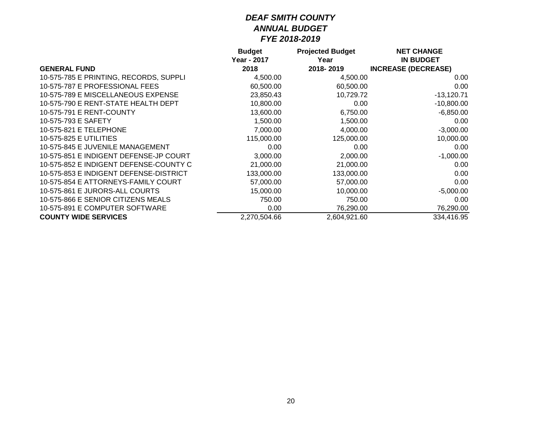|                                        | <b>Budget</b> | <b>Projected Budget</b> | <b>NET CHANGE</b>          |
|----------------------------------------|---------------|-------------------------|----------------------------|
|                                        | Year - 2017   | Year                    | <b>IN BUDGET</b>           |
| <b>GENERAL FUND</b>                    | 2018          | 2018-2019               | <b>INCREASE (DECREASE)</b> |
| 10-575-785 E PRINTING, RECORDS, SUPPLI | 4,500.00      | 4,500.00                | 0.00                       |
| 10-575-787 E PROFESSIONAL FEES         | 60,500.00     | 60,500.00               | 0.00                       |
| 10-575-789 E MISCELLANEOUS EXPENSE     | 23,850.43     | 10,729.72               | $-13,120.71$               |
| 10-575-790 E RENT-STATE HEALTH DEPT    | 10,800.00     | 0.00                    | $-10,800.00$               |
| 10-575-791 E RENT-COUNTY               | 13,600.00     | 6,750.00                | $-6,850.00$                |
| 10-575-793 E SAFETY                    | 1,500.00      | 1,500.00                | 0.00                       |
| 10-575-821 E TELEPHONE                 | 7,000.00      | 4,000.00                | $-3,000.00$                |
| 10-575-825 E UTILITIES                 | 115,000.00    | 125,000.00              | 10,000.00                  |
| 10-575-845 E JUVENILE MANAGEMENT       | 0.00          | 0.00                    | 0.00                       |
| 10-575-851 E INDIGENT DEFENSE-JP COURT | 3,000.00      | 2,000.00                | $-1,000.00$                |
| 10-575-852 E INDIGENT DEFENSE-COUNTY C | 21,000.00     | 21,000.00               | 0.00                       |
| 10-575-853 E INDIGENT DEFENSE-DISTRICT | 133,000.00    | 133,000.00              | 0.00                       |
| 10-575-854 E ATTORNEYS-FAMILY COURT    | 57,000.00     | 57,000.00               | 0.00                       |
| 10-575-861 E JURORS-ALL COURTS         | 15,000.00     | 10,000.00               | $-5,000.00$                |
| 10-575-866 E SENIOR CITIZENS MEALS     | 750.00        | 750.00                  | 0.00                       |
| 10-575-891 E COMPUTER SOFTWARE         | 0.00          | 76,290.00               | 76,290.00                  |
| <b>COUNTY WIDE SERVICES</b>            | 2,270,504.66  | 2,604,921.60            | 334.416.95                 |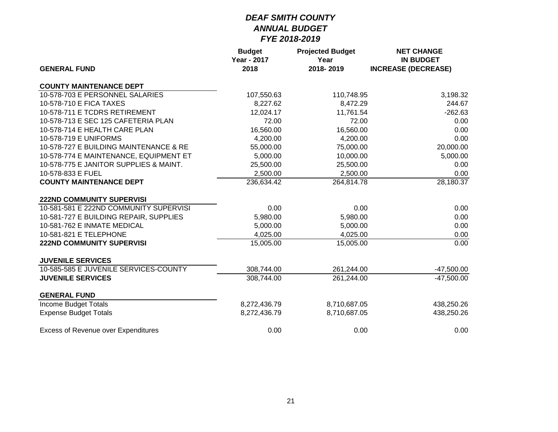|                                            | <b>Budget</b><br><b>Year - 2017</b> | <b>Projected Budget</b><br>Year | <b>NET CHANGE</b><br><b>IN BUDGET</b> |
|--------------------------------------------|-------------------------------------|---------------------------------|---------------------------------------|
| <b>GENERAL FUND</b>                        | 2018                                | 2018-2019                       | <b>INCREASE (DECREASE)</b>            |
| <b>COUNTY MAINTENANCE DEPT</b>             |                                     |                                 |                                       |
| 10-578-703 E PERSONNEL SALARIES            | 107,550.63                          | 110,748.95                      | 3,198.32                              |
| 10-578-710 E FICA TAXES                    | 8,227.62                            | 8,472.29                        | 244.67                                |
| 10-578-711 E TCDRS RETIREMENT              | 12,024.17                           | 11,761.54                       | $-262.63$                             |
| 10-578-713 E SEC 125 CAFETERIA PLAN        | 72.00                               | 72.00                           | 0.00                                  |
| 10-578-714 E HEALTH CARE PLAN              | 16,560.00                           | 16,560.00                       | 0.00                                  |
| 10-578-719 E UNIFORMS                      | 4,200.00                            | 4,200.00                        | 0.00                                  |
| 10-578-727 E BUILDING MAINTENANCE & RE     | 55,000.00                           | 75,000.00                       | 20,000.00                             |
| 10-578-774 E MAINTENANCE, EQUIPMENT ET     | 5,000.00                            | 10,000.00                       | 5,000.00                              |
| 10-578-775 E JANITOR SUPPLIES & MAINT.     | 25,500.00                           | 25,500.00                       | 0.00                                  |
| 10-578-833 E FUEL                          | 2,500.00                            | 2,500.00                        | 0.00                                  |
| <b>COUNTY MAINTENANCE DEPT</b>             | 236,634.42                          | 264,814.78                      | 28,180.37                             |
| <b>222ND COMMUNITY SUPERVISI</b>           |                                     |                                 |                                       |
| 10-581-581 E 222ND COMMUNITY SUPERVISI     | 0.00                                | 0.00                            | 0.00                                  |
| 10-581-727 E BUILDING REPAIR, SUPPLIES     | 5,980.00                            | 5,980.00                        | 0.00                                  |
| 10-581-762 E INMATE MEDICAL                | 5,000.00                            | 5,000.00                        | 0.00                                  |
| 10-581-821 E TELEPHONE                     | 4,025.00                            | 4,025.00                        | 0.00                                  |
| <b>222ND COMMUNITY SUPERVISI</b>           | 15,005.00                           | 15,005.00                       | 0.00                                  |
| <b>JUVENILE SERVICES</b>                   |                                     |                                 |                                       |
| 10-585-585 E JUVENILE SERVICES-COUNTY      | 308,744.00                          | 261,244.00                      | $-47,500.00$                          |
| <b>JUVENILE SERVICES</b>                   | 308,744.00                          | 261,244.00                      | $-47,500.00$                          |
| <b>GENERAL FUND</b>                        |                                     |                                 |                                       |
| Income Budget Totals                       | 8,272,436.79                        | 8,710,687.05                    | 438,250.26                            |
| <b>Expense Budget Totals</b>               | 8,272,436.79                        | 8,710,687.05                    | 438,250.26                            |
| <b>Excess of Revenue over Expenditures</b> | 0.00                                | 0.00                            | 0.00                                  |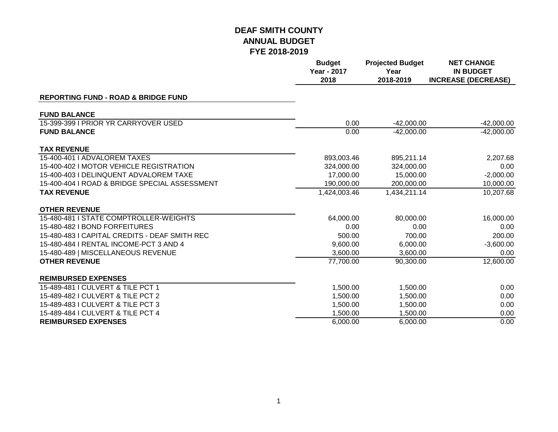|                                                | <b>Budget</b><br><b>Year - 2017</b><br>2018 | <b>Projected Budget</b><br>Year<br>2018-2019 | <b>NET CHANGE</b><br><b>IN BUDGET</b><br><b>INCREASE (DECREASE)</b> |
|------------------------------------------------|---------------------------------------------|----------------------------------------------|---------------------------------------------------------------------|
| <b>REPORTING FUND - ROAD &amp; BRIDGE FUND</b> |                                             |                                              |                                                                     |
| <b>FUND BALANCE</b>                            |                                             |                                              |                                                                     |
| 15-399-399 I PRIOR YR CARRYOVER USED           | 0.00                                        | $-42,000.00$                                 | $-42,000.00$                                                        |
| <b>FUND BALANCE</b>                            | 0.00                                        | $-42,000.00$                                 | $-42,000.00$                                                        |
| <b>TAX REVENUE</b>                             |                                             |                                              |                                                                     |
| 15-400-401   ADVALOREM TAXES                   | 893,003.46                                  | 895,211.14                                   | 2,207.68                                                            |
| 15-400-402 I MOTOR VEHICLE REGISTRATION        | 324,000.00                                  | 324,000.00                                   | 0.00                                                                |
| 15-400-403   DELINQUENT ADVALOREM TAXE         | 17,000.00                                   | 15,000.00                                    | $-2,000.00$                                                         |
| 15-400-404   ROAD & BRIDGE SPECIAL ASSESSMENT  | 190,000.00                                  | 200,000.00                                   | 10,000.00                                                           |
| <b>TAX REVENUE</b>                             | 1,424,003.46                                | 1,434,211.14                                 | 10,207.68                                                           |
| <b>OTHER REVENUE</b>                           |                                             |                                              |                                                                     |
| 15-480-481   STATE COMPTROLLER-WEIGHTS         | 64,000.00                                   | 80,000.00                                    | 16,000.00                                                           |
| 15-480-482   BOND FORFEITURES                  | 0.00                                        | 0.00                                         | 0.00                                                                |
| 15-480-483   CAPITAL CREDITS - DEAF SMITH REC  | 500.00                                      | 700.00                                       | 200.00                                                              |
| 15-480-484   RENTAL INCOME-PCT 3 AND 4         | 9,600.00                                    | 6,000.00                                     | $-3,600.00$                                                         |
| 15-480-489   MISCELLANEOUS REVENUE             | 3,600.00                                    | 3,600.00                                     | 0.00                                                                |
| <b>OTHER REVENUE</b>                           | 77,700.00                                   | 90,300.00                                    | 12,600.00                                                           |
| <b>REIMBURSED EXPENSES</b>                     |                                             |                                              |                                                                     |
| 15-489-481 I CULVERT & TILE PCT 1              | 1,500.00                                    | 1,500.00                                     | 0.00                                                                |
| 15-489-482 I CULVERT & TILE PCT 2              | 1,500.00                                    | 1,500.00                                     | 0.00                                                                |
| 15-489-483 I CULVERT & TILE PCT 3              | 1,500.00                                    | 1,500.00                                     | 0.00                                                                |
| 15-489-484 I CULVERT & TILE PCT 4              | 1,500.00                                    | 1,500.00                                     | 0.00                                                                |
| <b>REIMBURSED EXPENSES</b>                     | 6,000.00                                    | 6,000.00                                     | 0.00                                                                |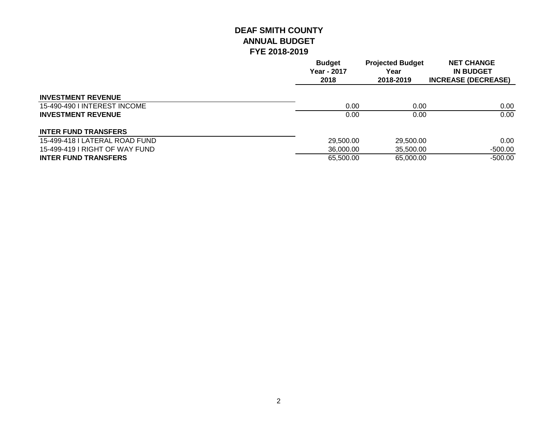|                                | <b>Budget</b><br>Year - 2017<br>2018 | <b>Projected Budget</b><br>Year<br>2018-2019 | <b>NET CHANGE</b><br><b>IN BUDGET</b><br><b>INCREASE (DECREASE)</b> |
|--------------------------------|--------------------------------------|----------------------------------------------|---------------------------------------------------------------------|
| <b>INVESTMENT REVENUE</b>      |                                      |                                              |                                                                     |
| 15-490-490 I INTEREST INCOME   | 0.00                                 | 0.00                                         | 0.00                                                                |
| <b>INVESTMENT REVENUE</b>      | 0.00                                 | 0.00                                         | 0.00                                                                |
| <b>INTER FUND TRANSFERS</b>    |                                      |                                              |                                                                     |
| 15-499-418 I LATERAL ROAD FUND | 29,500.00                            | 29,500.00                                    | 0.00                                                                |
| 15-499-419   RIGHT OF WAY FUND | 36,000,00                            | 35,500.00                                    | -500.00                                                             |
| <b>INTER FUND TRANSFERS</b>    | 65,500.00                            | 65,000.00                                    | $-500.00$                                                           |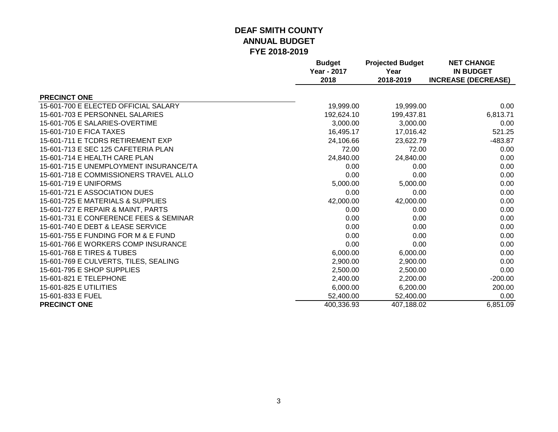|                                        | <b>Budget</b>              | <b>Projected Budget</b> | <b>NET CHANGE</b>                              |
|----------------------------------------|----------------------------|-------------------------|------------------------------------------------|
|                                        | <b>Year - 2017</b><br>2018 | Year<br>2018-2019       | <b>IN BUDGET</b><br><b>INCREASE (DECREASE)</b> |
| <b>PRECINCT ONE</b>                    |                            |                         |                                                |
| 15-601-700 E ELECTED OFFICIAL SALARY   | 19,999.00                  | 19,999.00               | 0.00                                           |
| 15-601-703 E PERSONNEL SALARIES        | 192,624.10                 | 199,437.81              | 6,813.71                                       |
| 15-601-705 E SALARIES-OVERTIME         | 3,000.00                   | 3,000.00                | 0.00                                           |
| 15-601-710 E FICA TAXES                | 16,495.17                  | 17,016.42               | 521.25                                         |
| 15-601-711 E TCDRS RETIREMENT EXP      | 24,106.66                  | 23,622.79               | -483.87                                        |
| 15-601-713 E SEC 125 CAFETERIA PLAN    | 72.00                      | 72.00                   | 0.00                                           |
| 15-601-714 E HEALTH CARE PLAN          | 24,840.00                  | 24,840.00               | 0.00                                           |
| 15-601-715 E UNEMPLOYMENT INSURANCE/TA | 0.00                       | 0.00                    | 0.00                                           |
| 15-601-718 E COMMISSIONERS TRAVEL ALLO | 0.00                       | 0.00                    | 0.00                                           |
| 15-601-719 E UNIFORMS                  | 5,000.00                   | 5,000.00                | 0.00                                           |
| 15-601-721 E ASSOCIATION DUES          | 0.00                       | 0.00                    | 0.00                                           |
| 15-601-725 E MATERIALS & SUPPLIES      | 42,000.00                  | 42,000.00               | 0.00                                           |
| 15-601-727 E REPAIR & MAINT, PARTS     | 0.00                       | 0.00                    | 0.00                                           |
| 15-601-731 E CONFERENCE FEES & SEMINAR | 0.00                       | 0.00                    | 0.00                                           |
| 15-601-740 E DEBT & LEASE SERVICE      | 0.00                       | 0.00                    | 0.00                                           |
| 15-601-755 E FUNDING FOR M & E FUND    | 0.00                       | 0.00                    | 0.00                                           |
| 15-601-766 E WORKERS COMP INSURANCE    | 0.00                       | 0.00                    | 0.00                                           |
| 15-601-768 E TIRES & TUBES             | 6,000.00                   | 6,000.00                | 0.00                                           |
| 15-601-769 E CULVERTS, TILES, SEALING  | 2,900.00                   | 2,900.00                | 0.00                                           |
| 15-601-795 E SHOP SUPPLIES             | 2,500.00                   | 2,500.00                | 0.00                                           |
| 15-601-821 E TELEPHONE                 | 2,400.00                   | 2,200.00                | $-200.00$                                      |
| 15-601-825 E UTILITIES                 | 6,000.00                   | 6,200.00                | 200.00                                         |
| 15-601-833 E FUEL                      | 52,400.00                  | 52,400.00               | 0.00                                           |
| <b>PRECINCT ONE</b>                    | 400,336.93                 | 407,188.02              | 6,851.09                                       |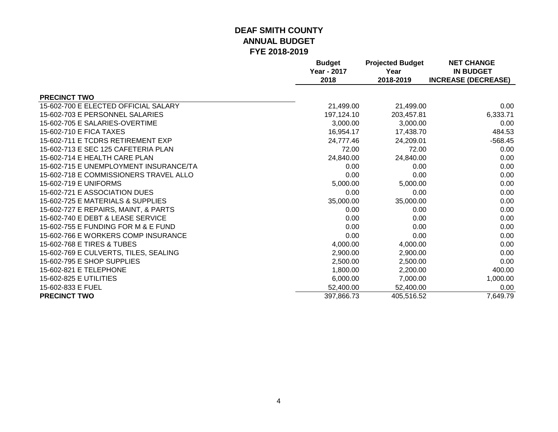|                                        | <b>Budget</b><br><b>Year - 2017</b> | <b>Projected Budget</b><br>Year | <b>NET CHANGE</b><br><b>IN BUDGET</b> |
|----------------------------------------|-------------------------------------|---------------------------------|---------------------------------------|
|                                        | 2018                                | 2018-2019                       | <b>INCREASE (DECREASE)</b>            |
| <b>PRECINCT TWO</b>                    |                                     |                                 |                                       |
| 15-602-700 E ELECTED OFFICIAL SALARY   | 21,499.00                           | 21,499.00                       | 0.00                                  |
| 15-602-703 E PERSONNEL SALARIES        | 197,124.10                          | 203,457.81                      | 6,333.71                              |
| 15-602-705 E SALARIES-OVERTIME         | 3,000.00                            | 3,000.00                        | 0.00                                  |
| 15-602-710 E FICA TAXES                | 16,954.17                           | 17,438.70                       | 484.53                                |
| 15-602-711 E TCDRS RETIREMENT EXP      | 24,777.46                           | 24,209.01                       | $-568.45$                             |
| 15-602-713 E SEC 125 CAFETERIA PLAN    | 72.00                               | 72.00                           | 0.00                                  |
| 15-602-714 E HEALTH CARE PLAN          | 24,840.00                           | 24,840.00                       | 0.00                                  |
| 15-602-715 E UNEMPLOYMENT INSURANCE/TA | 0.00                                | 0.00                            | 0.00                                  |
| 15-602-718 E COMMISSIONERS TRAVEL ALLO | 0.00                                | 0.00                            | 0.00                                  |
| 15-602-719 E UNIFORMS                  | 5,000.00                            | 5,000.00                        | 0.00                                  |
| 15-602-721 E ASSOCIATION DUES          | 0.00                                | 0.00                            | 0.00                                  |
| 15-602-725 E MATERIALS & SUPPLIES      | 35,000.00                           | 35,000.00                       | 0.00                                  |
| 15-602-727 E REPAIRS, MAINT, & PARTS   | 0.00                                | 0.00                            | 0.00                                  |
| 15-602-740 E DEBT & LEASE SERVICE      | 0.00                                | 0.00                            | 0.00                                  |
| 15-602-755 E FUNDING FOR M & E FUND    | 0.00                                | 0.00                            | 0.00                                  |
| 15-602-766 E WORKERS COMP INSURANCE    | 0.00                                | 0.00                            | 0.00                                  |
| 15-602-768 E TIRES & TUBES             | 4,000.00                            | 4,000.00                        | 0.00                                  |
| 15-602-769 E CULVERTS, TILES, SEALING  | 2,900.00                            | 2,900.00                        | 0.00                                  |
| 15-602-795 E SHOP SUPPLIES             | 2,500.00                            | 2,500.00                        | 0.00                                  |
| 15-602-821 E TELEPHONE                 | 1,800.00                            | 2,200.00                        | 400.00                                |
| 15-602-825 E UTILITIES                 | 6,000.00                            | 7,000.00                        | 1,000.00                              |
| 15-602-833 E FUEL                      | 52,400.00                           | 52,400.00                       | 0.00                                  |
| <b>PRECINCT TWO</b>                    | 397,866.73                          | 405,516.52                      | 7,649.79                              |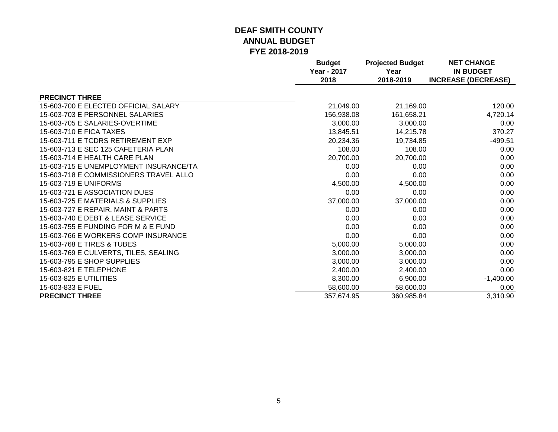|                                        | <b>Budget</b><br><b>Year - 2017</b> | <b>Projected Budget</b><br>Year | <b>NET CHANGE</b><br><b>IN BUDGET</b> |
|----------------------------------------|-------------------------------------|---------------------------------|---------------------------------------|
|                                        | 2018                                | 2018-2019                       | <b>INCREASE (DECREASE)</b>            |
| <b>PRECINCT THREE</b>                  |                                     |                                 |                                       |
| 15-603-700 E ELECTED OFFICIAL SALARY   | 21,049.00                           | 21,169.00                       | 120.00                                |
| 15-603-703 E PERSONNEL SALARIES        | 156,938.08                          | 161,658.21                      | 4,720.14                              |
| 15-603-705 E SALARIES-OVERTIME         | 3,000.00                            | 3,000.00                        | 0.00                                  |
| 15-603-710 E FICA TAXES                | 13,845.51                           | 14,215.78                       | 370.27                                |
| 15-603-711 E TCDRS RETIREMENT EXP      | 20,234.36                           | 19,734.85                       | $-499.51$                             |
| 15-603-713 E SEC 125 CAFETERIA PLAN    | 108.00                              | 108.00                          | 0.00                                  |
| 15-603-714 E HEALTH CARE PLAN          | 20,700.00                           | 20,700.00                       | 0.00                                  |
| 15-603-715 E UNEMPLOYMENT INSURANCE/TA | 0.00                                | 0.00                            | 0.00                                  |
| 15-603-718 E COMMISSIONERS TRAVEL ALLO | 0.00                                | 0.00                            | 0.00                                  |
| 15-603-719 E UNIFORMS                  | 4,500.00                            | 4,500.00                        | 0.00                                  |
| 15-603-721 E ASSOCIATION DUES          | 0.00                                | 0.00                            | 0.00                                  |
| 15-603-725 E MATERIALS & SUPPLIES      | 37,000.00                           | 37,000.00                       | 0.00                                  |
| 15-603-727 E REPAIR, MAINT & PARTS     | 0.00                                | 0.00                            | 0.00                                  |
| 15-603-740 E DEBT & LEASE SERVICE      | 0.00                                | 0.00                            | 0.00                                  |
| 15-603-755 E FUNDING FOR M & E FUND    | 0.00                                | 0.00                            | 0.00                                  |
| 15-603-766 E WORKERS COMP INSURANCE    | 0.00                                | 0.00                            | 0.00                                  |
| 15-603-768 E TIRES & TUBES             | 5,000.00                            | 5,000.00                        | 0.00                                  |
| 15-603-769 E CULVERTS, TILES, SEALING  | 3,000.00                            | 3,000.00                        | 0.00                                  |
| 15-603-795 E SHOP SUPPLIES             | 3,000.00                            | 3,000.00                        | 0.00                                  |
| 15-603-821 E TELEPHONE                 | 2,400.00                            | 2,400.00                        | 0.00                                  |
| 15-603-825 E UTILITIES                 | 8,300.00                            | 6,900.00                        | $-1,400.00$                           |
| 15-603-833 E FUEL                      | 58,600.00                           | 58,600.00                       | 0.00                                  |
| <b>PRECINCT THREE</b>                  | 357,674.95                          | 360,985.84                      | 3,310.90                              |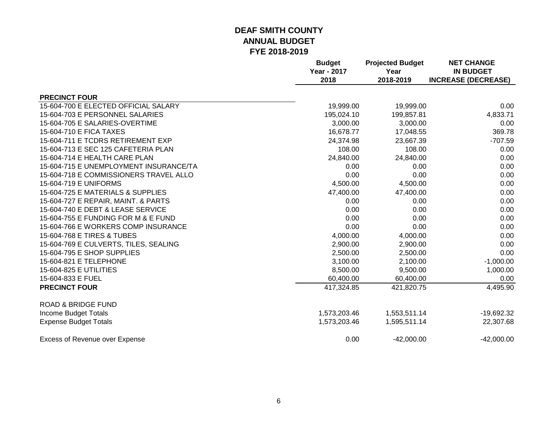|                                        | <b>Budget</b><br><b>Year - 2017</b><br>2018 | <b>Projected Budget</b><br>Year<br>2018-2019 | <b>NET CHANGE</b><br><b>IN BUDGET</b><br><b>INCREASE (DECREASE)</b> |
|----------------------------------------|---------------------------------------------|----------------------------------------------|---------------------------------------------------------------------|
| <b>PRECINCT FOUR</b>                   |                                             |                                              |                                                                     |
| 15-604-700 E ELECTED OFFICIAL SALARY   | 19,999.00                                   | 19,999.00                                    | 0.00                                                                |
| 15-604-703 E PERSONNEL SALARIES        | 195,024.10                                  | 199,857.81                                   | 4,833.71                                                            |
| 15-604-705 E SALARIES-OVERTIME         | 3,000.00                                    | 3,000.00                                     | 0.00                                                                |
| 15-604-710 E FICA TAXES                | 16,678.77                                   | 17,048.55                                    | 369.78                                                              |
| 15-604-711 E TCDRS RETIREMENT EXP      | 24,374.98                                   | 23,667.39                                    | $-707.59$                                                           |
| 15-604-713 E SEC 125 CAFETERIA PLAN    | 108.00                                      | 108.00                                       | 0.00                                                                |
| 15-604-714 E HEALTH CARE PLAN          | 24,840.00                                   | 24,840.00                                    | 0.00                                                                |
| 15-604-715 E UNEMPLOYMENT INSURANCE/TA | 0.00                                        | 0.00                                         | 0.00                                                                |
| 15-604-718 E COMMISSIONERS TRAVEL ALLO | 0.00                                        | 0.00                                         | 0.00                                                                |
| 15-604-719 E UNIFORMS                  | 4,500.00                                    | 4,500.00                                     | 0.00                                                                |
| 15-604-725 E MATERIALS & SUPPLIES      | 47,400.00                                   | 47,400.00                                    | 0.00                                                                |
| 15-604-727 E REPAIR, MAINT. & PARTS    | 0.00                                        | 0.00                                         | 0.00                                                                |
| 15-604-740 E DEBT & LEASE SERVICE      | 0.00                                        | 0.00                                         | 0.00                                                                |
| 15-604-755 E FUNDING FOR M & E FUND    | 0.00                                        | 0.00                                         | 0.00                                                                |
| 15-604-766 E WORKERS COMP INSURANCE    | 0.00                                        | 0.00                                         | 0.00                                                                |
| 15-604-768 E TIRES & TUBES             | 4,000.00                                    | 4,000.00                                     | 0.00                                                                |
| 15-604-769 E CULVERTS, TILES, SEALING  | 2,900.00                                    | 2,900.00                                     | 0.00                                                                |
| 15-604-795 E SHOP SUPPLIES             | 2,500.00                                    | 2,500.00                                     | 0.00                                                                |
| 15-604-821 E TELEPHONE                 | 3,100.00                                    | 2,100.00                                     | $-1,000.00$                                                         |
| 15-604-825 E UTILITIES                 | 8,500.00                                    | 9,500.00                                     | 1,000.00                                                            |
| 15-604-833 E FUEL                      | 60,400.00                                   | 60,400.00                                    | 0.00                                                                |
| <b>PRECINCT FOUR</b>                   | 417,324.85                                  | 421,820.75                                   | 4,495.90                                                            |
| <b>ROAD &amp; BRIDGE FUND</b>          |                                             |                                              |                                                                     |
| Income Budget Totals                   | 1,573,203.46                                | 1,553,511.14                                 | $-19,692.32$                                                        |
| <b>Expense Budget Totals</b>           | 1,573,203.46                                | 1,595,511.14                                 | 22,307.68                                                           |
| <b>Excess of Revenue over Expense</b>  | 0.00                                        | $-42,000.00$                                 | $-42,000.00$                                                        |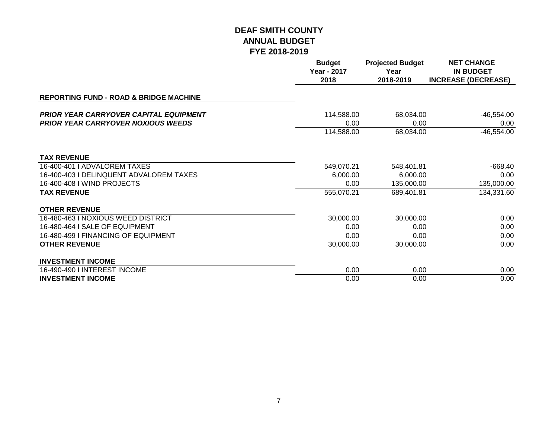|                                                                                            | <b>Budget</b><br>Year - 2017<br>2018 | <b>Projected Budget</b><br>Year<br>2018-2019 | <b>NET CHANGE</b><br><b>IN BUDGET</b><br><b>INCREASE (DECREASE)</b> |
|--------------------------------------------------------------------------------------------|--------------------------------------|----------------------------------------------|---------------------------------------------------------------------|
| <b>REPORTING FUND - ROAD &amp; BRIDGE MACHINE</b>                                          |                                      |                                              |                                                                     |
| <b>PRIOR YEAR CARRYOVER CAPITAL EQUIPMENT</b><br><b>PRIOR YEAR CARRYOVER NOXIOUS WEEDS</b> | 114,588.00<br>0.00                   | 68,034.00<br>0.00                            | $-46,554.00$<br>0.00                                                |
|                                                                                            | 114,588.00                           | 68,034.00                                    | $-46,554.00$                                                        |
| <b>TAX REVENUE</b>                                                                         |                                      |                                              |                                                                     |
| 16-400-401   ADVALOREM TAXES                                                               | 549,070.21                           | 548,401.81                                   | -668.40                                                             |
| 16-400-403   DELINQUENT ADVALOREM TAXES                                                    | 6,000.00                             | 6,000.00                                     | 0.00                                                                |
| 16-400-408 I WIND PROJECTS                                                                 | 0.00                                 | 135,000.00                                   | 135,000.00                                                          |
| <b>TAX REVENUE</b>                                                                         | 555,070.21                           | 689,401.81                                   | 134,331.60                                                          |
| <b>OTHER REVENUE</b>                                                                       |                                      |                                              |                                                                     |
| 16-480-463   NOXIOUS WEED DISTRICT                                                         | 30,000.00                            | 30,000.00                                    | 0.00                                                                |
| 16-480-464 I SALE OF EQUIPMENT                                                             | 0.00                                 | 0.00                                         | 0.00                                                                |
| 16-480-499 I FINANCING OF EQUIPMENT                                                        | 0.00                                 | 0.00                                         | 0.00                                                                |
| <b>OTHER REVENUE</b>                                                                       | 30,000.00                            | 30,000.00                                    | 0.00                                                                |
| <b>INVESTMENT INCOME</b>                                                                   |                                      |                                              |                                                                     |
| 16-490-490 I INTEREST INCOME                                                               | 0.00                                 | 0.00                                         | 0.00                                                                |
| <b>INVESTMENT INCOME</b>                                                                   | 0.00                                 | 0.00                                         | 0.00                                                                |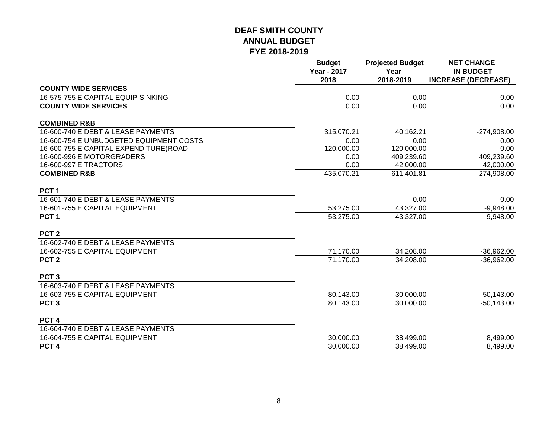|                                         | <b>Budget</b><br><b>Year - 2017</b><br>2018 | <b>Projected Budget</b><br>Year<br>2018-2019 | <b>NET CHANGE</b><br><b>IN BUDGET</b><br><b>INCREASE (DECREASE)</b> |
|-----------------------------------------|---------------------------------------------|----------------------------------------------|---------------------------------------------------------------------|
| <b>COUNTY WIDE SERVICES</b>             |                                             |                                              |                                                                     |
| 16-575-755 E CAPITAL EQUIP-SINKING      | 0.00                                        | 0.00                                         | 0.00                                                                |
| <b>COUNTY WIDE SERVICES</b>             | 0.00                                        | 0.00                                         | 0.00                                                                |
| <b>COMBINED R&amp;B</b>                 |                                             |                                              |                                                                     |
| 16-600-740 E DEBT & LEASE PAYMENTS      | 315,070.21                                  | 40,162.21                                    | $-274,908.00$                                                       |
| 16-600-754 E UNBUDGETED EQUIPMENT COSTS | 0.00                                        | 0.00                                         | 0.00                                                                |
| 16-600-755 E CAPITAL EXPENDITURE(ROAD   | 120,000.00                                  | 120,000.00                                   | 0.00                                                                |
| 16-600-996 E MOTORGRADERS               | 0.00                                        | 409,239.60                                   | 409,239.60                                                          |
| 16-600-997 E TRACTORS                   | 0.00                                        | 42,000.00                                    | 42,000.00                                                           |
| <b>COMBINED R&amp;B</b>                 | 435,070.21                                  | 611,401.81                                   | $-274,908.00$                                                       |
| PCT <sub>1</sub>                        |                                             |                                              |                                                                     |
| 16-601-740 E DEBT & LEASE PAYMENTS      |                                             | 0.00                                         | 0.00                                                                |
| 16-601-755 E CAPITAL EQUIPMENT          | 53,275.00                                   | 43,327.00                                    | $-9,948.00$                                                         |
| PCT <sub>1</sub>                        | 53,275.00                                   | 43,327.00                                    | $-9,948.00$                                                         |
| PCT <sub>2</sub>                        |                                             |                                              |                                                                     |
| 16-602-740 E DEBT & LEASE PAYMENTS      |                                             |                                              |                                                                     |
| 16-602-755 E CAPITAL EQUIPMENT          | 71,170.00                                   | 34,208.00                                    | $-36,962.00$                                                        |
| PCT <sub>2</sub>                        | 71,170.00                                   | 34,208.00                                    | $-36,962.00$                                                        |
| PCT <sub>3</sub>                        |                                             |                                              |                                                                     |
| 16-603-740 E DEBT & LEASE PAYMENTS      |                                             |                                              |                                                                     |
| 16-603-755 E CAPITAL EQUIPMENT          | 80,143.00                                   | 30,000.00                                    | $-50,143.00$                                                        |
| PCT <sub>3</sub>                        | 80,143.00                                   | 30,000.00                                    | $-50,143.00$                                                        |
| PCT <sub>4</sub>                        |                                             |                                              |                                                                     |
| 16-604-740 E DEBT & LEASE PAYMENTS      |                                             |                                              |                                                                     |
| 16-604-755 E CAPITAL EQUIPMENT          | 30,000.00                                   | 38,499.00                                    | 8,499.00                                                            |
| PCT <sub>4</sub>                        | 30,000.00                                   | 38,499.00                                    | 8,499.00                                                            |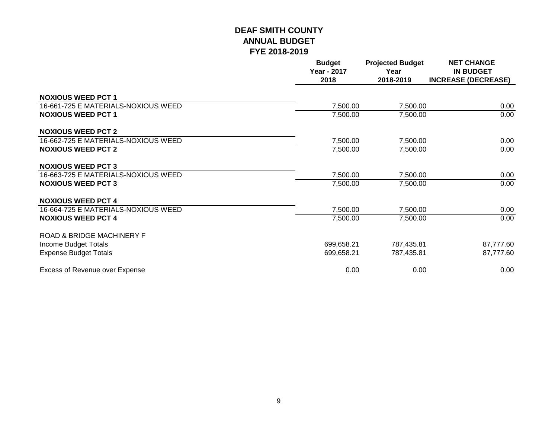|                                      | <b>Budget</b><br><b>Year - 2017</b><br>2018 | <b>Projected Budget</b><br>Year<br>2018-2019 | <b>NET CHANGE</b><br><b>IN BUDGET</b><br><b>INCREASE (DECREASE)</b> |
|--------------------------------------|---------------------------------------------|----------------------------------------------|---------------------------------------------------------------------|
| <b>NOXIOUS WEED PCT 1</b>            |                                             |                                              |                                                                     |
| 16-661-725 E MATERIALS-NOXIOUS WEED  | 7,500.00                                    | 7,500.00                                     | 0.00                                                                |
| <b>NOXIOUS WEED PCT 1</b>            | 7,500.00                                    | 7,500.00                                     | 0.00                                                                |
| <b>NOXIOUS WEED PCT 2</b>            |                                             |                                              |                                                                     |
| 16-662-725 E MATERIALS-NOXIOUS WEED  | 7,500.00                                    | 7,500.00                                     | 0.00                                                                |
| <b>NOXIOUS WEED PCT 2</b>            | 7,500.00                                    | 7,500.00                                     | 0.00                                                                |
| <b>NOXIOUS WEED PCT 3</b>            |                                             |                                              |                                                                     |
| 16-663-725 E MATERIALS-NOXIOUS WEED  | 7,500.00                                    | 7,500.00                                     | 0.00                                                                |
| <b>NOXIOUS WEED PCT 3</b>            | 7,500.00                                    | 7,500.00                                     | 0.00                                                                |
| <b>NOXIOUS WEED PCT 4</b>            |                                             |                                              |                                                                     |
| 16-664-725 E MATERIALS-NOXIOUS WEED  | 7,500.00                                    | 7,500.00                                     | 0.00                                                                |
| <b>NOXIOUS WEED PCT 4</b>            | 7,500.00                                    | 7,500.00                                     | 0.00                                                                |
| <b>ROAD &amp; BRIDGE MACHINERY F</b> |                                             |                                              |                                                                     |
| Income Budget Totals                 | 699,658.21                                  | 787,435.81                                   | 87,777.60                                                           |
| <b>Expense Budget Totals</b>         | 699,658.21                                  | 787,435.81                                   | 87,777.60                                                           |
| Excess of Revenue over Expense       | 0.00                                        | 0.00                                         | 0.00                                                                |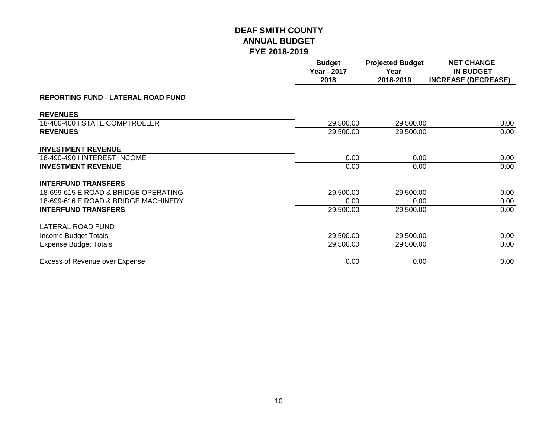|                                      | <b>Budget</b><br>Year - 2017<br>2018 | <b>Projected Budget</b><br>Year<br>2018-2019 | <b>NET CHANGE</b><br><b>IN BUDGET</b><br><b>INCREASE (DECREASE)</b> |
|--------------------------------------|--------------------------------------|----------------------------------------------|---------------------------------------------------------------------|
| REPORTING FUND - LATERAL ROAD FUND   |                                      |                                              |                                                                     |
| <b>REVENUES</b>                      |                                      |                                              |                                                                     |
| 18-400-400 I STATE COMPTROLLER       | 29,500.00                            | 29,500.00                                    | 0.00                                                                |
| <b>REVENUES</b>                      | 29,500.00                            | 29,500.00                                    | 0.00                                                                |
| <b>INVESTMENT REVENUE</b>            |                                      |                                              |                                                                     |
| 18-490-490 I INTEREST INCOME         | 0.00                                 | 0.00                                         | 0.00                                                                |
| <b>INVESTMENT REVENUE</b>            | 0.00                                 | 0.00                                         | 0.00                                                                |
| <b>INTERFUND TRANSFERS</b>           |                                      |                                              |                                                                     |
| 18-699-615 E ROAD & BRIDGE OPERATING | 29,500.00                            | 29,500.00                                    | 0.00                                                                |
| 18-699-616 E ROAD & BRIDGE MACHINERY | 0.00                                 | 0.00                                         | 0.00                                                                |
| <b>INTERFUND TRANSFERS</b>           | 29,500.00                            | 29,500.00                                    | 0.00                                                                |
| LATERAL ROAD FUND                    |                                      |                                              |                                                                     |
| Income Budget Totals                 | 29,500.00                            | 29,500.00                                    | 0.00                                                                |
| <b>Expense Budget Totals</b>         | 29,500.00                            | 29,500.00                                    | 0.00                                                                |
| Excess of Revenue over Expense       | 0.00                                 | 0.00                                         | 0.00                                                                |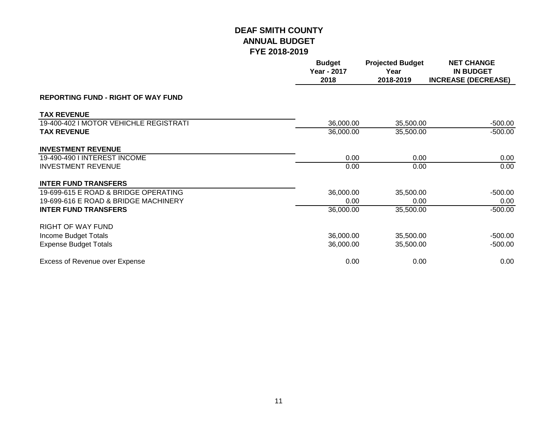|                                           | <b>Budget</b><br><b>Year - 2017</b><br>2018 | <b>Projected Budget</b><br>Year<br>2018-2019 | <b>NET CHANGE</b><br><b>IN BUDGET</b><br><b>INCREASE (DECREASE)</b> |
|-------------------------------------------|---------------------------------------------|----------------------------------------------|---------------------------------------------------------------------|
| <b>REPORTING FUND - RIGHT OF WAY FUND</b> |                                             |                                              |                                                                     |
| <b>TAX REVENUE</b>                        |                                             |                                              |                                                                     |
| 19-400-402 I MOTOR VEHICHLE REGISTRATI    | 36,000.00                                   | 35,500.00                                    | $-500.00$                                                           |
| <b>TAX REVENUE</b>                        | 36,000.00                                   | 35,500.00                                    | $-500.00$                                                           |
| <b>INVESTMENT REVENUE</b>                 |                                             |                                              |                                                                     |
| 19-490-490 I INTEREST INCOME              | 0.00                                        | 0.00                                         | 0.00                                                                |
| <b>INVESTMENT REVENUE</b>                 | 0.00                                        | 0.00                                         | 0.00                                                                |
| <b>INTER FUND TRANSFERS</b>               |                                             |                                              |                                                                     |
| 19-699-615 E ROAD & BRIDGE OPERATING      | 36,000.00                                   | 35,500.00                                    | $-500.00$                                                           |
| 19-699-616 E ROAD & BRIDGE MACHINERY      | 0.00                                        | 0.00                                         | 0.00                                                                |
| <b>INTER FUND TRANSFERS</b>               | 36,000.00                                   | 35,500.00                                    | $-500.00$                                                           |
| <b>RIGHT OF WAY FUND</b>                  |                                             |                                              |                                                                     |
| Income Budget Totals                      | 36,000.00                                   | 35,500.00                                    | $-500.00$                                                           |
| <b>Expense Budget Totals</b>              | 36,000.00                                   | 35,500.00                                    | $-500.00$                                                           |
| <b>Excess of Revenue over Expense</b>     | 0.00                                        | 0.00                                         | 0.00                                                                |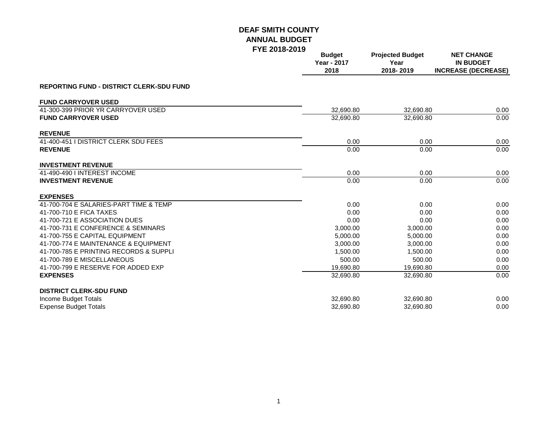|                                                 | LIE ZUIO-ZUIJ | <b>Budget</b><br><b>Year - 2017</b><br>2018 | <b>Projected Budget</b><br>Year<br>2018-2019 | <b>NET CHANGE</b><br><b>IN BUDGET</b><br><b>INCREASE (DECREASE)</b> |
|-------------------------------------------------|---------------|---------------------------------------------|----------------------------------------------|---------------------------------------------------------------------|
| <b>REPORTING FUND - DISTRICT CLERK-SDU FUND</b> |               |                                             |                                              |                                                                     |
| <b>FUND CARRYOVER USED</b>                      |               |                                             |                                              |                                                                     |
| 41-300-399 PRIOR YR CARRYOVER USED              |               | 32,690.80                                   | 32,690.80                                    | 0.00                                                                |
| <b>FUND CARRYOVER USED</b>                      |               | 32,690.80                                   | 32,690.80                                    | 0.00                                                                |
| <b>REVENUE</b>                                  |               |                                             |                                              |                                                                     |
| 41-400-451 I DISTRICT CLERK SDU FEES            |               | 0.00                                        | 0.00                                         | 0.00                                                                |
| <b>REVENUE</b>                                  |               | 0.00                                        | 0.00                                         | 0.00                                                                |
| <b>INVESTMENT REVENUE</b>                       |               |                                             |                                              |                                                                     |
| 41-490-490 I INTEREST INCOME                    |               | 0.00                                        | 0.00                                         | 0.00                                                                |
| <b>INVESTMENT REVENUE</b>                       |               | 0.00                                        | 0.00                                         | 0.00                                                                |
| <b>EXPENSES</b>                                 |               |                                             |                                              |                                                                     |
| 41-700-704 E SALARIES-PART TIME & TEMP          |               | 0.00                                        | 0.00                                         | 0.00                                                                |
| 41-700-710 E FICA TAXES                         |               | 0.00                                        | 0.00                                         | 0.00                                                                |
| 41-700-721 E ASSOCIATION DUES                   |               | 0.00                                        | 0.00                                         | 0.00                                                                |
| 41-700-731 E CONFERENCE & SEMINARS              |               | 3,000.00                                    | 3,000.00                                     | 0.00                                                                |
| 41-700-755 E CAPITAL EQUIPMENT                  |               | 5,000.00                                    | 5,000.00                                     | 0.00                                                                |
| 41-700-774 E MAINTENANCE & EQUIPMENT            |               | 3,000.00                                    | 3,000.00                                     | 0.00                                                                |
| 41-700-785 E PRINTING RECORDS & SUPPLI          |               | 1,500.00                                    | 1.500.00                                     | 0.00                                                                |
| 41-700-789 E MISCELLANEOUS                      |               | 500.00                                      | 500.00                                       | 0.00                                                                |
| 41-700-799 E RESERVE FOR ADDED EXP              |               | 19,690.80                                   | 19,690.80                                    | 0.00                                                                |
| <b>EXPENSES</b>                                 |               | 32,690.80                                   | 32,690.80                                    | 0.00                                                                |
| <b>DISTRICT CLERK-SDU FUND</b>                  |               |                                             |                                              |                                                                     |
| Income Budget Totals                            |               | 32,690.80                                   | 32,690.80                                    | 0.00                                                                |
| <b>Expense Budget Totals</b>                    |               | 32,690.80                                   | 32,690.80                                    | 0.00                                                                |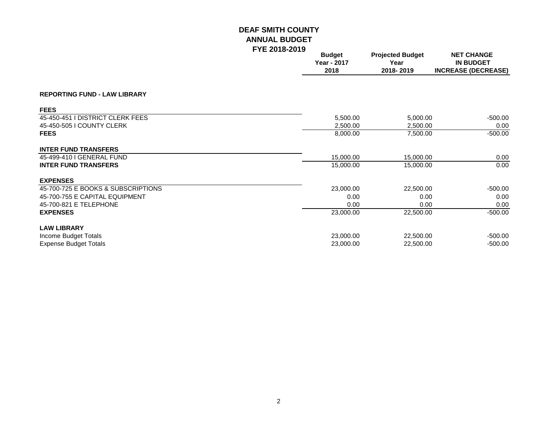|                                     | . . <u>. .</u> | <b>Budget</b><br><b>Year - 2017</b><br>2018 | <b>Projected Budget</b><br>Year<br>2018-2019 | <b>NET CHANGE</b><br><b>IN BUDGET</b><br><b>INCREASE (DECREASE)</b> |
|-------------------------------------|----------------|---------------------------------------------|----------------------------------------------|---------------------------------------------------------------------|
| <b>REPORTING FUND - LAW LIBRARY</b> |                |                                             |                                              |                                                                     |
| <b>FEES</b>                         |                |                                             |                                              |                                                                     |
| 45-450-451 I DISTRICT CLERK FEES    |                | 5,500.00                                    | 5,000.00                                     | $-500.00$                                                           |
| 45-450-505   COUNTY CLERK           |                | 2,500.00                                    | 2,500.00                                     | 0.00                                                                |
| <b>FEES</b>                         |                | 8,000.00                                    | 7,500.00                                     | $-500.00$                                                           |
| <b>INTER FUND TRANSFERS</b>         |                |                                             |                                              |                                                                     |
| 45-499-410   GENERAL FUND           |                | 15,000.00                                   | 15,000.00                                    | 0.00                                                                |
| <b>INTER FUND TRANSFERS</b>         |                | 15,000.00                                   | 15,000.00                                    | 0.00                                                                |
| <b>EXPENSES</b>                     |                |                                             |                                              |                                                                     |
| 45-700-725 E BOOKS & SUBSCRIPTIONS  |                | 23,000.00                                   | 22,500.00                                    | $-500.00$                                                           |
| 45-700-755 E CAPITAL EQUIPMENT      |                | 0.00                                        | 0.00                                         | 0.00                                                                |
| 45-700-821 E TELEPHONE              |                | 0.00                                        | 0.00                                         | 0.00                                                                |
| <b>EXPENSES</b>                     |                | 23,000.00                                   | 22,500.00                                    | $-500.00$                                                           |
| <b>LAW LIBRARY</b>                  |                |                                             |                                              |                                                                     |
| Income Budget Totals                |                | 23,000.00                                   | 22,500.00                                    | $-500.00$                                                           |
| <b>Expense Budget Totals</b>        |                | 23,000.00                                   | 22,500.00                                    | $-500.00$                                                           |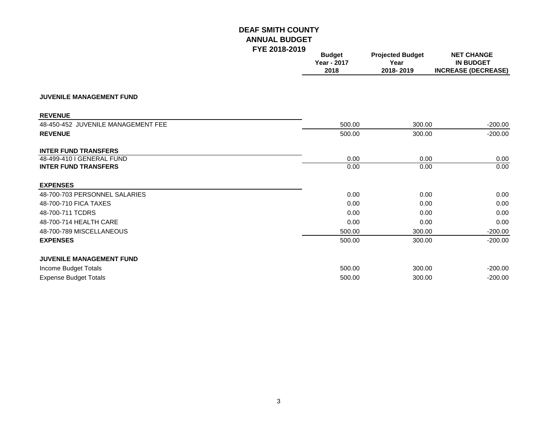|                                    | <b>Budget</b><br>Year - 2017<br>2018 | <b>Projected Budget</b><br>Year<br>2018-2019 | <b>NET CHANGE</b><br><b>IN BUDGET</b><br><b>INCREASE (DECREASE)</b> |
|------------------------------------|--------------------------------------|----------------------------------------------|---------------------------------------------------------------------|
| <b>JUVENILE MANAGEMENT FUND</b>    |                                      |                                              |                                                                     |
| <b>REVENUE</b>                     |                                      |                                              |                                                                     |
| 48-450-452 JUVENILE MANAGEMENT FEE | 500.00                               | 300.00                                       | $-200.00$                                                           |
| <b>REVENUE</b>                     | 500.00                               | 300.00                                       | $-200.00$                                                           |
| <b>INTER FUND TRANSFERS</b>        |                                      |                                              |                                                                     |
| 48-499-410 I GENERAL FUND          | 0.00                                 | 0.00                                         | 0.00                                                                |
| <b>INTER FUND TRANSFERS</b>        | 0.00                                 | 0.00                                         | 0.00                                                                |
| <b>EXPENSES</b>                    |                                      |                                              |                                                                     |
| 48-700-703 PERSONNEL SALARIES      | 0.00                                 | 0.00                                         | 0.00                                                                |
| 48-700-710 FICA TAXES              | 0.00                                 | 0.00                                         | 0.00                                                                |
| 48-700-711 TCDRS                   | 0.00                                 | 0.00                                         | 0.00                                                                |
| 48-700-714 HEALTH CARE             | 0.00                                 | 0.00                                         | 0.00                                                                |
| 48-700-789 MISCELLANEOUS           | 500.00                               | 300.00                                       | $-200.00$                                                           |
| <b>EXPENSES</b>                    | 500.00                               | 300.00                                       | $-200.00$                                                           |
| <b>JUVENILE MANAGEMENT FUND</b>    |                                      |                                              |                                                                     |
| Income Budget Totals               | 500.00                               | 300.00                                       | $-200.00$                                                           |
| <b>Expense Budget Totals</b>       | 500.00                               | 300.00                                       | $-200.00$                                                           |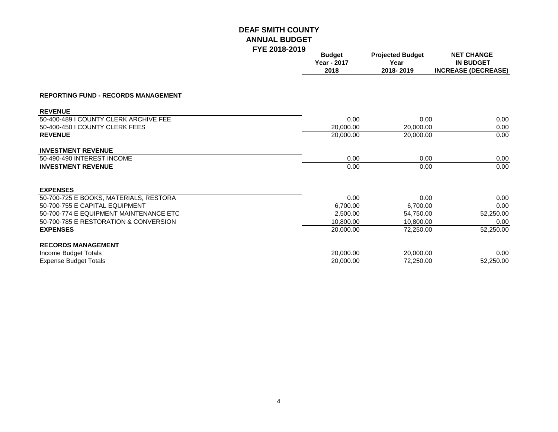|                                            | I IL LUIU LUIJ | <b>Budget</b><br><b>Year - 2017</b><br>2018 | <b>Projected Budget</b><br>Year<br>2018-2019 | <b>NET CHANGE</b><br><b>IN BUDGET</b><br><b>INCREASE (DECREASE)</b> |
|--------------------------------------------|----------------|---------------------------------------------|----------------------------------------------|---------------------------------------------------------------------|
| <b>REPORTING FUND - RECORDS MANAGEMENT</b> |                |                                             |                                              |                                                                     |
| <b>REVENUE</b>                             |                |                                             |                                              |                                                                     |
| 50-400-489 I COUNTY CLERK ARCHIVE FEE      |                | 0.00                                        | 0.00                                         | 0.00                                                                |
| 50-400-450 I COUNTY CLERK FEES             |                | 20,000.00                                   | 20,000.00                                    | 0.00                                                                |
| <b>REVENUE</b>                             |                | 20,000.00                                   | 20,000.00                                    | 0.00                                                                |
| <b>INVESTMENT REVENUE</b>                  |                |                                             |                                              |                                                                     |
| 50-490-490 INTEREST INCOME                 |                | 0.00                                        | 0.00                                         | 0.00                                                                |
| <b>INVESTMENT REVENUE</b>                  |                | 0.00                                        | 0.00                                         | 0.00                                                                |
| <b>EXPENSES</b>                            |                |                                             |                                              |                                                                     |
| 50-700-725 E BOOKS, MATERIALS, RESTORA     |                | 0.00                                        | 0.00                                         | 0.00                                                                |
| 50-700-755 E CAPITAL EQUIPMENT             |                | 6,700.00                                    | 6,700.00                                     | 0.00                                                                |
| 50-700-774 E EQUIPMENT MAINTENANCE ETC     |                | 2,500.00                                    | 54,750.00                                    | 52,250.00                                                           |
| 50-700-785 E RESTORATION & CONVERSION      |                | 10,800.00                                   | 10,800.00                                    | 0.00                                                                |
| <b>EXPENSES</b>                            |                | 20,000.00                                   | 72,250.00                                    | 52,250.00                                                           |
| <b>RECORDS MANAGEMENT</b>                  |                |                                             |                                              |                                                                     |
| Income Budget Totals                       |                | 20,000.00                                   | 20,000.00                                    | 0.00                                                                |
| <b>Expense Budget Totals</b>               |                | 20,000.00                                   | 72,250.00                                    | 52,250.00                                                           |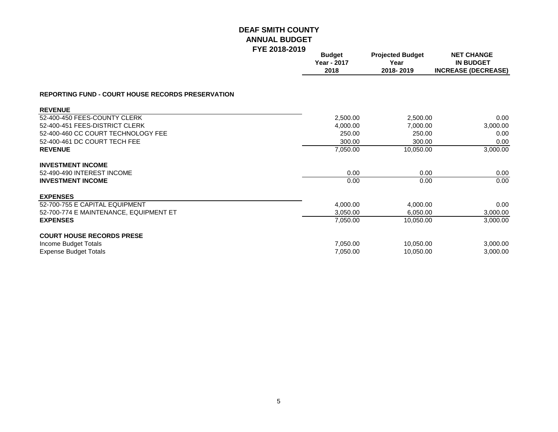|                                                          | . <i>. .</i> | <b>Budget</b><br><b>Year - 2017</b><br>2018 | <b>Projected Budget</b><br>Year<br>2018-2019 | <b>NET CHANGE</b><br><b>IN BUDGET</b><br><b>INCREASE (DECREASE)</b> |
|----------------------------------------------------------|--------------|---------------------------------------------|----------------------------------------------|---------------------------------------------------------------------|
| <b>REPORTING FUND - COURT HOUSE RECORDS PRESERVATION</b> |              |                                             |                                              |                                                                     |
| <b>REVENUE</b>                                           |              |                                             |                                              |                                                                     |
| 52-400-450 FEES-COUNTY CLERK                             |              | 2,500.00                                    | 2,500.00                                     | 0.00                                                                |
| 52-400-451 FEES-DISTRICT CLERK                           |              | 4,000.00                                    | 7,000.00                                     | 3,000.00                                                            |
| 52-400-460 CC COURT TECHNOLOGY FEE                       |              | 250.00                                      | 250.00                                       | 0.00                                                                |
| 52-400-461 DC COURT TECH FEE                             |              | 300.00                                      | 300.00                                       | 0.00                                                                |
| <b>REVENUE</b>                                           |              | 7,050.00                                    | 10,050.00                                    | 3,000.00                                                            |
| <b>INVESTMENT INCOME</b>                                 |              |                                             |                                              |                                                                     |
| 52-490-490 INTEREST INCOME                               |              | 0.00                                        | 0.00                                         | 0.00                                                                |
| <b>INVESTMENT INCOME</b>                                 |              | 0.00                                        | 0.00                                         | 0.00                                                                |
| <b>EXPENSES</b>                                          |              |                                             |                                              |                                                                     |
| 52-700-755 E CAPITAL EQUIPMENT                           |              | 4,000.00                                    | 4,000.00                                     | 0.00                                                                |
| 52-700-774 E MAINTENANCE, EQUIPMENT ET                   |              | 3,050.00                                    | 6,050.00                                     | 3,000.00                                                            |
| <b>EXPENSES</b>                                          |              | 7,050.00                                    | 10,050.00                                    | 3,000.00                                                            |
| <b>COURT HOUSE RECORDS PRESE</b>                         |              |                                             |                                              |                                                                     |
| Income Budget Totals                                     |              | 7,050.00                                    | 10,050.00                                    | 3,000.00                                                            |
| <b>Expense Budget Totals</b>                             |              | 7,050.00                                    | 10,050.00                                    | 3,000.00                                                            |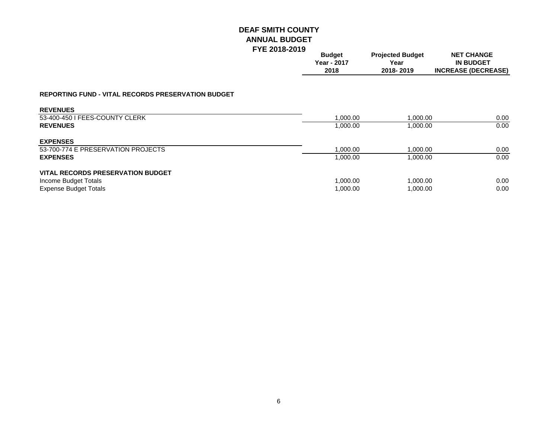|                                                           | <b>Budget</b><br>Year - 2017<br>2018 | <b>Projected Budget</b><br>Year<br>2018-2019 | <b>NET CHANGE</b><br><b>IN BUDGET</b><br><b>INCREASE (DECREASE)</b> |
|-----------------------------------------------------------|--------------------------------------|----------------------------------------------|---------------------------------------------------------------------|
|                                                           |                                      |                                              |                                                                     |
| <b>REPORTING FUND - VITAL RECORDS PRESERVATION BUDGET</b> |                                      |                                              |                                                                     |
| <b>REVENUES</b>                                           |                                      |                                              |                                                                     |
| 53-400-450 I FEES-COUNTY CLERK                            | 1,000.00                             | 1,000.00                                     | 0.00                                                                |
| <b>REVENUES</b>                                           | 1,000.00                             | 1,000.00                                     | 0.00                                                                |
| <b>EXPENSES</b>                                           |                                      |                                              |                                                                     |
| 53-700-774 E PRESERVATION PROJECTS                        | 1,000.00                             | 1,000.00                                     | 0.00                                                                |
| <b>EXPENSES</b>                                           | 1,000.00                             | 1,000.00                                     | 0.00                                                                |
| <b>VITAL RECORDS PRESERVATION BUDGET</b>                  |                                      |                                              |                                                                     |
| Income Budget Totals                                      | 1,000.00                             | 1,000.00                                     | 0.00                                                                |
| <b>Expense Budget Totals</b>                              | 1,000.00                             | 1,000.00                                     | 0.00 <sub>1</sub>                                                   |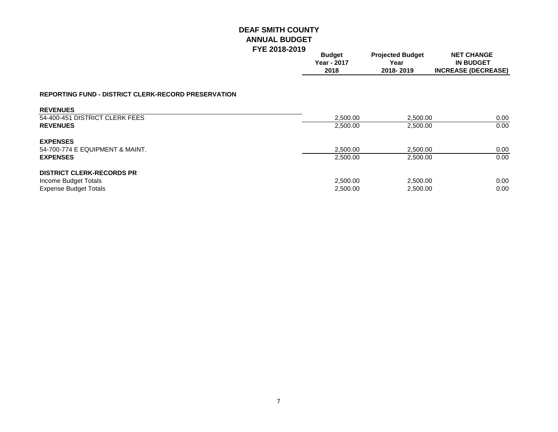|                                                            | <b>Budget</b><br>Year - 2017<br>2018 | <b>Projected Budget</b><br>Year<br>2018-2019 | <b>NET CHANGE</b><br><b>IN BUDGET</b><br><b>INCREASE (DECREASE)</b> |
|------------------------------------------------------------|--------------------------------------|----------------------------------------------|---------------------------------------------------------------------|
| <b>REPORTING FUND - DISTRICT CLERK-RECORD PRESERVATION</b> |                                      |                                              |                                                                     |
| <b>REVENUES</b>                                            |                                      |                                              |                                                                     |
| 54-400-451 DISTRICT CLERK FEES                             | 2,500.00                             | 2,500.00                                     | 0.00                                                                |
| <b>REVENUES</b>                                            | 2,500.00                             | 2,500.00                                     | 0.00                                                                |
| <b>EXPENSES</b>                                            |                                      |                                              |                                                                     |
| 54-700-774 E EQUIPMENT & MAINT.                            | 2,500.00                             | 2.500.00                                     | 0.00                                                                |
| <b>EXPENSES</b>                                            | 2,500.00                             | 2,500.00                                     | 0.00                                                                |
| <b>DISTRICT CLERK-RECORDS PR</b>                           |                                      |                                              |                                                                     |
| Income Budget Totals                                       | 2,500.00                             | 2,500.00                                     | 0.00                                                                |
| <b>Expense Budget Totals</b>                               | 2,500.00                             | 2,500.00                                     | 0.00                                                                |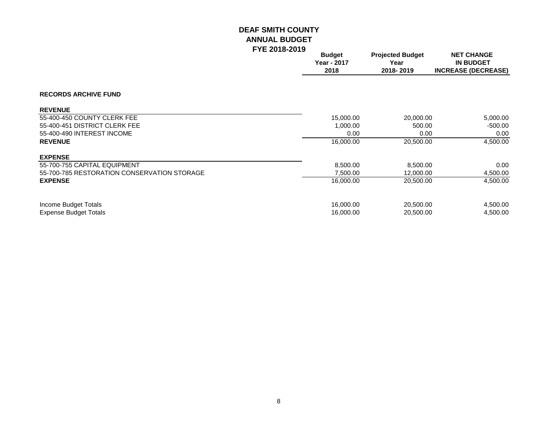|                                             | <b>Budget</b><br><b>Year - 2017</b><br>2018 | <b>Projected Budget</b><br>Year<br>2018-2019 | <b>NET CHANGE</b><br><b>IN BUDGET</b><br><b>INCREASE (DECREASE)</b> |
|---------------------------------------------|---------------------------------------------|----------------------------------------------|---------------------------------------------------------------------|
| <b>RECORDS ARCHIVE FUND</b>                 |                                             |                                              |                                                                     |
| <b>REVENUE</b>                              |                                             |                                              |                                                                     |
| 55-400-450 COUNTY CLERK FEE                 | 15,000.00                                   | 20,000.00                                    | 5,000.00                                                            |
| 55-400-451 DISTRICT CLERK FEE               | 1,000.00                                    | 500.00                                       | -500.00                                                             |
| 55-400-490 INTEREST INCOME                  | 0.00                                        | 0.00                                         | 0.00                                                                |
| <b>REVENUE</b>                              | 16,000.00                                   | 20,500.00                                    | 4,500.00                                                            |
| <b>EXPENSE</b>                              |                                             |                                              |                                                                     |
| 55-700-755 CAPITAL EQUIPMENT                | 8,500.00                                    | 8,500.00                                     | 0.00                                                                |
| 55-700-785 RESTORATION CONSERVATION STORAGE | 7,500.00                                    | 12,000.00                                    | 4,500.00                                                            |
| <b>EXPENSE</b>                              | 16,000.00                                   | 20,500.00                                    | 4,500.00                                                            |
| Income Budget Totals                        | 16,000.00                                   | 20,500.00                                    | 4,500.00                                                            |
| <b>Expense Budget Totals</b>                | 16,000.00                                   | 20,500.00                                    | 4,500.00                                                            |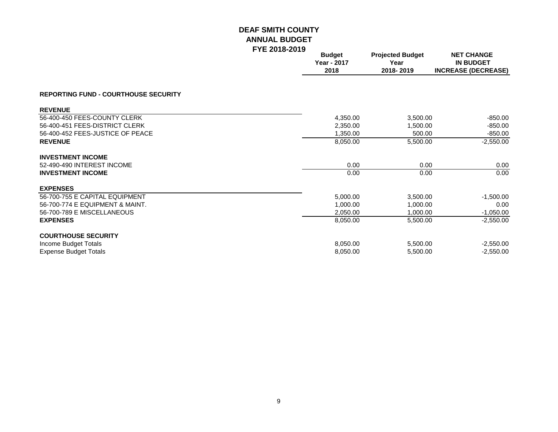|                                             | . . <u>. .</u> | <b>Budget</b><br>Year - 2017<br>2018 | <b>Projected Budget</b><br>Year<br>2018-2019 | <b>NET CHANGE</b><br><b>IN BUDGET</b><br><b>INCREASE (DECREASE)</b> |
|---------------------------------------------|----------------|--------------------------------------|----------------------------------------------|---------------------------------------------------------------------|
| <b>REPORTING FUND - COURTHOUSE SECURITY</b> |                |                                      |                                              |                                                                     |
| <b>REVENUE</b>                              |                |                                      |                                              |                                                                     |
| 56-400-450 FEES-COUNTY CLERK                |                | 4,350.00                             | 3,500.00                                     | $-850.00$                                                           |
| 56-400-451 FEES-DISTRICT CLERK              |                | 2,350.00                             | 1,500.00                                     | $-850.00$                                                           |
| 56-400-452 FEES-JUSTICE OF PEACE            |                | 1,350.00                             | 500.00                                       | $-850.00$                                                           |
| <b>REVENUE</b>                              |                | 8,050.00                             | 5,500.00                                     | $-2,550.00$                                                         |
| <b>INVESTMENT INCOME</b>                    |                |                                      |                                              |                                                                     |
| 52-490-490 INTEREST INCOME                  |                | 0.00                                 | 0.00                                         | 0.00                                                                |
| <b>INVESTMENT INCOME</b>                    |                | 0.00                                 | 0.00                                         | 0.00                                                                |
| <b>EXPENSES</b>                             |                |                                      |                                              |                                                                     |
| 56-700-755 E CAPITAL EQUIPMENT              |                | 5,000.00                             | 3,500.00                                     | $-1,500.00$                                                         |
| 56-700-774 E EQUIPMENT & MAINT.             |                | 1,000.00                             | 1,000.00                                     | 0.00                                                                |
| 56-700-789 E MISCELLANEOUS                  |                | 2,050.00                             | 1,000.00                                     | $-1,050.00$                                                         |
| <b>EXPENSES</b>                             |                | 8,050.00                             | 5,500.00                                     | $-2,550.00$                                                         |
| <b>COURTHOUSE SECURITY</b>                  |                |                                      |                                              |                                                                     |
| Income Budget Totals                        |                | 8,050.00                             | 5,500.00                                     | $-2,550.00$                                                         |
| <b>Expense Budget Totals</b>                |                | 8,050.00                             | 5,500.00                                     | $-2,550.00$                                                         |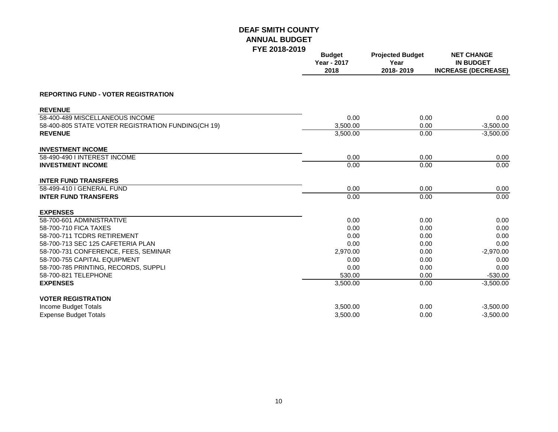| I I L ZV I U-ZV I J                                | <b>Budget</b><br>Year - 2017<br>2018 | <b>Projected Budget</b><br>Year<br>2018-2019 | <b>NET CHANGE</b><br><b>IN BUDGET</b><br><b>INCREASE (DECREASE)</b> |
|----------------------------------------------------|--------------------------------------|----------------------------------------------|---------------------------------------------------------------------|
| <b>REPORTING FUND - VOTER REGISTRATION</b>         |                                      |                                              |                                                                     |
| <b>REVENUE</b>                                     |                                      |                                              |                                                                     |
| 58-400-489 MISCELLANEOUS INCOME                    | 0.00                                 | 0.00                                         | 0.00                                                                |
| 58-400-805 STATE VOTER REGISTRATION FUNDING(CH 19) | 3,500.00                             | 0.00                                         | $-3,500.00$                                                         |
| <b>REVENUE</b>                                     | 3,500.00                             | 0.00                                         | $-3,500.00$                                                         |
| <b>INVESTMENT INCOME</b>                           |                                      |                                              |                                                                     |
| 58-490-490 I INTEREST INCOME                       | 0.00                                 | 0.00                                         | 0.00                                                                |
| <b>INVESTMENT INCOME</b>                           | 0.00                                 | 0.00                                         | 0.00                                                                |
| <b>INTER FUND TRANSFERS</b>                        |                                      |                                              |                                                                     |
| 58-499-410 I GENERAL FUND                          | 0.00                                 | 0.00                                         | 0.00                                                                |
| <b>INTER FUND TRANSFERS</b>                        | 0.00                                 | 0.00                                         | 0.00                                                                |
| <b>EXPENSES</b>                                    |                                      |                                              |                                                                     |
| 58-700-601 ADMINISTRATIVE                          | 0.00                                 | 0.00                                         | 0.00                                                                |
| 58-700-710 FICA TAXES                              | 0.00                                 | 0.00                                         | 0.00                                                                |
| 58-700-711 TCDRS RETIREMENT                        | 0.00                                 | 0.00                                         | 0.00                                                                |
| 58-700-713 SEC 125 CAFETERIA PLAN                  | 0.00                                 | 0.00                                         | 0.00                                                                |
| 58-700-731 CONFERENCE, FEES, SEMINAR               | 2,970.00                             | 0.00                                         | $-2,970.00$                                                         |
| 58-700-755 CAPITAL EQUIPMENT                       | 0.00                                 | 0.00                                         | 0.00                                                                |
| 58-700-785 PRINTING, RECORDS, SUPPLI               | 0.00                                 | 0.00                                         | 0.00                                                                |
| 58-700-821 TELEPHONE                               | 530.00                               | 0.00                                         | $-530.00$                                                           |
| <b>EXPENSES</b>                                    | 3,500.00                             | 0.00                                         | $-3,500.00$                                                         |
| <b>VOTER REGISTRATION</b>                          |                                      |                                              |                                                                     |
| Income Budget Totals                               | 3,500.00                             | 0.00                                         | $-3,500.00$                                                         |
| <b>Expense Budget Totals</b>                       | 3,500.00                             | 0.00                                         | $-3,500.00$                                                         |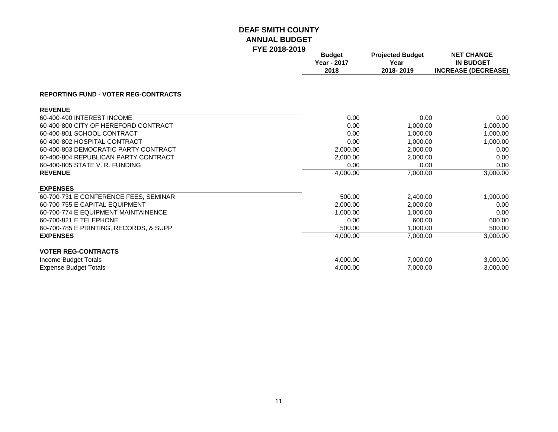|                                             | <b>Budget</b><br><b>Year - 2017</b><br>2018 | <b>Projected Budget</b><br>Year<br>2018-2019 | <b>NET CHANGE</b><br><b>IN BUDGET</b><br><b>INCREASE (DECREASE)</b> |
|---------------------------------------------|---------------------------------------------|----------------------------------------------|---------------------------------------------------------------------|
| <b>REPORTING FUND - VOTER REG-CONTRACTS</b> |                                             |                                              |                                                                     |
| <b>REVENUE</b>                              |                                             |                                              |                                                                     |
| 60-400-490 INTEREST INCOME                  | 0.00                                        | 0.00                                         | 0.00                                                                |
| 60-400-800 CITY OF HEREFORD CONTRACT        | 0.00                                        | 1,000.00                                     | 1,000.00                                                            |
| 60-400-801 SCHOOL CONTRACT                  | 0.00                                        | 1,000.00                                     | 1,000.00                                                            |
| 60-400-802 HOSPITAL CONTRACT                | 0.00                                        | 1,000.00                                     | 1,000.00                                                            |
| 60-400-803 DEMOCRATIC PARTY CONTRACT        | 2,000.00                                    | 2,000.00                                     | 0.00                                                                |
| 60-400-804 REPUBLICAN PARTY CONTRACT        | 2,000.00                                    | 2,000.00                                     | 0.00                                                                |
| 60-400-805 STATE V. R. FUNDING              | 0.00                                        | 0.00                                         | 0.00                                                                |
| <b>REVENUE</b>                              | 4,000.00                                    | 7,000.00                                     | 3,000.00                                                            |
| <b>EXPENSES</b>                             |                                             |                                              |                                                                     |
| 60-700-731 E CONFERENCE FEES, SEMINAR       | 500.00                                      | 2,400.00                                     | 1,900.00                                                            |
| 60-700-755 E CAPITAL EQUIPMENT              | 2,000.00                                    | 2,000.00                                     | 0.00                                                                |
| 60-700-774 E EQUIPMENT MAINTAINENCE         | 1,000.00                                    | 1,000.00                                     | 0.00                                                                |
| 60-700-821 E TELEPHONE                      | 0.00                                        | 600.00                                       | 600.00                                                              |
| 60-700-785 E PRINTING, RECORDS, & SUPP      | 500.00                                      | 1,000.00                                     | 500.00                                                              |
| <b>EXPENSES</b>                             | 4,000.00                                    | 7,000.00                                     | 3,000.00                                                            |
| <b>VOTER REG-CONTRACTS</b>                  |                                             |                                              |                                                                     |
| Income Budget Totals                        | 4,000.00                                    | 7,000.00                                     | 3,000.00                                                            |
| <b>Expense Budget Totals</b>                | 4,000.00                                    | 7,000.00                                     | 3,000.00                                                            |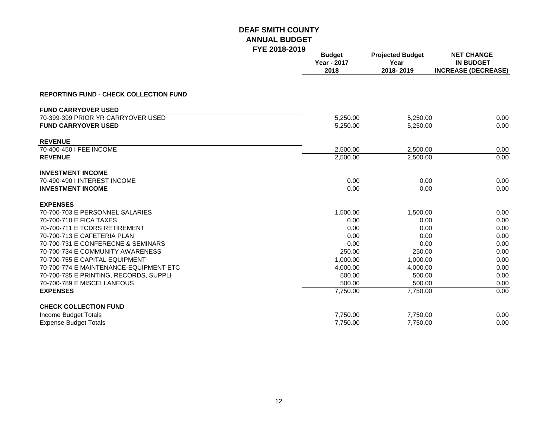|                                               | I ILL ZUIU™ZUIJ | <b>Budget</b><br>Year - 2017<br>2018 | <b>Projected Budget</b><br>Year<br>2018-2019 | <b>NET CHANGE</b><br><b>IN BUDGET</b><br><b>INCREASE (DECREASE)</b> |
|-----------------------------------------------|-----------------|--------------------------------------|----------------------------------------------|---------------------------------------------------------------------|
| <b>REPORTING FUND - CHECK COLLECTION FUND</b> |                 |                                      |                                              |                                                                     |
| <b>FUND CARRYOVER USED</b>                    |                 |                                      |                                              |                                                                     |
| 70-399-399 PRIOR YR CARRYOVER USED            |                 | 5.250.00                             | 5.250.00                                     | 0.00                                                                |
| <b>FUND CARRYOVER USED</b>                    |                 | 5,250.00                             | 5,250.00                                     | 0.00                                                                |
| <b>REVENUE</b>                                |                 |                                      |                                              |                                                                     |
| 70-400-450 I FEE INCOME                       |                 | 2,500.00                             | 2,500.00                                     | 0.00                                                                |
| <b>REVENUE</b>                                |                 | 2,500.00                             | 2,500.00                                     | 0.00                                                                |
| <b>INVESTMENT INCOME</b>                      |                 |                                      |                                              |                                                                     |
| 70-490-490   INTEREST INCOME                  |                 | 0.00                                 | 0.00                                         | 0.00                                                                |
| <b>INVESTMENT INCOME</b>                      |                 | 0.00                                 | 0.00                                         | 0.00                                                                |
| <b>EXPENSES</b>                               |                 |                                      |                                              |                                                                     |
| 70-700-703 E PERSONNEL SALARIES               |                 | 1,500.00                             | 1,500.00                                     | 0.00                                                                |
| 70-700-710 E FICA TAXES                       |                 | 0.00                                 | 0.00                                         | 0.00                                                                |
| 70-700-711 E TCDRS RETIREMENT                 |                 | 0.00                                 | 0.00                                         | 0.00                                                                |
| 70-700-713 E CAFETERIA PLAN                   |                 | 0.00                                 | 0.00                                         | 0.00                                                                |
| 70-700-731 E CONFERECNE & SEMINARS            |                 | 0.00                                 | 0.00                                         | 0.00                                                                |
| 70-700-734 E COMMUNITY AWARENESS              |                 | 250.00                               | 250.00                                       | 0.00                                                                |
| 70-700-755 E CAPITAL EQUIPMENT                |                 | 1,000.00                             | 1,000.00                                     | 0.00                                                                |
| 70-700-774 E MAINTENANCE-EQUIPMENT ETC        |                 | 4,000.00                             | 4,000.00                                     | 0.00                                                                |
| 70-700-785 E PRINTING, RECORDS, SUPPLI        |                 | 500.00                               | 500.00                                       | 0.00                                                                |
| 70-700-789 E MISCELLANEOUS                    |                 | 500.00                               | 500.00                                       | 0.00                                                                |
| <b>EXPENSES</b>                               |                 | 7,750.00                             | 7,750.00                                     | 0.00                                                                |
| <b>CHECK COLLECTION FUND</b>                  |                 |                                      |                                              |                                                                     |
| Income Budget Totals                          |                 | 7,750.00                             | 7,750.00                                     | 0.00                                                                |
| <b>Expense Budget Totals</b>                  |                 | 7,750.00                             | 7.750.00                                     | 0.00                                                                |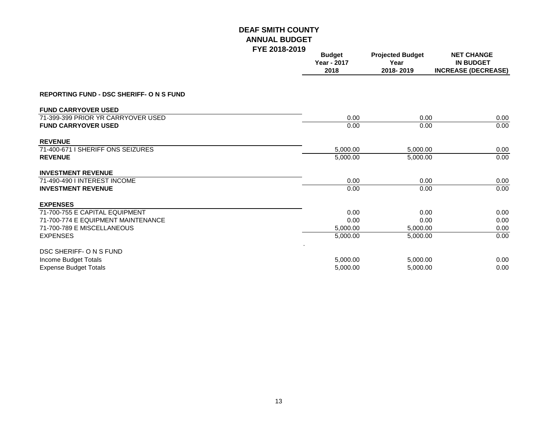|                                                 | <b>Budget</b><br>Year - 2017<br>2018 | <b>Projected Budget</b><br>Year<br>2018-2019 | <b>NET CHANGE</b><br><b>IN BUDGET</b><br><b>INCREASE (DECREASE)</b> |
|-------------------------------------------------|--------------------------------------|----------------------------------------------|---------------------------------------------------------------------|
| <b>REPORTING FUND - DSC SHERIFF- O N S FUND</b> |                                      |                                              |                                                                     |
| <b>FUND CARRYOVER USED</b>                      |                                      |                                              |                                                                     |
| 71-399-399 PRIOR YR CARRYOVER USED              | 0.00                                 | 0.00                                         | 0.00                                                                |
| <b>FUND CARRYOVER USED</b>                      | 0.00                                 | 0.00                                         | 0.00                                                                |
| <b>REVENUE</b>                                  |                                      |                                              |                                                                     |
| 71-400-671 I SHERIFF ONS SEIZURES               | 5,000.00                             | 5,000.00                                     | 0.00                                                                |
| <b>REVENUE</b>                                  | 5,000.00                             | 5,000.00                                     | 0.00                                                                |
| <b>INVESTMENT REVENUE</b>                       |                                      |                                              |                                                                     |
| 71-490-490   INTEREST INCOME                    | 0.00                                 | 0.00                                         | 0.00                                                                |
| <b>INVESTMENT REVENUE</b>                       | 0.00                                 | 0.00                                         | 0.00                                                                |
| <b>EXPENSES</b>                                 |                                      |                                              |                                                                     |
| 71-700-755 E CAPITAL EQUIPMENT                  | 0.00                                 | 0.00                                         | 0.00                                                                |
| 71-700-774 E EQUIPMENT MAINTENANCE              | 0.00                                 | 0.00                                         | 0.00                                                                |
| 71-700-789 E MISCELLANEOUS                      | 5,000.00                             | 5,000.00                                     | 0.00                                                                |
| <b>EXPENSES</b>                                 | 5,000.00                             | 5,000.00                                     | 0.00                                                                |
| DSC SHERIFF- O N S FUND                         |                                      |                                              |                                                                     |
| Income Budget Totals                            | 5,000.00                             | 5,000.00                                     | 0.00                                                                |
| <b>Expense Budget Totals</b>                    | 5,000.00                             | 5,000.00                                     | 0.00                                                                |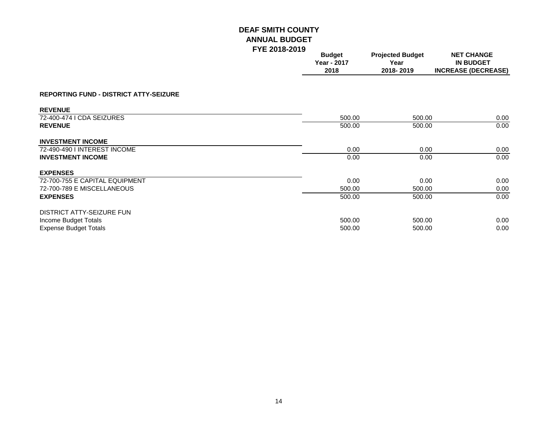|                                               | . . <u>. .</u> | <b>Budget</b><br>Year - 2017<br>2018 | <b>Projected Budget</b><br>Year<br>2018-2019 | <b>NET CHANGE</b><br><b>IN BUDGET</b><br><b>INCREASE (DECREASE)</b> |
|-----------------------------------------------|----------------|--------------------------------------|----------------------------------------------|---------------------------------------------------------------------|
| <b>REPORTING FUND - DISTRICT ATTY-SEIZURE</b> |                |                                      |                                              |                                                                     |
| <b>REVENUE</b>                                |                |                                      |                                              |                                                                     |
| 72-400-474 I CDA SEIZURES                     |                | 500.00                               | 500.00                                       | 0.00                                                                |
| <b>REVENUE</b>                                |                | 500.00                               | 500.00                                       | 0.00                                                                |
| <b>INVESTMENT INCOME</b>                      |                |                                      |                                              |                                                                     |
| 72-490-490 I INTEREST INCOME                  |                | 0.00                                 | 0.00                                         | 0.00                                                                |
| <b>INVESTMENT INCOME</b>                      |                | 0.00                                 | 0.00                                         | 0.00                                                                |
| <b>EXPENSES</b>                               |                |                                      |                                              |                                                                     |
| 72-700-755 E CAPITAL EQUIPMENT                |                | 0.00                                 | 0.00                                         | 0.00                                                                |
| 72-700-789 E MISCELLANEOUS                    |                | 500.00                               | 500.00                                       | 0.00                                                                |
| <b>EXPENSES</b>                               |                | 500.00                               | 500.00                                       | 0.00                                                                |
| DISTRICT ATTY-SEIZURE FUN                     |                |                                      |                                              |                                                                     |
| Income Budget Totals                          |                | 500.00                               | 500.00                                       | 0.00                                                                |
| <b>Expense Budget Totals</b>                  |                | 500.00                               | 500.00                                       | 0.00                                                                |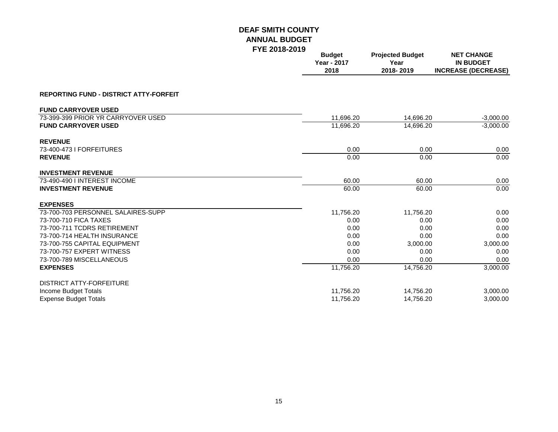|                                               | I IL LUIU-LUIJ | <b>Budget</b><br>Year - 2017<br>2018 | <b>Projected Budget</b><br>Year<br>2018-2019 | <b>NET CHANGE</b><br><b>IN BUDGET</b><br><b>INCREASE (DECREASE)</b> |  |
|-----------------------------------------------|----------------|--------------------------------------|----------------------------------------------|---------------------------------------------------------------------|--|
| <b>REPORTING FUND - DISTRICT ATTY-FORFEIT</b> |                |                                      |                                              |                                                                     |  |
| <b>FUND CARRYOVER USED</b>                    |                |                                      |                                              |                                                                     |  |
| 73-399-399 PRIOR YR CARRYOVER USED            |                | 11,696.20                            | 14,696.20                                    | $-3,000.00$                                                         |  |
| <b>FUND CARRYOVER USED</b>                    |                | 11,696.20                            | 14,696.20                                    | $-3,000.00$                                                         |  |
| <b>REVENUE</b>                                |                |                                      |                                              |                                                                     |  |
| 73-400-473   FORFEITURES                      |                | 0.00                                 | 0.00                                         | 0.00                                                                |  |
| <b>REVENUE</b>                                |                | 0.00                                 | 0.00                                         | 0.00                                                                |  |
| <b>INVESTMENT REVENUE</b>                     |                |                                      |                                              |                                                                     |  |
| 73-490-490   INTEREST INCOME                  |                | 60.00                                | 60.00                                        | 0.00                                                                |  |
| <b>INVESTMENT REVENUE</b>                     |                | 60.00                                | 60.00                                        | 0.00                                                                |  |
| <b>EXPENSES</b>                               |                |                                      |                                              |                                                                     |  |
| 73-700-703 PERSONNEL SALAIRES-SUPP            |                | 11,756.20                            | 11,756.20                                    | 0.00                                                                |  |
| 73-700-710 FICA TAXES                         |                | 0.00                                 | 0.00                                         | 0.00                                                                |  |
| 73-700-711 TCDRS RETIREMENT                   |                | 0.00                                 | 0.00                                         | 0.00                                                                |  |
| 73-700-714 HEALTH INSURANCE                   |                | 0.00                                 | 0.00                                         | 0.00                                                                |  |
| 73-700-755 CAPITAL EQUIPMENT                  |                | 0.00                                 | 3,000.00                                     | 3,000.00                                                            |  |
| 73-700-757 EXPERT WITNESS                     |                | 0.00                                 | 0.00                                         | 0.00                                                                |  |
| 73-700-789 MISCELLANEOUS                      |                | 0.00                                 | 0.00                                         | 0.00                                                                |  |
| <b>EXPENSES</b>                               |                | 11,756.20                            | 14,756.20                                    | 3,000.00                                                            |  |
| <b>DISTRICT ATTY-FORFEITURE</b>               |                |                                      |                                              |                                                                     |  |
| Income Budget Totals                          |                | 11,756.20                            | 14,756.20                                    | 3,000.00                                                            |  |
| <b>Expense Budget Totals</b>                  |                | 11,756.20                            | 14,756.20                                    | 3,000.00                                                            |  |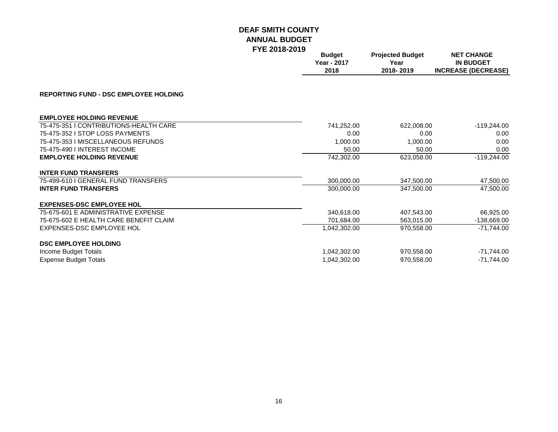|                                              | <b>Budget</b><br><b>Year - 2017</b><br>2018 | <b>Projected Budget</b><br>Year<br>2018-2019 | <b>NET CHANGE</b><br><b>IN BUDGET</b><br><b>INCREASE (DECREASE)</b> |  |
|----------------------------------------------|---------------------------------------------|----------------------------------------------|---------------------------------------------------------------------|--|
| <b>REPORTING FUND - DSC EMPLOYEE HOLDING</b> |                                             |                                              |                                                                     |  |
| <b>EMPLOYEE HOLDING REVENUE</b>              |                                             |                                              |                                                                     |  |
| 75-475-351   CONTRIBUTIONS-HEALTH CARE       | 741,252.00                                  | 622,008.00                                   | $-119,244.00$                                                       |  |
| 75-475-352 I STOP LOSS PAYMENTS              | 0.00                                        | 0.00                                         | 0.00                                                                |  |
| 75-475-353 I MISCELLANEOUS REFUNDS           | 1,000.00                                    | 1,000.00                                     | 0.00                                                                |  |
| 75-475-490   INTEREST INCOME                 | 50.00                                       | 50.00                                        | 0.00                                                                |  |
| <b>EMPLOYEE HOLDING REVENUE</b>              | 742,302.00                                  | 623,058.00                                   | $-119,244.00$                                                       |  |
| <b>INTER FUND TRANSFERS</b>                  |                                             |                                              |                                                                     |  |
| 75-499-610 I GENERAL FUND TRANSFERS          | 300,000.00                                  | 347,500.00                                   | 47,500.00                                                           |  |
| <b>INTER FUND TRANSFERS</b>                  | 300.000.00                                  | 347.500.00                                   | 47,500.00                                                           |  |
| <b>EXPENSES-DSC EMPLOYEE HOL</b>             |                                             |                                              |                                                                     |  |
| 75-675-601 E ADMINISTRATIVE EXPENSE          | 340,618.00                                  | 407,543.00                                   | 66,925.00                                                           |  |
| 75-675-602 E HEALTH CARE BENEFIT CLAIM       | 701,684.00                                  | 563,015.00                                   | -138,669.00                                                         |  |
| EXPENSES-DSC EMPLOYEE HOL                    | 1,042,302.00                                | 970,558.00                                   | $-71.744.00$                                                        |  |
| <b>DSC EMPLOYEE HOLDING</b>                  |                                             |                                              |                                                                     |  |
| Income Budget Totals                         | 1,042,302.00                                | 970,558.00                                   | $-71,744.00$                                                        |  |
| <b>Expense Budget Totals</b>                 | 1,042,302.00                                | 970,558.00                                   | $-71,744.00$                                                        |  |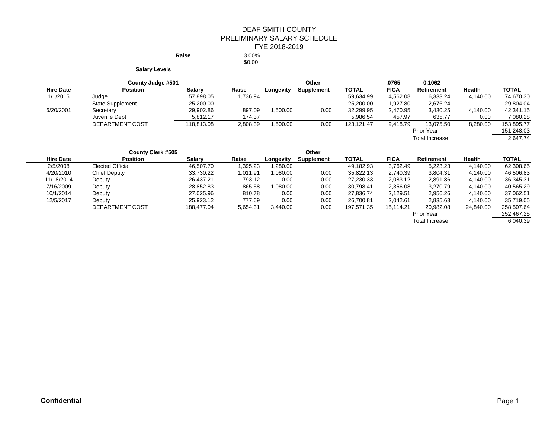#### DEAF SMITH COUNTY PRELIMINARY SALARY SCHEDULE FYE 2018-2019 **Raise** 3.00%

\$0.00

**Salary Levels**

| County Judge #501 |                         |               |          | Other     |            |              | .0765       | 0.1062                |               |              |
|-------------------|-------------------------|---------------|----------|-----------|------------|--------------|-------------|-----------------------|---------------|--------------|
| <b>Hire Date</b>  | <b>Position</b>         | <b>Salarv</b> | Raise    | Longevity | Supplement | <b>TOTAL</b> | <b>FICA</b> | <b>Retirement</b>     | <b>Health</b> | <b>TOTAL</b> |
| 1/1/2015          | Judge                   | 57,898.05     | 1,736.94 |           |            | 59,634.99    | 4,562.08    | 6,333.24              | 4,140.00      | 74,670.30    |
|                   | <b>State Supplement</b> | 25,200.00     |          |           |            | 25,200.00    | 1,927.80    | 2,676.24              |               | 29,804.04    |
| 6/20/2001         | Secretary               | 29,902.86     | 897.09   | .500.00   | 0.00       | 32,299.95    | 2,470.95    | 3,430.25              | 4,140.00      | 42,341.15    |
|                   | Juvenile Dept           | 5.812.17      | 174.37   |           |            | 5,986.54     | 457.97      | 635.77                | 0.00          | 7,080.28     |
|                   | DEPARTMENT COST         | 118.813.08    | 2,808.39 | ,500.00   | 0.00       | 123.121.47   | 9,418.79    | 13.075.50             | 8,280.00      | 153.895.77   |
|                   |                         |               |          |           |            |              |             | Prior Year            |               | 151,248.03   |
|                   |                         |               |          |           |            |              |             | <b>Total Increase</b> |               | 2,647.74     |

|                  | <b>County Clerk #505</b> |               |          |           | Other             |            |             |                   |               |              |
|------------------|--------------------------|---------------|----------|-----------|-------------------|------------|-------------|-------------------|---------------|--------------|
| <b>Hire Date</b> | <b>Position</b>          | <b>Salarv</b> | Raise    | Longevity | <b>Supplement</b> | TOTAL      | <b>FICA</b> | <b>Retirement</b> | <b>Health</b> | <b>TOTAL</b> |
| 2/5/2008         | <b>Elected Official</b>  | 46.507.70     | 1,395.23 | .280.00   |                   | 49,182.93  | 3,762.49    | 5,223.23          | 4,140.00      | 62,308.65    |
| 4/20/2010        | <b>Chief Deputy</b>      | 33,730.22     | 1,011.91 | 0.080.00  | 0.00              | 35,822.13  | 2,740.39    | 3,804.31          | 4,140.00      | 46,506.83    |
| 11/18/2014       | Deputy                   | 26,437.21     | 793.12   | 0.00      | 0.00              | 27,230.33  | 2,083.12    | 2,891.86          | 4,140.00      | 36,345.31    |
| 7/16/2009        | Deputy                   | 28,852.83     | 865.58   | .080.00   | 0.00              | 30.798.41  | 2,356.08    | 3,270.79          | 4,140.00      | 40.565.29    |
| 10/1/2014        | Deputy                   | 27.025.96     | 810.78   | 0.00      | 0.00              | 27.836.74  | 2.129.51    | 2,956.26          | 4,140.00      | 37,062.51    |
| 12/5/2017        | Deputy                   | 25,923.12     | 777.69   | 0.00      | 0.00              | 26.700.81  | 2.042.61    | 2,835.63          | 4,140.00      | 35,719.05    |
|                  | DEPARTMENT COST          | 188.477.04    | 5,654.31 | 3.440.00  | 0.00              | 197,571.35 | 15,114.21   | 20,982.08         | 24.840.00     | 258.507.64   |
|                  |                          |               |          |           |                   |            |             | Prior Year        |               | 252,467.25   |

Total Increase 6,040.39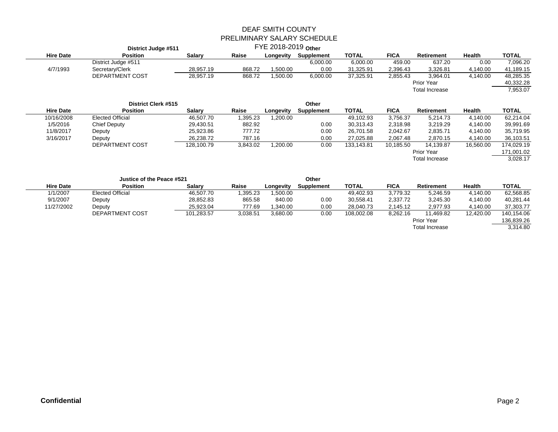|                  | <b>District Judge #511</b> |               |          | FYE 2018-2019 Other |            |              |             |                       |               |              |
|------------------|----------------------------|---------------|----------|---------------------|------------|--------------|-------------|-----------------------|---------------|--------------|
| <b>Hire Date</b> | <b>Position</b>            | <b>Salary</b> | Raise    | Longevity           | Supplement | <b>TOTAL</b> | <b>FICA</b> | <b>Retirement</b>     | <b>Health</b> | <b>TOTAL</b> |
|                  | District Judge #511        |               |          |                     | 6,000.00   | 6,000.00     | 459.00      | 637.20                | 0.00          | 7,096.20     |
| 4/7/1993         | Secretary/Clerk            | 28,957.19     | 868.72   | 1,500.00            | 0.00       | 31,325.91    | 2,396.43    | 3,326.81              | 4,140.00      | 41,189.15    |
|                  | DEPARTMENT COST            | 28,957.19     | 868.72   | 1,500.00            | 6,000.00   | 37,325.91    | 2,855.43    | 3,964.01              | 4,140.00      | 48,285.35    |
|                  |                            |               |          |                     |            |              |             | Prior Year            |               | 40,332.28    |
|                  |                            |               |          |                     |            |              |             | <b>Total Increase</b> |               | 7,953.07     |
|                  | <b>District Clerk #515</b> |               |          |                     | Other      |              |             |                       |               |              |
| <b>Hire Date</b> | <b>Position</b>            | <b>Salary</b> | Raise    | Longevity           | Supplement | <b>TOTAL</b> | <b>FICA</b> | Retirement            | Health        | <b>TOTAL</b> |
| 10/16/2008       | <b>Elected Official</b>    | 46,507.70     | 1,395.23 | 1,200.00            |            | 49,102.93    | 3,756.37    | 5,214.73              | 4,140.00      | 62,214.04    |
| 1/5/2016         | <b>Chief Deputy</b>        | 29,430.51     | 882.92   |                     | 0.00       | 30,313.43    | 2,318.98    | 3,219.29              | 4,140.00      | 39,991.69    |
| 11/8/2017        | Deputy                     | 25,923.86     | 777.72   |                     | 0.00       | 26,701.58    | 2,042.67    | 2,835.71              | 4,140.00      | 35,719.95    |
| 3/16/2017        | Deputy                     | 26,238.72     | 787.16   |                     | 0.00       | 27,025.88    | 2,067.48    | 2,870.15              | 4,140.00      | 36,103.51    |
|                  | DEPARTMENT COST            | 128,100.79    | 3,843.02 | 1,200.00            | 0.00       | 133,143.81   | 10,185.50   | 14,139.87             | 16,560.00     | 174,029.19   |
|                  |                            |               |          |                     |            |              |             | Prior Year            |               | 171,001.02   |
|                  |                            |               |          |                     |            |              |             | <b>Total Increase</b> |               | 3,028.17     |
|                  | Justice of the Peace #521  |               |          |                     | Other      |              |             |                       |               |              |
| <b>Hire Date</b> | <b>Position</b>            | <b>Salary</b> | Raise    | Longevity           | Supplement | <b>TOTAL</b> | <b>FICA</b> | Retirement            | Health        | <b>TOTAL</b> |
| 1/1/2007         | <b>Elected Official</b>    | 46,507.70     | 1,395.23 | 1,500.00            |            | 49,402.93    | 3,779.32    | 5,246.59              | 4,140.00      | 62,568.85    |
| 9/1/2007         | Deputy                     | 28,852.83     | 865.58   | 840.00              | 0.00       | 30,558.41    | 2,337.72    | 3,245.30              | 4,140.00      | 40,281.44    |
| 11/27/2002       | Deputy                     | 25,923.04     | 777.69   | 1,340.00            | 0.00       | 28,040.73    | 2,145.12    | 2,977.93              | 4,140.00      | 37,303.77    |
|                  | DEPARTMENT COST            | 101,283.57    | 3,038.51 | 3,680.00            | 0.00       | 108,002.08   | 8,262.16    | 11,469.82             | 12,420.00     | 140,154.06   |
|                  |                            |               |          |                     |            |              |             | Prior Year            |               | 136,839.26   |

136,839.26<br>3,314.80 Total Increase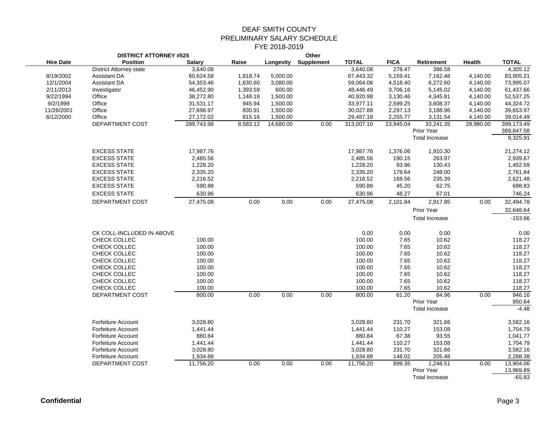|                  | <b>DISTRICT ATTORNEY #525</b>  |               |          | Other     |                   |              |             |                       |           |              |
|------------------|--------------------------------|---------------|----------|-----------|-------------------|--------------|-------------|-----------------------|-----------|--------------|
| <b>Hire Date</b> | <b>Position</b>                | <b>Salary</b> | Raise    | Longevity | <b>Supplement</b> | <b>TOTAL</b> | <b>FICA</b> | Retirement            | Health    | <b>TOTAL</b> |
|                  | <b>District Attorney state</b> | 3,640.08      |          |           |                   | 3,640.08     | 278.47      | 386.58                |           | 4,305.12     |
| 8/19/2002        | Assistant DA                   | 60,624.58     | 1,818.74 | 5,000.00  |                   | 67,443.32    | 5,159.41    | 7,162.48              | 4,140.00  | 83,905.21    |
| 12/1/2004        | Assistant DA                   | 54,353.46     | 1,630.60 | 3,080.00  |                   | 59,064.06    | 4,518.40    | 6,272.60              | 4,140.00  | 73,995.07    |
| 2/11/2013        | Investigator                   | 46,452.90     | 1,393.59 | 600.00    |                   | 48,446.49    | 3,706.16    | 5,145.02              | 4,140.00  | 61,437.66    |
| 9/22/1994        | Office                         | 38,272.80     | 1,148.18 | 1,500.00  |                   | 40,920.98    | 3,130.46    | 4,345.81              | 4,140.00  | 52,537.25    |
| 9/2/1999         | Office                         | 31,531.17     | 945.94   | 1,500.00  |                   | 33,977.11    | 2,599.25    | 3,608.37              | 4,140.00  | 44,324.72    |
| 11/26/2001       | Office                         | 27,696.97     | 830.91   | 1,500.00  |                   | 30,027.88    | 2,297.13    | 3,188.96              | 4,140.00  | 39,653.97    |
| 6/12/2000        | Office                         | 27,172.02     | 815.16   | 1,500.00  |                   | 29,487.18    | 2,255.77    | 3,131.54              | 4,140.00  | 39,014.49    |
|                  | DEPARTMENT COST                | 289,743.98    | 8,583.12 | 14,680.00 | 0.00              | 313,007.10   | 23,945.04   | 33,241.35             | 28,980.00 | 399,173.49   |
|                  |                                |               |          |           |                   |              |             | Prior Year            |           | 389,847.58   |
|                  |                                |               |          |           |                   |              |             | <b>Total Increase</b> |           | 9,325.91     |
|                  | <b>EXCESS STATE</b>            | 17,987.76     |          |           |                   | 17,987.76    | 1,376.06    | 1,910.30              |           | 21,274.12    |
|                  | <b>EXCESS STATE</b>            | 2,485.56      |          |           |                   | 2,485.56     | 190.15      | 263.97                |           | 2,939.67     |
|                  | <b>EXCESS STATE</b>            | 1,228.20      |          |           |                   | 1,228.20     | 93.96       | 130.43                |           | 1,452.59     |
|                  | <b>EXCESS STATE</b>            | 2,335.20      |          |           |                   | 2,335.20     | 178.64      | 248.00                |           | 2,761.84     |
|                  | <b>EXCESS STATE</b>            | 2,216.52      |          |           |                   | 2,216.52     | 169.56      | 235.39                |           | 2,621.48     |
|                  | <b>EXCESS STATE</b>            | 590.88        |          |           |                   | 590.88       | 45.20       | 62.75                 |           | 698.83       |
|                  | <b>EXCESS STATE</b>            | 630.96        |          |           |                   | 630.96       | 48.27       | 67.01                 |           | 746.24       |
|                  | DEPARTMENT COST                | 27,475.08     | 0.00     | 0.00      | 0.00              | 27,475.08    | 2,101.84    | 2,917.85              | 0.00      | 32,494.78    |
|                  |                                |               |          |           |                   |              |             | Prior Year            |           | 32,648.64    |
|                  |                                |               |          |           |                   |              |             | <b>Total Increase</b> |           | $-153.86$    |
|                  |                                |               |          |           |                   |              |             |                       |           |              |
|                  | CK COLL-INCLUDED IN ABOVE      |               |          |           |                   | 0.00         | 0.00        | 0.00                  |           | 0.00         |
|                  | CHECK COLLEC                   | 100.00        |          |           |                   | 100.00       | 7.65        | 10.62                 |           | 118.27       |
|                  | CHECK COLLEC                   | 100.00        |          |           |                   | 100.00       | 7.65        | 10.62                 |           | 118.27       |
|                  | CHECK COLLEC                   | 100.00        |          |           |                   | 100.00       | 7.65        | 10.62                 |           | 118.27       |
|                  | CHECK COLLEC                   | 100.00        |          |           |                   | 100.00       | 7.65        | 10.62                 |           | 118.27       |
|                  | CHECK COLLEC                   | 100.00        |          |           |                   | 100.00       | 7.65        | 10.62                 |           | 118.27       |
|                  | CHECK COLLEC                   | 100.00        |          |           |                   | 100.00       | 7.65        | 10.62                 |           | 118.27       |
|                  | CHECK COLLEC                   | 100.00        |          |           |                   | 100.00       | 7.65        | 10.62                 |           | 118.27       |
|                  | CHECK COLLEC                   | 100.00        |          |           |                   | 100.00       | 7.65        | 10.62                 |           | 118.27       |
|                  | DEPARTMENT COST                | 800.00        | 0.00     | 0.00      | 0.00              | 800.00       | 61.20       | 84.96                 | 0.00      | 946.16       |
|                  |                                |               |          |           |                   |              |             | Prior Year            |           | 950.64       |
|                  |                                |               |          |           |                   |              |             | <b>Total Increase</b> |           | $-4.48$      |
|                  | <b>Forfeiture Account</b>      | 3,028.80      |          |           |                   | 3,028.80     | 231.70      | 321.66                |           | 3,582.16     |
|                  | <b>Forfeiture Account</b>      | 1,441.44      |          |           |                   | 1,441.44     | 110.27      | 153.08                |           | 1,704.79     |
|                  | Forfeiture Account             | 880.84        |          |           |                   | 880.84       | 67.38       | 93.55                 |           | 1,041.77     |
|                  | <b>Forfeiture Account</b>      | 1,441.44      |          |           |                   | 1,441.44     | 110.27      | 153.08                |           | 1,704.79     |
|                  | <b>Forfeiture Account</b>      | 3,028.80      |          |           |                   | 3,028.80     | 231.70      | 321.66                |           | 3,582.16     |
|                  | <b>Forfeiture Account</b>      | 1,934.88      |          |           |                   | 1,934.88     | 148.02      | 205.48                |           | 2,288.38     |
|                  | DEPARTMENT COST                | 11,756.20     | 0.00     | 0.00      | 0.00              | 11,756.20    | 899.35      | 1,248.51              | 0.00      | 13,904.06    |
|                  |                                |               |          |           |                   |              |             | Prior Year            |           | 13,969.89    |
|                  |                                |               |          |           |                   |              |             | <b>Total Increase</b> |           | $-65.83$     |
|                  |                                |               |          |           |                   |              |             |                       |           |              |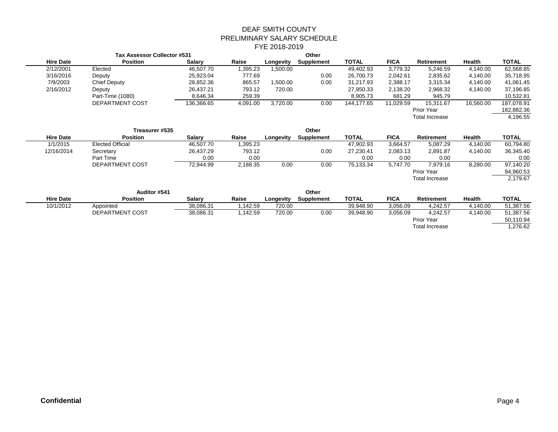| Tax Assessor Collector #531 |                  |               |          | Other     |            |              |             |                       |               |              |
|-----------------------------|------------------|---------------|----------|-----------|------------|--------------|-------------|-----------------------|---------------|--------------|
| <b>Hire Date</b>            | <b>Position</b>  | <b>Salary</b> | Raise    | Longevity | Supplement | <b>TOTAL</b> | <b>FICA</b> | Retirement            | <b>Health</b> | <b>TOTAL</b> |
| 2/12/2001                   | Elected          | 46.507.70     | 1,395.23 | .500.00   |            | 49,402.93    | 3,779.32    | 5,246.59              | 4,140.00      | 62,568.85    |
| 3/16/2016                   | Deputy           | 25,923.04     | 777.69   |           | 0.00       | 26,700.73    | 2,042.61    | 2,835.62              | 4,140.00      | 35,718.95    |
| 7/9/2003                    | Chief Deputy     | 28,852.36     | 865.57   | .500.00   | 0.00       | 31.217.93    | 2,388.17    | 3,315.34              | 4,140.00      | 41,061.45    |
| 2/16/2012                   | Deputy           | 26.437.21     | 793.12   | 720.00    |            | 27,950.33    | 2,138.20    | 2,968.32              | 4,140.00      | 37,196.85    |
|                             | Part-Time (1080) | 8,646.34      | 259.39   |           |            | 8,905.73     | 681.29      | 945.79                |               | 10,532.81    |
|                             | DEPARTMENT COST  | 136.366.65    | 4,091.00 | 3,720.00  | 0.00       | 144.177.65   | 11.029.59   | 15.311.67             | 16,560.00     | 187,078.91   |
|                             |                  |               |          |           |            |              |             | Prior Year            |               | 182,882.36   |
|                             |                  |               |          |           |            |              |             | <b>Total Increase</b> |               | 4,196.55     |
|                             |                  |               |          |           |            |              |             |                       |               |              |

|                  | Treasurer #535          |               |          |           | Other             |              |             |                       |               |              |
|------------------|-------------------------|---------------|----------|-----------|-------------------|--------------|-------------|-----------------------|---------------|--------------|
| <b>Hire Date</b> | <b>Position</b>         | <b>Salarv</b> | Raise    | Longevity | <b>Supplement</b> | <b>TOTAL</b> | <b>FICA</b> | <b>Retirement</b>     | <b>Health</b> | <b>TOTAL</b> |
| 1/1/2015         | <b>Elected Official</b> | 46.507.70     | 1,395.23 |           |                   | 47,902.93    | 3,664.57    | 5,087.29              | 4,140.00      | 60,794.80    |
| 12/16/2014       | Secretary               | 26,437.29     | 793.12   |           | 0.00              | 27,230.41    | 2,083.13    | 2,891.87              | 4,140.00      | 36,345.40    |
|                  | Part Time               | 0.00          | 0.00     |           |                   | 0.00         | 0.00        | 0.00                  |               | 0.00         |
|                  | DEPARTMENT COST         | 72.944.99     | 2,188.35 | 0.00      | 0.00              | 75,133.34    | 5.747.70    | 7.979.16              | 8,280.00      | 97,140.20    |
|                  |                         |               |          |           |                   |              |             | Prior Year            |               | 94,960.53    |
|                  |                         |               |          |           |                   |              |             | <b>Total Increase</b> |               | 2,179.67     |
|                  |                         |               |          |           |                   |              |             |                       |               |              |

|                  | Auditor #541    |               |         |           | Other      |              |             |                       |          |              |
|------------------|-----------------|---------------|---------|-----------|------------|--------------|-------------|-----------------------|----------|--------------|
| <b>Hire Date</b> | <b>Position</b> | <b>Salarv</b> | Raise   | Longevity | Supplement | <b>TOTAL</b> | <b>FICA</b> | <b>Retirement</b>     | Health   | <b>TOTAL</b> |
| 10/1/2012        | Appointed       | 38.086.31     | .142.59 | 720.00    |            | 39.948.90    | 3.056.09    | 4.242.57              | 4.140.00 | 51.387.56    |
|                  | DEPARTMENT COST | 38,086.31     | .142.59 | 720.00    | 0.00       | 39,948.90    | 3,056.09    | 4.242.57              | 4.140.00 | 51,387.56    |
|                  |                 |               |         |           |            |              |             | Prior Year            |          | 50,110.94    |
|                  |                 |               |         |           |            |              |             | <b>Total Increase</b> |          | .276.62      |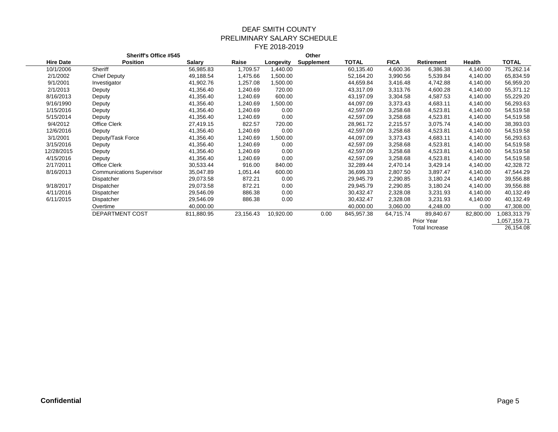|                  | <b>Sheriff's Office #545</b>     |               |           |           | Other      |            |             |                       |           |             |
|------------------|----------------------------------|---------------|-----------|-----------|------------|------------|-------------|-----------------------|-----------|-------------|
| <b>Hire Date</b> | <b>Position</b>                  | <b>Salary</b> | Raise     | Longevity | Supplement | TOTAL      | <b>FICA</b> | Retirement            | Health    | TOTAL       |
| 10/1/2006        | Sheriff                          | 56,985.83     | 1,709.57  | 1,440.00  |            | 60,135.40  | 4,600.36    | 6,386.38              | 4,140.00  | 75,262.14   |
| 2/1/2002         | <b>Chief Deputy</b>              | 49,188.54     | 1,475.66  | 1,500.00  |            | 52,164.20  | 3,990.56    | 5,539.84              | 4,140.00  | 65,834.59   |
| 9/1/2001         | Investigator                     | 41,902.76     | 1,257.08  | 1,500.00  |            | 44,659.84  | 3,416.48    | 4,742.88              | 4,140.00  | 56,959.20   |
| 2/1/2013         | Deputy                           | 41,356.40     | 1,240.69  | 720.00    |            | 43,317.09  | 3,313.76    | 4,600.28              | 4,140.00  | 55,371.12   |
| 8/16/2013        | Deputy                           | 41,356.40     | 1,240.69  | 600.00    |            | 43,197.09  | 3,304.58    | 4,587.53              | 4,140.00  | 55,229.20   |
| 9/16/1990        | Deputy                           | 41,356.40     | 1,240.69  | 1,500.00  |            | 44,097.09  | 3,373.43    | 4,683.11              | 4,140.00  | 56,293.63   |
| 1/15/2016        | Deputy                           | 41,356.40     | 1,240.69  | 0.00      |            | 42,597.09  | 3,258.68    | 4,523.81              | 4,140.00  | 54,519.58   |
| 5/15/2014        | Deputy                           | 41,356.40     | 1,240.69  | 0.00      |            | 42,597.09  | 3,258.68    | 4,523.81              | 4,140.00  | 54,519.58   |
| 9/4/2012         | Office Clerk                     | 27,419.15     | 822.57    | 720.00    |            | 28,961.72  | 2,215.57    | 3,075.74              | 4,140.00  | 38,393.03   |
| 12/6/2016        | Deputy                           | 41,356.40     | 1,240.69  | 0.00      |            | 42,597.09  | 3,258.68    | 4,523.81              | 4,140.00  | 54,519.58   |
| 3/1/2001         | Deputy/Task Force                | 41,356.40     | 1,240.69  | 1,500.00  |            | 44,097.09  | 3,373.43    | 4,683.11              | 4,140.00  | 56,293.63   |
| 3/15/2016        | Deputy                           | 41,356.40     | 1,240.69  | 0.00      |            | 42,597.09  | 3,258.68    | 4,523.81              | 4,140.00  | 54,519.58   |
| 12/28/2015       | Deputy                           | 41,356.40     | 1,240.69  | 0.00      |            | 42,597.09  | 3,258.68    | 4,523.81              | 4,140.00  | 54,519.58   |
| 4/15/2016        | Deputy                           | 41,356.40     | 1,240.69  | 0.00      |            | 42,597.09  | 3,258.68    | 4,523.81              | 4,140.00  | 54,519.58   |
| 2/17/2011        | Office Clerk                     | 30,533.44     | 916.00    | 840.00    |            | 32,289.44  | 2,470.14    | 3,429.14              | 4,140.00  | 42,328.72   |
| 8/16/2013        | <b>Communications Supervisor</b> | 35,047.89     | 1,051.44  | 600.00    |            | 36,699.33  | 2,807.50    | 3,897.47              | 4,140.00  | 47,544.29   |
|                  | Dispatcher                       | 29,073.58     | 872.21    | 0.00      |            | 29,945.79  | 2,290.85    | 3,180.24              | 4,140.00  | 39,556.88   |
| 9/18/2017        | Dispatcher                       | 29,073.58     | 872.21    | 0.00      |            | 29,945.79  | 2,290.85    | 3,180.24              | 4,140.00  | 39,556.88   |
| 4/11/2016        | Dispatcher                       | 29,546.09     | 886.38    | 0.00      |            | 30,432.47  | 2,328.08    | 3,231.93              | 4,140.00  | 40,132.49   |
| 6/11/2015        | Dispatcher                       | 29,546.09     | 886.38    | 0.00      |            | 30,432.47  | 2,328.08    | 3,231.93              | 4,140.00  | 40,132.49   |
|                  | Overtime                         | 40,000.00     |           |           |            | 40,000.00  | 3,060.00    | 4,248.00              | 0.00      | 47,308.00   |
|                  | DEPARTMENT COST                  | 811,880.95    | 23,156.43 | 10,920.00 | 0.00       | 845,957.38 | 64,715.74   | 89,840.67             | 82,800.00 | ,083,313.79 |
|                  |                                  |               |           |           |            |            |             | Prior Year            |           | 057,159.71, |
|                  |                                  |               |           |           |            |            |             | <b>Total Increase</b> |           | 26,154.08   |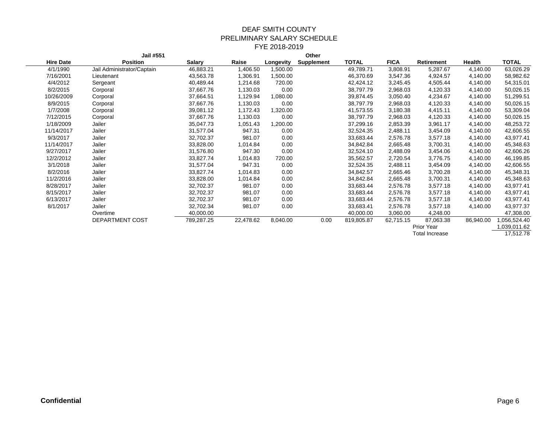|                  | Jail #551                  |               |           |           | Other             |            |             |                |           |              |
|------------------|----------------------------|---------------|-----------|-----------|-------------------|------------|-------------|----------------|-----------|--------------|
| <b>Hire Date</b> | <b>Position</b>            | <b>Salary</b> | Raise     | Longevity | <b>Supplement</b> | TOTAL      | <b>FICA</b> | Retirement     | Health    | TOTAL        |
| 4/1/1990         | Jail Administrator/Captain | 46,883.21     | 1,406.50  | 1,500.00  |                   | 49,789.71  | 3,808.91    | 5,287.67       | 4,140.00  | 63,026.29    |
| 7/16/2001        | Lieutenant                 | 43,563.78     | 1,306.91  | 1,500.00  |                   | 46,370.69  | 3,547.36    | 4,924.57       | 4,140.00  | 58,982.62    |
| 4/4/2012         | Sergeant                   | 40,489.44     | 1,214.68  | 720.00    |                   | 42,424.12  | 3,245.45    | 4,505.44       | 4,140.00  | 54,315.01    |
| 8/2/2015         | Corporal                   | 37,667.76     | 1,130.03  | 0.00      |                   | 38,797.79  | 2,968.03    | 4,120.33       | 4,140.00  | 50,026.15    |
| 10/26/2009       | Corporal                   | 37,664.51     | 1,129.94  | 1,080.00  |                   | 39,874.45  | 3,050.40    | 4,234.67       | 4,140.00  | 51,299.51    |
| 8/9/2015         | Corporal                   | 37,667.76     | 1,130.03  | 0.00      |                   | 38,797.79  | 2,968.03    | 4,120.33       | 4,140.00  | 50,026.15    |
| 1/7/2008         | Corporal                   | 39,081.12     | 1,172.43  | 1,320.00  |                   | 41,573.55  | 3,180.38    | 4,415.11       | 4,140.00  | 53,309.04    |
| 7/12/2015        | Corporal                   | 37,667.76     | 1,130.03  | 0.00      |                   | 38,797.79  | 2,968.03    | 4,120.33       | 4,140.00  | 50,026.15    |
| 1/18/2009        | Jailer                     | 35,047.73     | 1,051.43  | 1,200.00  |                   | 37,299.16  | 2,853.39    | 3,961.17       | 4,140.00  | 48,253.72    |
| 11/14/2017       | Jailer                     | 31,577.04     | 947.31    | 0.00      |                   | 32,524.35  | 2,488.11    | 3,454.09       | 4,140.00  | 42,606.55    |
| 9/3/2017         | Jailer                     | 32,702.37     | 981.07    | 0.00      |                   | 33,683.44  | 2,576.78    | 3,577.18       | 4,140.00  | 43,977.41    |
| 11/14/2017       | Jailer                     | 33,828.00     | 1,014.84  | 0.00      |                   | 34,842.84  | 2,665.48    | 3,700.31       | 4,140.00  | 45,348.63    |
| 9/27/2017        | Jailer                     | 31,576.80     | 947.30    | 0.00      |                   | 32,524.10  | 2,488.09    | 3,454.06       | 4,140.00  | 42,606.26    |
| 12/2/2012        | Jailer                     | 33,827.74     | 1,014.83  | 720.00    |                   | 35,562.57  | 2,720.54    | 3,776.75       | 4,140.00  | 46,199.85    |
| 3/1/2018         | Jailer                     | 31,577.04     | 947.31    | 0.00      |                   | 32,524.35  | 2,488.11    | 3,454.09       | 4,140.00  | 42,606.55    |
| 8/2/2016         | Jailer                     | 33,827.74     | 1,014.83  | 0.00      |                   | 34,842.57  | 2,665.46    | 3,700.28       | 4,140.00  | 45,348.31    |
| 11/2/2016        | Jailer                     | 33,828.00     | 1,014.84  | 0.00      |                   | 34,842.84  | 2,665.48    | 3,700.31       | 4,140.00  | 45,348.63    |
| 8/28/2017        | Jailer                     | 32,702.37     | 981.07    | 0.00      |                   | 33,683.44  | 2,576.78    | 3,577.18       | 4,140.00  | 43,977.41    |
| 8/15/2017        | Jailer                     | 32,702.37     | 981.07    | 0.00      |                   | 33,683.44  | 2,576.78    | 3,577.18       | 4,140.00  | 43,977.41    |
| 6/13/2017        | Jailer                     | 32,702.37     | 981.07    | 0.00      |                   | 33,683.44  | 2,576.78    | 3,577.18       | 4,140.00  | 43,977.41    |
| 8/1/2017         | Jailer                     | 32,702.34     | 981.07    | 0.00      |                   | 33,683.41  | 2,576.78    | 3,577.18       | 4,140.00  | 43,977.37    |
|                  | Overtime                   | 40,000.00     |           |           |                   | 40,000.00  | 3,060.00    | 4,248.00       |           | 47,308.00    |
|                  | DEPARTMENT COST            | 789,287.25    | 22,478.62 | 8,040.00  | 0.00              | 819,805.87 | 62,715.15   | 87,063.38      | 86,940.00 | 056,524.40   |
|                  |                            |               |           |           |                   |            |             | Prior Year     |           | 1,039,011.62 |
|                  |                            |               |           |           |                   |            |             | Total Increase |           | 17,512.78    |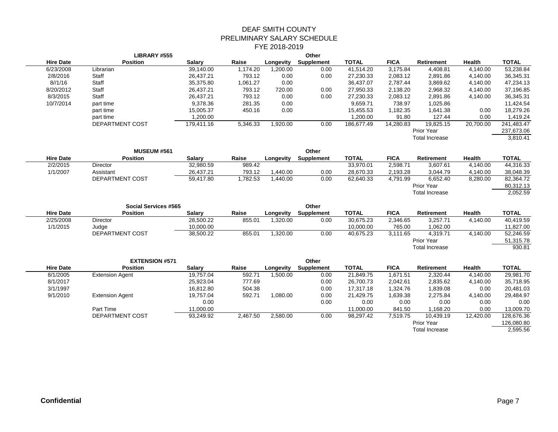|                  | LIBRARY #555                |               |          |           | Other             |              |             |                       |               |              |
|------------------|-----------------------------|---------------|----------|-----------|-------------------|--------------|-------------|-----------------------|---------------|--------------|
| <b>Hire Date</b> | <b>Position</b>             | <b>Salary</b> | Raise    | Longevity | Supplement        | <b>TOTAL</b> | <b>FICA</b> | <b>Retirement</b>     | Health        | <b>TOTAL</b> |
| 6/23/2008        | Librarian                   | 39,140.00     | 1,174.20 | 1,200.00  | 0.00              | 41,514.20    | 3,175.84    | 4,408.81              | 4,140.00      | 53,238.84    |
| 2/8/2016         | Staff                       | 26,437.21     | 793.12   | 0.00      | 0.00              | 27,230.33    | 2,083.12    | 2,891.86              | 4,140.00      | 36,345.31    |
| 8/1/16           | Staff                       | 35,375.80     | 1,061.27 | 0.00      |                   | 36,437.07    | 2,787.44    | 3,869.62              | 4,140.00      | 47,234.13    |
| 8/20/2012        | Staff                       | 26,437.21     | 793.12   | 720.00    | 0.00              | 27,950.33    | 2,138.20    | 2,968.32              | 4,140.00      | 37,196.85    |
| 8/3/2015         | Staff                       | 26,437.21     | 793.12   | 0.00      | 0.00              | 27,230.33    | 2,083.12    | 2,891.86              | 4,140.00      | 36,345.31    |
| 10/7/2014        | part time                   | 9,378.36      | 281.35   | 0.00      |                   | 9,659.71     | 738.97      | 1,025.86              |               | 11,424.54    |
|                  | part time                   | 15,005.37     | 450.16   | 0.00      |                   | 15,455.53    | 1,182.35    | 1,641.38              | 0.00          | 18,279.26    |
|                  | part time                   | 1,200.00      |          |           |                   | 1,200.00     | 91.80       | 127.44                | 0.00          | 1,419.24     |
|                  | DEPARTMENT COST             | 179,411.16    | 5,346.33 | 1,920.00  | 0.00              | 186,677.49   | 14,280.83   | 19,825.15             | 20,700.00     | 241,483.47   |
|                  |                             |               |          |           |                   |              |             | <b>Prior Year</b>     |               | 237,673.06   |
|                  |                             |               |          |           |                   |              |             | <b>Total Increase</b> |               | 3,810.41     |
|                  | <b>MUSEUM #561</b>          |               |          |           | Other             |              |             |                       |               |              |
| <b>Hire Date</b> | <b>Position</b>             | <b>Salary</b> | Raise    | Longevity | <b>Supplement</b> | <b>TOTAL</b> | <b>FICA</b> | <b>Retirement</b>     | <b>Health</b> | <b>TOTAL</b> |
| 2/2/2015         | Director                    | 32,980.59     | 989.42   |           |                   | 33,970.01    | 2,598.71    | 3,607.61              | 4,140.00      | 44,316.33    |
| 1/1/2007         | Assistant                   | 26,437.21     | 793.12   | 1,440.00  | 0.00              | 28,670.33    | 2,193.28    | 3,044.79              | 4,140.00      | 38,048.39    |
|                  | DEPARTMENT COST             | 59,417.80     | 1,782.53 | 1,440.00  | 0.00              | 62,640.33    | 4,791.99    | 6,652.40              | 8,280.00      | 82,364.72    |
|                  |                             |               |          |           |                   |              |             | Prior Year            |               | 80,312.13    |
|                  |                             |               |          |           |                   |              |             | <b>Total Increase</b> |               | 2,052.59     |
|                  | <b>Social Services #565</b> |               |          |           | Other             |              |             |                       |               |              |
| <b>Hire Date</b> | <b>Position</b>             | <b>Salary</b> | Raise    | Longevity | Supplement        | <b>TOTAL</b> | <b>FICA</b> | Retirement            | Health        | <b>TOTAL</b> |
| 2/25/2008        | Director                    | 28,500.22     | 855.01   | 1,320.00  | 0.00              | 30,675.23    | 2,346.65    | 3,257.71              | 4,140.00      | 40,419.59    |
| 1/1/2015         | Judge                       | 10,000.00     |          |           |                   | 10,000.00    | 765.00      | 1,062.00              |               | 11,827.00    |
|                  | DEPARTMENT COST             | 38,500.22     | 855.01   | 1,320.00  | 0.00              | 40,675.23    | 3,111.65    | 4,319.71              | 4,140.00      | 52,246.59    |
|                  |                             |               |          |           |                   |              |             | Prior Year            |               | 51,315.78    |
|                  |                             |               |          |           |                   |              |             | <b>Total Increase</b> |               | 930.81       |
|                  | <b>EXTENSION #571</b>       |               |          |           | Other             |              |             |                       |               |              |
| <b>Hire Date</b> | <b>Position</b>             | <b>Salary</b> | Raise    | Longevity | <b>Supplement</b> | <b>TOTAL</b> | <b>FICA</b> | Retirement            | Health        | <b>TOTAL</b> |
| 8/1/2005         | <b>Extension Agent</b>      | 19,757.04     | 592.71   | 1,500.00  | 0.00              | 21,849.75    | 1,671.51    | 2,320.44              | 4,140.00      | 29,981.70    |
| 8/1/2017         |                             | 25,923.04     | 777.69   |           | 0.00              | 26,700.73    | 2,042.61    | 2,835.62              | 4,140.00      | 35,718.95    |
| 3/1/1997         |                             | 16,812.80     | 504.38   |           | 0.00              | 17,317.18    | 1,324.76    | 1,839.08              | 0.00          | 20,481.03    |
| 9/1/2010         | <b>Extension Agent</b>      | 19,757.04     | 592.71   | 1,080.00  | 0.00              | 21,429.75    | 1,639.38    | 2,275.84              | 4,140.00      | 29,484.97    |
|                  |                             | 0.00          |          |           | 0.00              | 0.00         | 0.00        | 0.00                  | 0.00          | 0.00         |
|                  | Part Time                   | 11,000.00     |          |           |                   | 11,000.00    | 841.50      | 1,168.20              | 0.00          | 13,009.70    |
|                  | DEPARTMENT COST             | 93,249.92     | 2,467.50 | 2,580.00  | 0.00              | 98,297.42    | 7,519.75    | 10,439.19             | 12,420.00     | 128,676.36   |
|                  |                             |               |          |           |                   |              |             | Prior Year            |               | 126,080.80   |
|                  |                             |               |          |           |                   |              |             | <b>Total Increase</b> |               | 2,595.56     |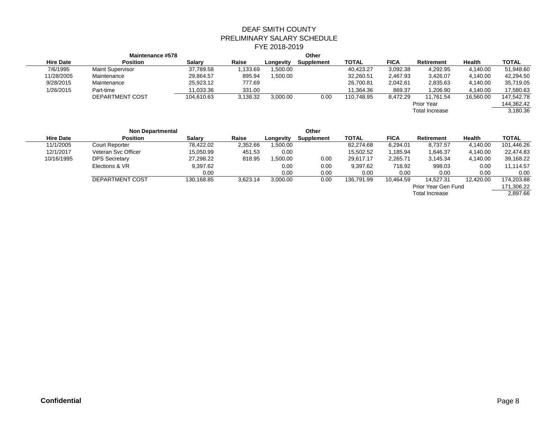|                  | Maintenance #578        |               |          |           | Other      |              |             |                       |               |              |
|------------------|-------------------------|---------------|----------|-----------|------------|--------------|-------------|-----------------------|---------------|--------------|
| <b>Hire Date</b> | <b>Position</b>         | <b>Salarv</b> | Raise    | Longevity | Supplement | <b>TOTAL</b> | <b>FICA</b> | Retirement            | <b>Health</b> | <b>TOTAL</b> |
| 7/6/1995         | <b>Maint Supervisor</b> | 37,789.58     | .133.69  | .500.00   |            | 40,423.27    | 3,092.38    | 4,292.95              | 4,140.00      | 51,948.60    |
| 11/28/2005       | Maintenance             | 29,864.57     | 895.94   | .500.00   |            | 32,260.51    | 2,467.93    | 3,426.07              | 4,140.00      | 42,294.50    |
| 9/28/2015        | Maintenance             | 25,923.12     | 777.69   |           |            | 26,700.81    | 2,042.61    | 2,835.63              | 4,140.00      | 35,719.05    |
| 1/26/2015        | Part-time               | 11,033.36     | 331.00   |           |            | 11.364.36    | 869.37      | 1,206.90              | 4,140.00      | 17,580.63    |
|                  | DEPARTMENT COST         | 104,610.63    | 3,138.32 | 3,000.00  | 0.00       | 110,748.95   | 8,472.29    | 11.761.54             | 16,560.00     | 147,542.78   |
|                  |                         |               |          |           |            |              |             | Prior Year            |               | 144,362.42   |
|                  |                         |               |          |           |            |              |             | <b>Total Increase</b> |               | 3,180.36     |
|                  |                         |               |          |           |            |              |             |                       |               |              |

|                  | <b>Non Departmental</b> |               |          |           | Other      |              |             |                       |               |              |
|------------------|-------------------------|---------------|----------|-----------|------------|--------------|-------------|-----------------------|---------------|--------------|
| <b>Hire Date</b> | <b>Position</b>         | <b>Salarv</b> | Raise    | Longevity | Supplement | <b>TOTAL</b> | <b>FICA</b> | Retirement            | <b>Health</b> | <b>TOTAL</b> |
| 11/1/2005        | <b>Court Reporter</b>   | 78,422.02     | 2,352.66 | .500.00   |            | 82,274.68    | 6,294.01    | 8,737.57              | 4,140.00      | 101,446.26   |
| 12/1/2017        | Veteran Svc Officer     | 15,050.99     | 451.53   | 0.00      |            | 15,502.52    | 1,185.94    | 1,646.37              | 4,140.00      | 22,474.83    |
| 10/16/1995       | <b>DPS Secretary</b>    | 27,298.22     | 818.95   | ,500.00   | 0.00       | 29,617.17    | 2,265.71    | 3,145.34              | 4,140.00      | 39,168.22    |
|                  | Elections & VR          | 9.397.62      |          | 0.00      | 0.00       | 9.397.62     | 718.92      | 998.03                | 0.00          | 11,114.57    |
|                  |                         | 0.00          |          | 0.00      | 0.00       | 0.00         | 0.00        | 0.00                  | 0.00          | 0.00         |
|                  | DEPARTMENT COST         | 130.168.85    | 3,623.14 | 3,000.00  | $0.00\,$   | 136.791.99   | 10.464.59   | 14.527.31             | 12.420.00     | 174.203.88   |
|                  |                         |               |          |           |            |              |             | Prior Year Gen Fund   |               | 171,306.22   |
|                  |                         |               |          |           |            |              |             | <b>Total Increase</b> |               | 2,897.66     |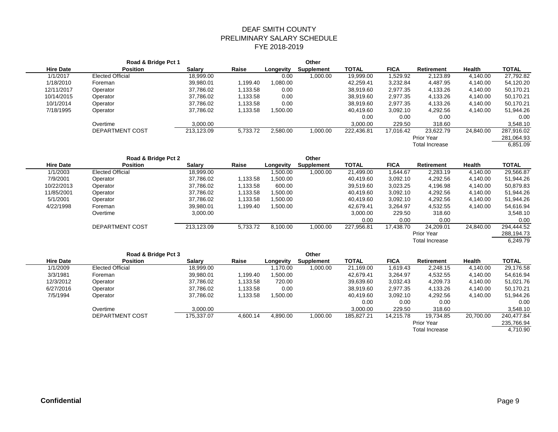|                  | Road & Bridge Pct 1     |               |          |           | Other             |              |             |                       |               |              |
|------------------|-------------------------|---------------|----------|-----------|-------------------|--------------|-------------|-----------------------|---------------|--------------|
| <b>Hire Date</b> | <b>Position</b>         | <b>Salary</b> | Raise    | Longevity | <b>Supplement</b> | <b>TOTAL</b> | <b>FICA</b> | <b>Retirement</b>     | Health        | <b>TOTAL</b> |
| 1/1/2017         | <b>Elected Official</b> | 18,999.00     |          | 0.00      | 1,000.00          | 19,999.00    | 1,529.92    | 2,123.89              | 4,140.00      | 27,792.82    |
| 1/18/2010        | Foreman                 | 39,980.01     | 1,199.40 | 1,080.00  |                   | 42,259.41    | 3,232.84    | 4,487.95              | 4,140.00      | 54,120.20    |
| 12/11/2017       | Operator                | 37,786.02     | 1,133.58 | 0.00      |                   | 38,919.60    | 2,977.35    | 4,133.26              | 4,140.00      | 50,170.21    |
| 10/14/2015       | Operator                | 37,786.02     | 1,133.58 | 0.00      |                   | 38,919.60    | 2,977.35    | 4,133.26              | 4,140.00      | 50,170.21    |
| 10/1/2014        | Operator                | 37,786.02     | 1,133.58 | 0.00      |                   | 38,919.60    | 2,977.35    | 4,133.26              | 4,140.00      | 50,170.21    |
| 7/18/1995        | Operator                | 37,786.02     | 1,133.58 | 1,500.00  |                   | 40,419.60    | 3,092.10    | 4,292.56              | 4,140.00      | 51,944.26    |
|                  |                         |               |          |           |                   | 0.00         | 0.00        | 0.00                  |               | 0.00         |
|                  | Overtime                | 3,000.00      |          |           |                   | 3,000.00     | 229.50      | 318.60                |               | 3,548.10     |
|                  | DEPARTMENT COST         | 213,123.09    | 5,733.72 | 2,580.00  | 1,000.00          | 222,436.81   | 17,016.42   | 23,622.79             | 24,840.00     | 287,916.02   |
|                  |                         |               |          |           |                   |              |             | Prior Year            |               | 281,064.93   |
|                  |                         |               |          |           |                   |              |             | <b>Total Increase</b> |               | 6,851.09     |
|                  | Road & Bridge Pct 2     |               |          |           | Other             |              |             |                       |               |              |
| <b>Hire Date</b> | <b>Position</b>         | <b>Salary</b> | Raise    | Longevity | Supplement        | <b>TOTAL</b> | <b>FICA</b> | <b>Retirement</b>     | <b>Health</b> | <b>TOTAL</b> |
| 1/1/2003         | <b>Elected Official</b> | 18,999.00     |          | 1,500.00  | 1,000.00          | 21,499.00    | 1,644.67    | 2,283.19              | 4,140.00      | 29,566.87    |
| 7/9/2001         | Operator                | 37,786.02     | 1,133.58 | 1,500.00  |                   | 40,419.60    | 3,092.10    | 4,292.56              | 4,140.00      | 51,944.26    |
| 10/22/2013       | Operator                | 37,786.02     | 1,133.58 | 600.00    |                   | 39,519.60    | 3,023.25    | 4,196.98              | 4,140.00      | 50,879.83    |
| 11/85/2001       | Operator                | 37,786.02     | 1,133.58 | 1,500.00  |                   | 40,419.60    | 3,092.10    | 4,292.56              | 4,140.00      | 51,944.26    |
| 5/1/2001         | Operator                | 37,786.02     | 1,133.58 | 1,500.00  |                   | 40,419.60    | 3,092.10    | 4,292.56              | 4,140.00      | 51,944.26    |
| 4/22/1998        | Foreman                 | 39,980.01     | 1,199.40 | 1,500.00  |                   | 42,679.41    | 3,264.97    | 4,532.55              | 4,140.00      | 54,616.94    |
|                  | Overtime                | 3,000.00      |          |           |                   | 3,000.00     | 229.50      | 318.60                |               | 3,548.10     |
|                  |                         |               |          |           |                   | 0.00         | 0.00        | 0.00                  |               | 0.00         |
|                  | DEPARTMENT COST         | 213,123.09    | 5,733.72 | 8,100.00  | 1,000.00          | 227,956.81   | 17,438.70   | 24,209.01             | 24,840.00     | 294,444.52   |
|                  |                         |               |          |           |                   |              |             | Prior Year            |               | 288,194.73   |
|                  |                         |               |          |           |                   |              |             | <b>Total Increase</b> |               | 6,249.79     |
|                  |                         |               |          |           |                   |              |             |                       |               |              |
|                  | Road & Bridge Pct 3     |               |          |           | Other             |              |             |                       |               |              |
| <b>Hire Date</b> | <b>Position</b>         | <b>Salary</b> | Raise    | Longevity | Supplement        | <b>TOTAL</b> | <b>FICA</b> | Retirement            | Health        | <b>TOTAL</b> |
| 1/1/2009         | <b>Elected Official</b> | 18,999.00     |          | 1,170.00  | 1,000.00          | 21,169.00    | 1,619.43    | 2,248.15              | 4,140.00      | 29,176.58    |
| 3/3/1981         | Foreman                 | 39,980.01     | 1,199.40 | 1,500.00  |                   | 42,679.41    | 3,264.97    | 4,532.55              | 4,140.00      | 54,616.94    |
| 12/3/2012        | Operator                | 37,786.02     | 1,133.58 | 720.00    |                   | 39,639.60    | 3,032.43    | 4,209.73              | 4,140.00      | 51,021.76    |
| 6/27/2016        | Operator                | 37,786.02     | 1,133.58 | 0.00      |                   | 38,919.60    | 2,977.35    | 4,133.26              | 4,140.00      | 50,170.21    |
| 7/5/1994         | Operator                | 37,786.02     | 1,133.58 | 1,500.00  |                   | 40,419.60    | 3,092.10    | 4,292.56              | 4,140.00      | 51,944.26    |
|                  |                         |               |          |           |                   | 0.00         | 0.00        | 0.00                  |               | 0.00         |
|                  | Overtime                | 3,000.00      |          |           |                   | 3,000.00     | 229.50      | 318.60                |               | 3,548.10     |
|                  | DEPARTMENT COST         | 175,337.07    | 4,600.14 | 4.890.00  | 1.000.00          | 185,827.21   | 14,215.78   | 19,734.85             | 20,700.00     | 240,477.84   |
|                  |                         |               |          |           |                   |              |             | Prior Year            |               | 235,766.94   |

Total Increase 4,710.90